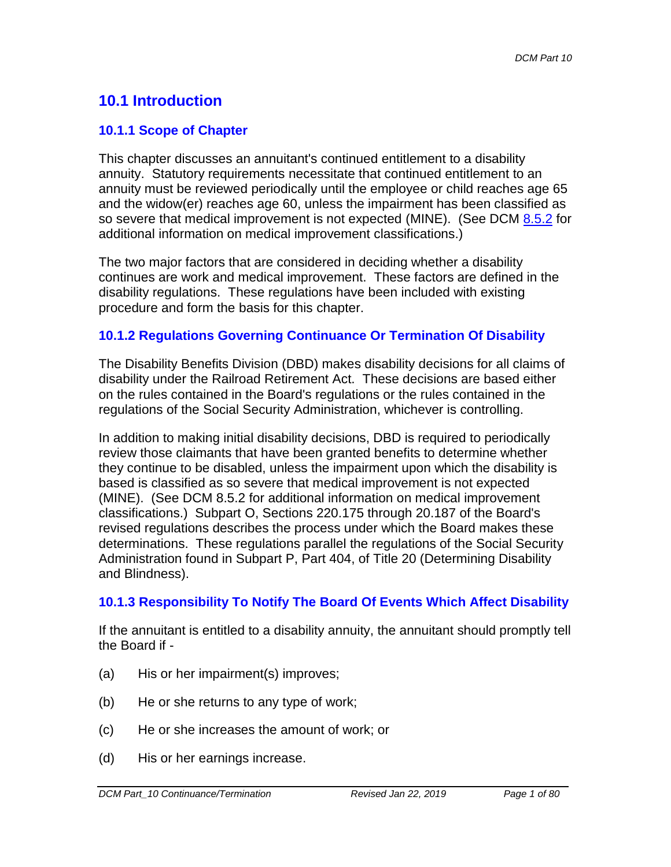# **10.1 Introduction**

# **10.1.1 Scope of Chapter**

This chapter discusses an annuitant's continued entitlement to a disability annuity. Statutory requirements necessitate that continued entitlement to an annuity must be reviewed periodically until the employee or child reaches age 65 and the widow(er) reaches age 60, unless the impairment has been classified as so severe that medical improvement is not expected (MINE). (See DCM 8.5.2 for additional information on medical improvement classifications.)

The two major factors that are considered in deciding whether a disability continues are work and medical improvement. These factors are defined in the disability regulations. These regulations have been included with existing procedure and form the basis for this chapter.

# **10.1.2 Regulations Governing Continuance Or Termination Of Disability**

The Disability Benefits Division (DBD) makes disability decisions for all claims of disability under the Railroad Retirement Act. These decisions are based either on the rules contained in the Board's regulations or the rules contained in the regulations of the Social Security Administration, whichever is controlling.

In addition to making initial disability decisions, DBD is required to periodically review those claimants that have been granted benefits to determine whether they continue to be disabled, unless the impairment upon which the disability is based is classified as so severe that medical improvement is not expected (MINE). (See DCM 8.5.2 for additional information on medical improvement classifications.) Subpart O, Sections 220.175 through 20.187 of the Board's revised regulations describes the process under which the Board makes these determinations. These regulations parallel the regulations of the Social Security Administration found in Subpart P, Part 404, of Title 20 (Determining Disability and Blindness).

## **10.1.3 Responsibility To Notify The Board Of Events Which Affect Disability**

If the annuitant is entitled to a disability annuity, the annuitant should promptly tell the Board if -

- (a) His or her impairment(s) improves;
- (b) He or she returns to any type of work;
- (c) He or she increases the amount of work; or
- (d) His or her earnings increase.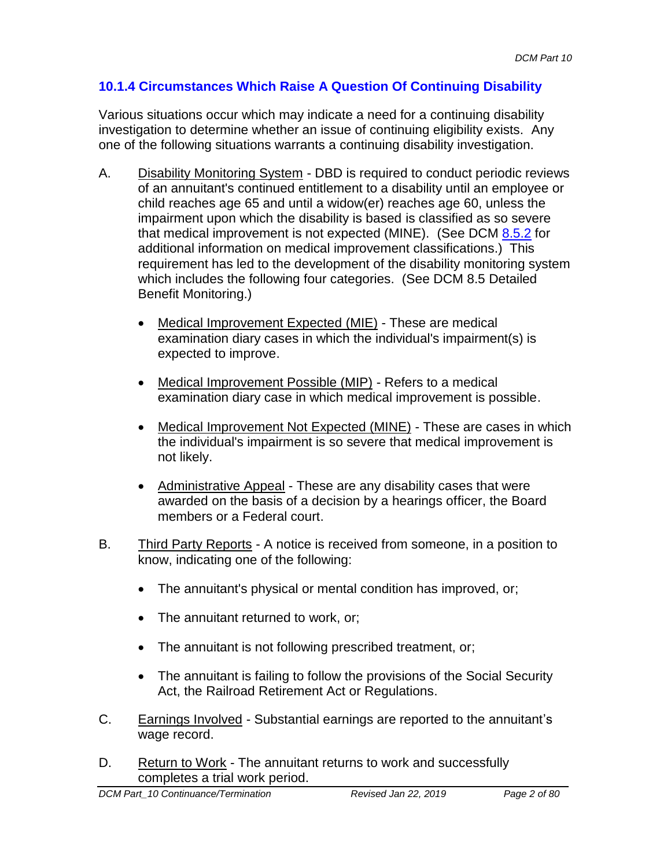# **10.1.4 Circumstances Which Raise A Question Of Continuing Disability**

Various situations occur which may indicate a need for a continuing disability investigation to determine whether an issue of continuing eligibility exists. Any one of the following situations warrants a continuing disability investigation.

- A. Disability Monitoring System DBD is required to conduct periodic reviews of an annuitant's continued entitlement to a disability until an employee or child reaches age 65 and until a widow(er) reaches age 60, unless the impairment upon which the disability is based is classified as so severe that medical improvement is not expected (MINE). (See DCM 8.5.2 for additional information on medical improvement classifications.) This requirement has led to the development of the disability monitoring system which includes the following four categories. (See DCM 8.5 Detailed Benefit Monitoring.)
	- Medical Improvement Expected (MIE) These are medical examination diary cases in which the individual's impairment(s) is expected to improve.
	- Medical Improvement Possible (MIP) Refers to a medical examination diary case in which medical improvement is possible.
	- Medical Improvement Not Expected (MINE) These are cases in which the individual's impairment is so severe that medical improvement is not likely.
	- Administrative Appeal These are any disability cases that were awarded on the basis of a decision by a hearings officer, the Board members or a Federal court.
- B. Third Party Reports A notice is received from someone, in a position to know, indicating one of the following:
	- The annuitant's physical or mental condition has improved, or;
	- The annuitant returned to work, or:
	- The annuitant is not following prescribed treatment, or;
	- The annuitant is failing to follow the provisions of the Social Security Act, the Railroad Retirement Act or Regulations.
- C. Earnings Involved Substantial earnings are reported to the annuitant's wage record.
- D. Return to Work The annuitant returns to work and successfully completes a trial work period.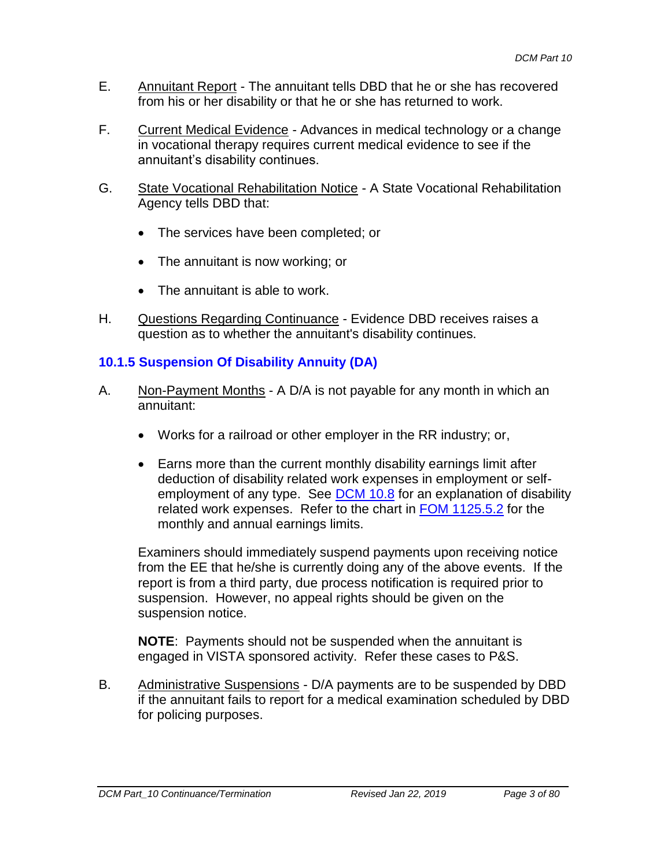- E. Annuitant Report The annuitant tells DBD that he or she has recovered from his or her disability or that he or she has returned to work.
- F. Current Medical Evidence Advances in medical technology or a change in vocational therapy requires current medical evidence to see if the annuitant's disability continues.
- G. State Vocational Rehabilitation Notice A State Vocational Rehabilitation Agency tells DBD that:
	- The services have been completed; or
	- The annuitant is now working; or
	- The annuitant is able to work.
- H. Questions Regarding Continuance Evidence DBD receives raises a question as to whether the annuitant's disability continues.

# **10.1.5 Suspension Of Disability Annuity (DA)**

- A. Non-Payment Months A D/A is not payable for any month in which an annuitant:
	- Works for a railroad or other employer in the RR industry; or,
	- Earns more than the current monthly disability earnings limit after deduction of disability related work expenses in employment or selfemployment of any type. See DCM 10.8 for an explanation of disability related work expenses. Refer to the chart in FOM 1125.5.2 for the monthly and annual earnings limits.

Examiners should immediately suspend payments upon receiving notice from the EE that he/she is currently doing any of the above events. If the report is from a third party, due process notification is required prior to suspension. However, no appeal rights should be given on the suspension notice.

**NOTE**: Payments should not be suspended when the annuitant is engaged in VISTA sponsored activity. Refer these cases to P&S.

B. Administrative Suspensions - D/A payments are to be suspended by DBD if the annuitant fails to report for a medical examination scheduled by DBD for policing purposes.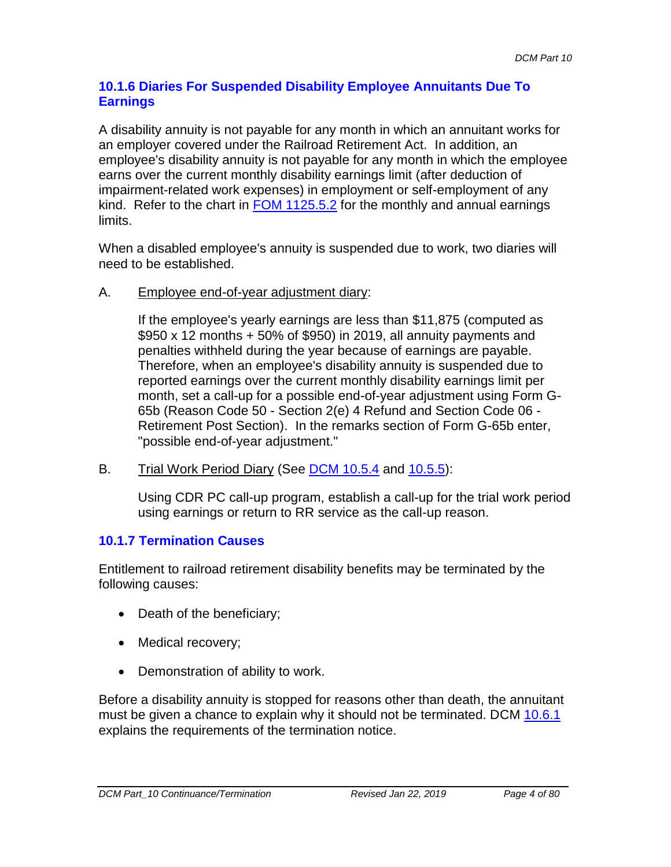## **10.1.6 Diaries For Suspended Disability Employee Annuitants Due To Earnings**

A disability annuity is not payable for any month in which an annuitant works for an employer covered under the Railroad Retirement Act. In addition, an employee's disability annuity is not payable for any month in which the employee earns over the current monthly disability earnings limit (after deduction of impairment-related work expenses) in employment or self-employment of any kind. Refer to the chart in FOM 1125.5.2 for the monthly and annual earnings limits.

When a disabled employee's annuity is suspended due to work, two diaries will need to be established.

A. Employee end-of-year adjustment diary:

If the employee's yearly earnings are less than \$11,875 (computed as \$950 x 12 months + 50% of \$950) in 2019, all annuity payments and penalties withheld during the year because of earnings are payable. Therefore, when an employee's disability annuity is suspended due to reported earnings over the current monthly disability earnings limit per month, set a call-up for a possible end-of-year adjustment using Form G-65b (Reason Code 50 - Section 2(e) 4 Refund and Section Code 06 - Retirement Post Section). In the remarks section of Form G-65b enter, "possible end-of-year adjustment."

B. Trial Work Period Diary (See DCM 10.5.4 and 10.5.5):

Using CDR PC call-up program, establish a call-up for the trial work period using earnings or return to RR service as the call-up reason.

## **10.1.7 Termination Causes**

Entitlement to railroad retirement disability benefits may be terminated by the following causes:

- Death of the beneficiary;
- Medical recovery;
- Demonstration of ability to work.

Before a disability annuity is stopped for reasons other than death, the annuitant must be given a chance to explain why it should not be terminated. DCM 10.6.1 explains the requirements of the termination notice.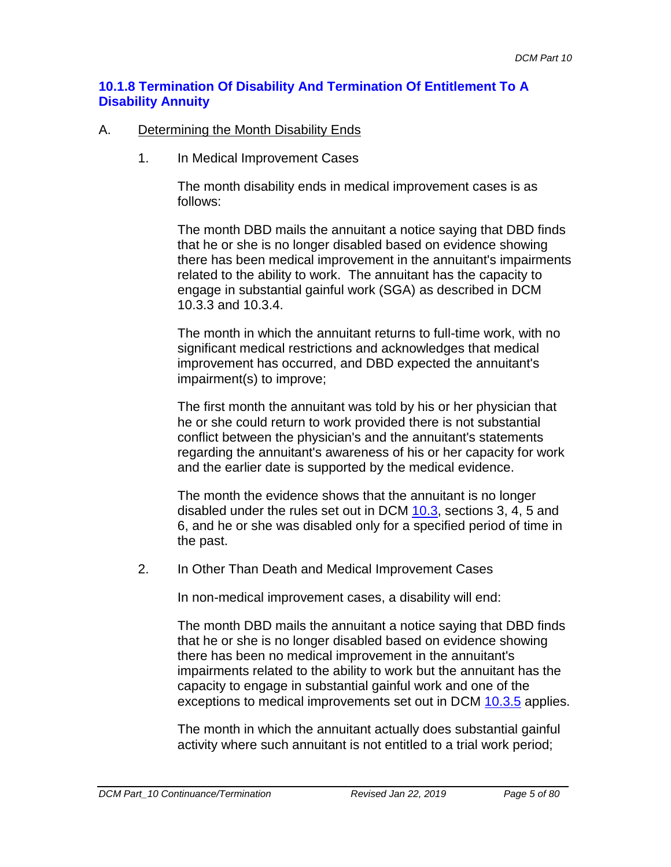#### **10.1.8 Termination Of Disability And Termination Of Entitlement To A Disability Annuity**

#### A. Determining the Month Disability Ends

1. In Medical Improvement Cases

The month disability ends in medical improvement cases is as follows:

The month DBD mails the annuitant a notice saying that DBD finds that he or she is no longer disabled based on evidence showing there has been medical improvement in the annuitant's impairments related to the ability to work. The annuitant has the capacity to engage in substantial gainful work (SGA) as described in DCM 10.3.3 and 10.3.4.

The month in which the annuitant returns to full-time work, with no significant medical restrictions and acknowledges that medical improvement has occurred, and DBD expected the annuitant's impairment(s) to improve;

The first month the annuitant was told by his or her physician that he or she could return to work provided there is not substantial conflict between the physician's and the annuitant's statements regarding the annuitant's awareness of his or her capacity for work and the earlier date is supported by the medical evidence.

The month the evidence shows that the annuitant is no longer disabled under the rules set out in DCM 10.3, sections 3, 4, 5 and 6, and he or she was disabled only for a specified period of time in the past.

2. In Other Than Death and Medical Improvement Cases

In non-medical improvement cases, a disability will end:

The month DBD mails the annuitant a notice saying that DBD finds that he or she is no longer disabled based on evidence showing there has been no medical improvement in the annuitant's impairments related to the ability to work but the annuitant has the capacity to engage in substantial gainful work and one of the exceptions to medical improvements set out in DCM 10.3.5 applies.

The month in which the annuitant actually does substantial gainful activity where such annuitant is not entitled to a trial work period;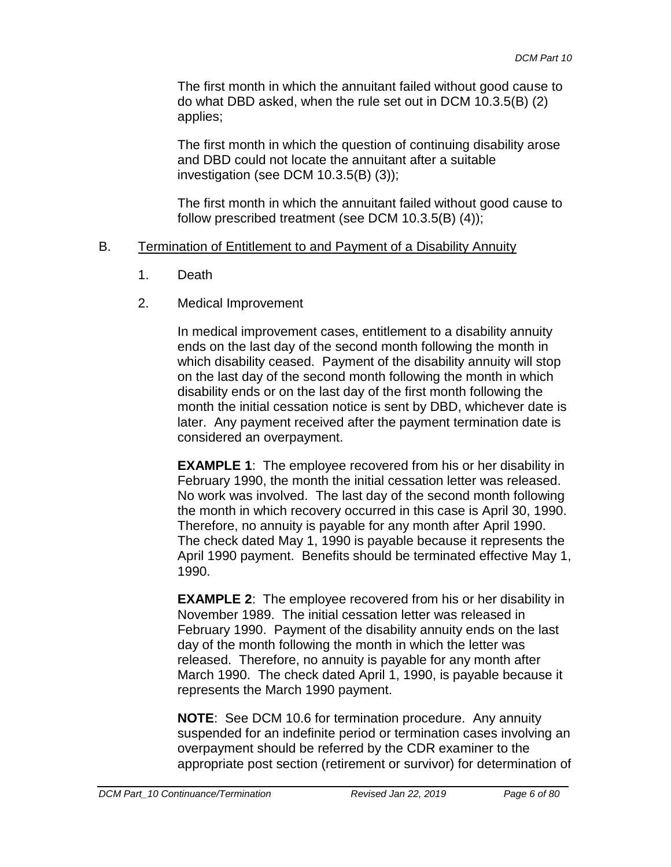The first month in which the annuitant failed without good cause to do what DBD asked, when the rule set out in DCM 10.3.5(B) (2) applies;

The first month in which the question of continuing disability arose and DBD could not locate the annuitant after a suitable investigation (see DCM 10.3.5(B) (3));

The first month in which the annuitant failed without good cause to follow prescribed treatment (see DCM 10.3.5(B) (4));

#### B. Termination of Entitlement to and Payment of a Disability Annuity

- 1. Death
- 2. Medical Improvement

In medical improvement cases, entitlement to a disability annuity ends on the last day of the second month following the month in which disability ceased. Payment of the disability annuity will stop on the last day of the second month following the month in which disability ends or on the last day of the first month following the month the initial cessation notice is sent by DBD, whichever date is later. Any payment received after the payment termination date is considered an overpayment.

**EXAMPLE 1**: The employee recovered from his or her disability in February 1990, the month the initial cessation letter was released. No work was involved. The last day of the second month following the month in which recovery occurred in this case is April 30, 1990. Therefore, no annuity is payable for any month after April 1990. The check dated May 1, 1990 is payable because it represents the April 1990 payment. Benefits should be terminated effective May 1, 1990.

**EXAMPLE 2**: The employee recovered from his or her disability in November 1989. The initial cessation letter was released in February 1990. Payment of the disability annuity ends on the last day of the month following the month in which the letter was released. Therefore, no annuity is payable for any month after March 1990. The check dated April 1, 1990, is payable because it represents the March 1990 payment.

**NOTE**: See DCM 10.6 for termination procedure. Any annuity suspended for an indefinite period or termination cases involving an overpayment should be referred by the CDR examiner to the appropriate post section (retirement or survivor) for determination of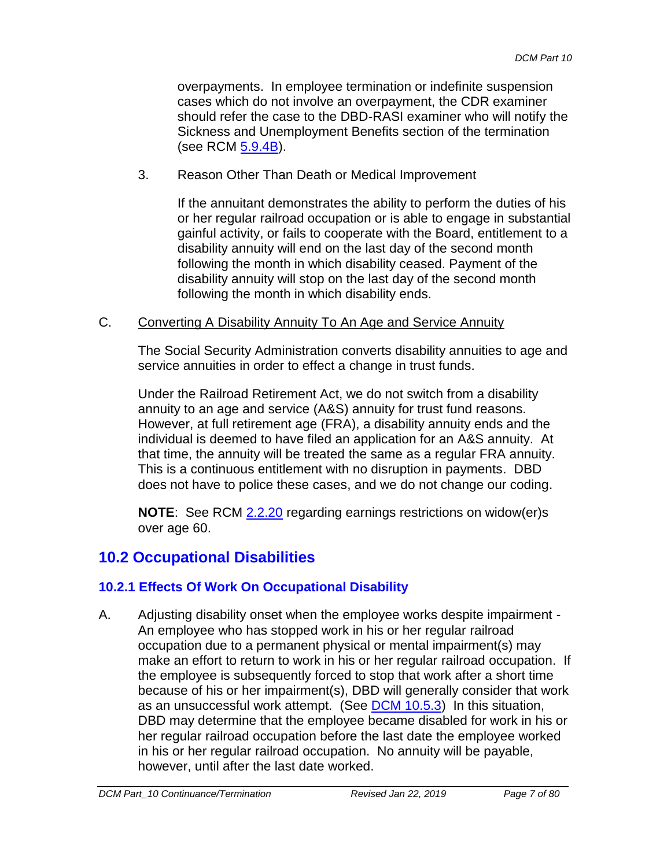overpayments. In employee termination or indefinite suspension cases which do not involve an overpayment, the CDR examiner should refer the case to the DBD-RASI examiner who will notify the Sickness and Unemployment Benefits section of the termination (see RCM 5.9.4B).

3. Reason Other Than Death or Medical Improvement

If the annuitant demonstrates the ability to perform the duties of his or her regular railroad occupation or is able to engage in substantial gainful activity, or fails to cooperate with the Board, entitlement to a disability annuity will end on the last day of the second month following the month in which disability ceased. Payment of the disability annuity will stop on the last day of the second month following the month in which disability ends.

#### C. Converting A Disability Annuity To An Age and Service Annuity

The Social Security Administration converts disability annuities to age and service annuities in order to effect a change in trust funds.

Under the Railroad Retirement Act, we do not switch from a disability annuity to an age and service (A&S) annuity for trust fund reasons. However, at full retirement age (FRA), a disability annuity ends and the individual is deemed to have filed an application for an A&S annuity. At that time, the annuity will be treated the same as a regular FRA annuity. This is a continuous entitlement with no disruption in payments. DBD does not have to police these cases, and we do not change our coding.

**NOTE**: See RCM 2.2.20 regarding earnings restrictions on widow(er)s over age 60.

# **10.2 Occupational Disabilities**

## **10.2.1 Effects Of Work On Occupational Disability**

A. Adjusting disability onset when the employee works despite impairment - An employee who has stopped work in his or her regular railroad occupation due to a permanent physical or mental impairment(s) may make an effort to return to work in his or her regular railroad occupation. If the employee is subsequently forced to stop that work after a short time because of his or her impairment(s), DBD will generally consider that work as an unsuccessful work attempt. (See [DCM 10.5.3\)](http://rrbsharepoint/sites/Pub/DisMan/DCM/Documents/DCM_Part_10.pdf#search=10.5.3) In this situation, DBD may determine that the employee became disabled for work in his or her regular railroad occupation before the last date the employee worked in his or her regular railroad occupation. No annuity will be payable, however, until after the last date worked.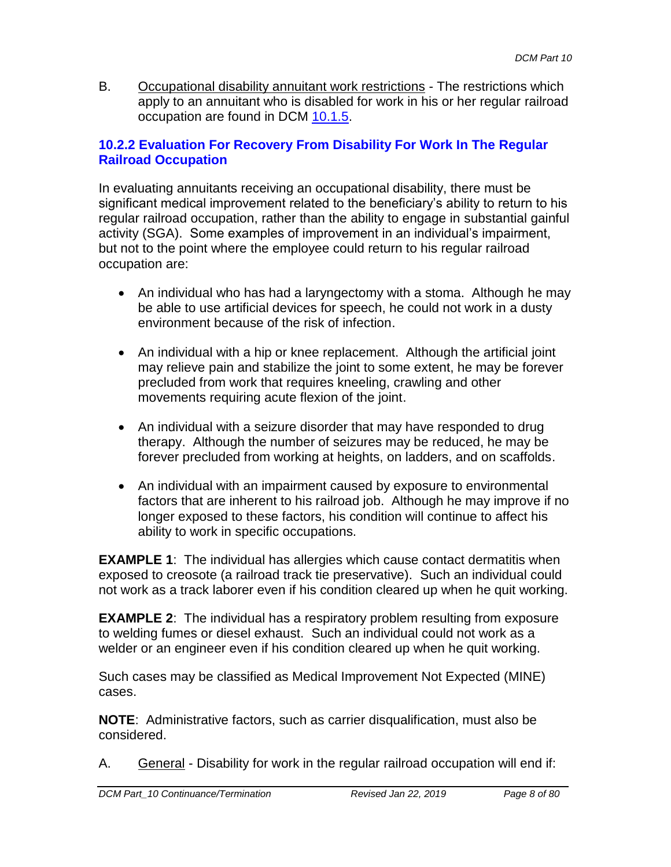B. Occupational disability annuitant work restrictions - The restrictions which apply to an annuitant who is disabled for work in his or her regular railroad occupation are found in DCM 10.1.5.

# **10.2.2 Evaluation For Recovery From Disability For Work In The Regular Railroad Occupation**

In evaluating annuitants receiving an occupational disability, there must be significant medical improvement related to the beneficiary's ability to return to his regular railroad occupation, rather than the ability to engage in substantial gainful activity (SGA). Some examples of improvement in an individual's impairment, but not to the point where the employee could return to his regular railroad occupation are:

- An individual who has had a laryngectomy with a stoma. Although he may be able to use artificial devices for speech, he could not work in a dusty environment because of the risk of infection.
- An individual with a hip or knee replacement. Although the artificial joint may relieve pain and stabilize the joint to some extent, he may be forever precluded from work that requires kneeling, crawling and other movements requiring acute flexion of the joint.
- An individual with a seizure disorder that may have responded to drug therapy. Although the number of seizures may be reduced, he may be forever precluded from working at heights, on ladders, and on scaffolds.
- An individual with an impairment caused by exposure to environmental factors that are inherent to his railroad job. Although he may improve if no longer exposed to these factors, his condition will continue to affect his ability to work in specific occupations.

**EXAMPLE 1:** The individual has allergies which cause contact dermatitis when exposed to creosote (a railroad track tie preservative). Such an individual could not work as a track laborer even if his condition cleared up when he quit working.

**EXAMPLE 2:** The individual has a respiratory problem resulting from exposure to welding fumes or diesel exhaust. Such an individual could not work as a welder or an engineer even if his condition cleared up when he quit working.

Such cases may be classified as Medical Improvement Not Expected (MINE) cases.

**NOTE**: Administrative factors, such as carrier disqualification, must also be considered.

A. General - Disability for work in the regular railroad occupation will end if: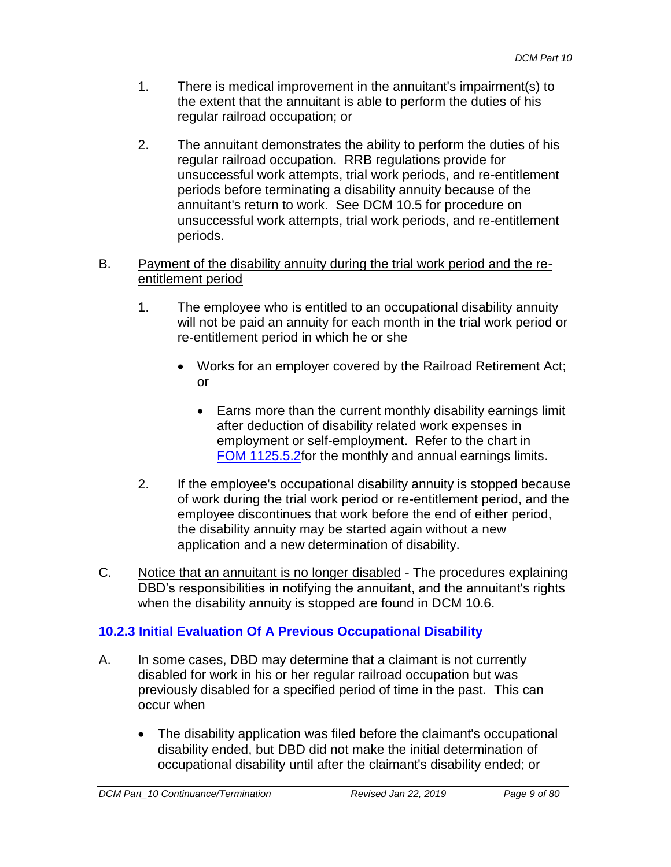- 1. There is medical improvement in the annuitant's impairment(s) to the extent that the annuitant is able to perform the duties of his regular railroad occupation; or
- 2. The annuitant demonstrates the ability to perform the duties of his regular railroad occupation. RRB regulations provide for unsuccessful work attempts, trial work periods, and re-entitlement periods before terminating a disability annuity because of the annuitant's return to work. See DCM 10.5 for procedure on unsuccessful work attempts, trial work periods, and re-entitlement periods.

#### B. Payment of the disability annuity during the trial work period and the reentitlement period

- 1. The employee who is entitled to an occupational disability annuity will not be paid an annuity for each month in the trial work period or re-entitlement period in which he or she
	- Works for an employer covered by the Railroad Retirement Act; or
		- Earns more than the current monthly disability earnings limit after deduction of disability related work expenses in employment or self-employment. Refer to the chart in FOM 1125.5.2for the monthly and annual earnings limits.
- 2. If the employee's occupational disability annuity is stopped because of work during the trial work period or re-entitlement period, and the employee discontinues that work before the end of either period, the disability annuity may be started again without a new application and a new determination of disability.
- C. Notice that an annuitant is no longer disabled The procedures explaining DBD's responsibilities in notifying the annuitant, and the annuitant's rights when the disability annuity is stopped are found in DCM 10.6.

# **10.2.3 Initial Evaluation Of A Previous Occupational Disability**

- A. In some cases, DBD may determine that a claimant is not currently disabled for work in his or her regular railroad occupation but was previously disabled for a specified period of time in the past. This can occur when
	- The disability application was filed before the claimant's occupational disability ended, but DBD did not make the initial determination of occupational disability until after the claimant's disability ended; or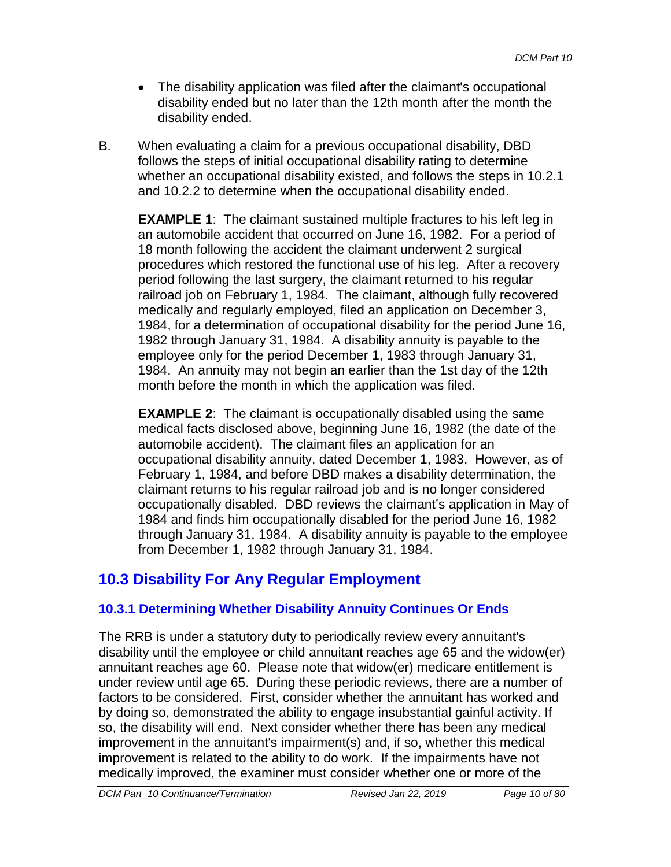- The disability application was filed after the claimant's occupational disability ended but no later than the 12th month after the month the disability ended.
- B. When evaluating a claim for a previous occupational disability, DBD follows the steps of initial occupational disability rating to determine whether an occupational disability existed, and follows the steps in 10.2.1 and 10.2.2 to determine when the occupational disability ended.

**EXAMPLE 1**: The claimant sustained multiple fractures to his left leg in an automobile accident that occurred on June 16, 1982. For a period of 18 month following the accident the claimant underwent 2 surgical procedures which restored the functional use of his leg. After a recovery period following the last surgery, the claimant returned to his regular railroad job on February 1, 1984. The claimant, although fully recovered medically and regularly employed, filed an application on December 3, 1984, for a determination of occupational disability for the period June 16, 1982 through January 31, 1984. A disability annuity is payable to the employee only for the period December 1, 1983 through January 31, 1984. An annuity may not begin an earlier than the 1st day of the 12th month before the month in which the application was filed.

**EXAMPLE 2**: The claimant is occupationally disabled using the same medical facts disclosed above, beginning June 16, 1982 (the date of the automobile accident). The claimant files an application for an occupational disability annuity, dated December 1, 1983. However, as of February 1, 1984, and before DBD makes a disability determination, the claimant returns to his regular railroad job and is no longer considered occupationally disabled. DBD reviews the claimant's application in May of 1984 and finds him occupationally disabled for the period June 16, 1982 through January 31, 1984. A disability annuity is payable to the employee from December 1, 1982 through January 31, 1984.

# **10.3 Disability For Any Regular Employment**

# **10.3.1 Determining Whether Disability Annuity Continues Or Ends**

The RRB is under a statutory duty to periodically review every annuitant's disability until the employee or child annuitant reaches age 65 and the widow(er) annuitant reaches age 60. Please note that widow(er) medicare entitlement is under review until age 65. During these periodic reviews, there are a number of factors to be considered. First, consider whether the annuitant has worked and by doing so, demonstrated the ability to engage insubstantial gainful activity. If so, the disability will end. Next consider whether there has been any medical improvement in the annuitant's impairment(s) and, if so, whether this medical improvement is related to the ability to do work. If the impairments have not medically improved, the examiner must consider whether one or more of the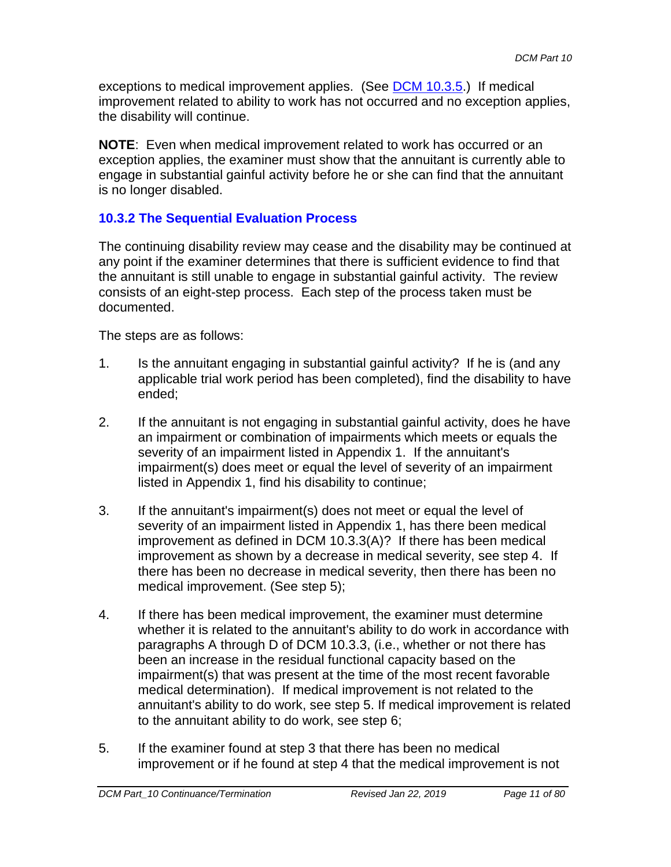exceptions to medical improvement applies. (See [DCM 10.3.5.](#page-18-0)) If medical improvement related to ability to work has not occurred and no exception applies, the disability will continue.

**NOTE**: Even when medical improvement related to work has occurred or an exception applies, the examiner must show that the annuitant is currently able to engage in substantial gainful activity before he or she can find that the annuitant is no longer disabled.

# **10.3.2 The Sequential Evaluation Process**

The continuing disability review may cease and the disability may be continued at any point if the examiner determines that there is sufficient evidence to find that the annuitant is still unable to engage in substantial gainful activity. The review consists of an eight-step process. Each step of the process taken must be documented.

The steps are as follows:

- 1. Is the annuitant engaging in substantial gainful activity? If he is (and any applicable trial work period has been completed), find the disability to have ended;
- 2. If the annuitant is not engaging in substantial gainful activity, does he have an impairment or combination of impairments which meets or equals the severity of an impairment listed in Appendix 1. If the annuitant's impairment(s) does meet or equal the level of severity of an impairment listed in Appendix 1, find his disability to continue;
- 3. If the annuitant's impairment(s) does not meet or equal the level of severity of an impairment listed in Appendix 1, has there been medical improvement as defined in DCM 10.3.3(A)? If there has been medical improvement as shown by a decrease in medical severity, see step 4. If there has been no decrease in medical severity, then there has been no medical improvement. (See step 5);
- 4. If there has been medical improvement, the examiner must determine whether it is related to the annuitant's ability to do work in accordance with paragraphs A through D of DCM 10.3.3, (i.e., whether or not there has been an increase in the residual functional capacity based on the impairment(s) that was present at the time of the most recent favorable medical determination). If medical improvement is not related to the annuitant's ability to do work, see step 5. If medical improvement is related to the annuitant ability to do work, see step 6;
- 5. If the examiner found at step 3 that there has been no medical improvement or if he found at step 4 that the medical improvement is not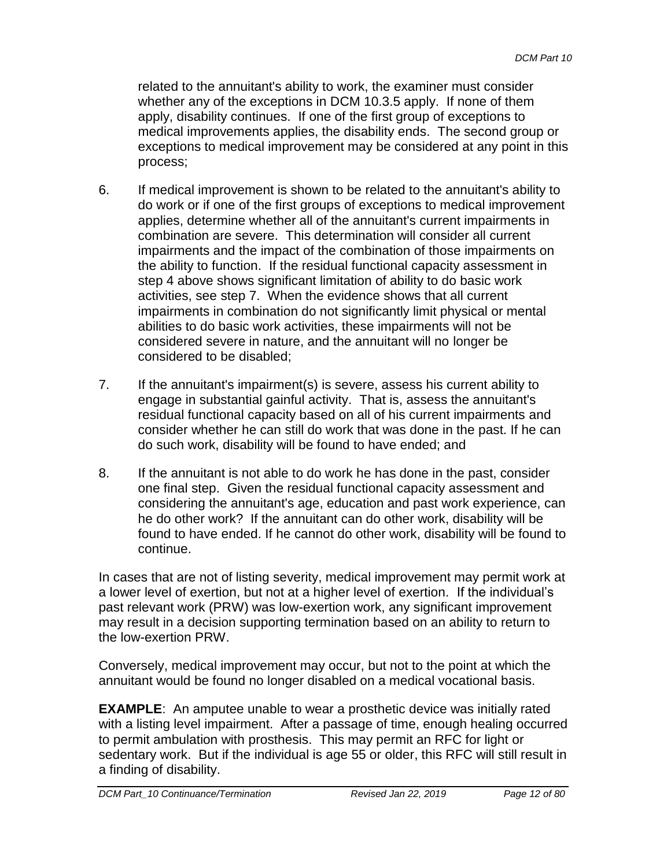related to the annuitant's ability to work, the examiner must consider whether any of the exceptions in DCM 10.3.5 apply. If none of them apply, disability continues. If one of the first group of exceptions to medical improvements applies, the disability ends. The second group or exceptions to medical improvement may be considered at any point in this process;

- 6. If medical improvement is shown to be related to the annuitant's ability to do work or if one of the first groups of exceptions to medical improvement applies, determine whether all of the annuitant's current impairments in combination are severe. This determination will consider all current impairments and the impact of the combination of those impairments on the ability to function. If the residual functional capacity assessment in step 4 above shows significant limitation of ability to do basic work activities, see step 7. When the evidence shows that all current impairments in combination do not significantly limit physical or mental abilities to do basic work activities, these impairments will not be considered severe in nature, and the annuitant will no longer be considered to be disabled;
- 7. If the annuitant's impairment(s) is severe, assess his current ability to engage in substantial gainful activity. That is, assess the annuitant's residual functional capacity based on all of his current impairments and consider whether he can still do work that was done in the past. If he can do such work, disability will be found to have ended; and
- 8. If the annuitant is not able to do work he has done in the past, consider one final step. Given the residual functional capacity assessment and considering the annuitant's age, education and past work experience, can he do other work? If the annuitant can do other work, disability will be found to have ended. If he cannot do other work, disability will be found to continue.

In cases that are not of listing severity, medical improvement may permit work at a lower level of exertion, but not at a higher level of exertion. If the individual's past relevant work (PRW) was low-exertion work, any significant improvement may result in a decision supporting termination based on an ability to return to the low-exertion PRW.

Conversely, medical improvement may occur, but not to the point at which the annuitant would be found no longer disabled on a medical vocational basis.

**EXAMPLE:** An amputee unable to wear a prosthetic device was initially rated with a listing level impairment. After a passage of time, enough healing occurred to permit ambulation with prosthesis. This may permit an RFC for light or sedentary work. But if the individual is age 55 or older, this RFC will still result in a finding of disability.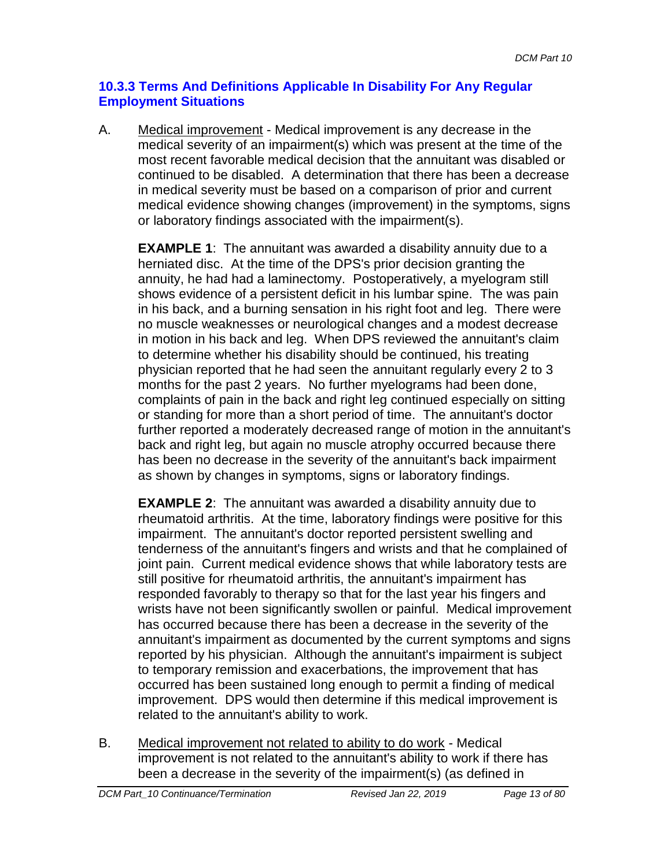# **10.3.3 Terms And Definitions Applicable In Disability For Any Regular Employment Situations**

A. Medical improvement - Medical improvement is any decrease in the medical severity of an impairment(s) which was present at the time of the most recent favorable medical decision that the annuitant was disabled or continued to be disabled. A determination that there has been a decrease in medical severity must be based on a comparison of prior and current medical evidence showing changes (improvement) in the symptoms, signs or laboratory findings associated with the impairment(s).

**EXAMPLE 1**: The annuitant was awarded a disability annuity due to a herniated disc. At the time of the DPS's prior decision granting the annuity, he had had a laminectomy. Postoperatively, a myelogram still shows evidence of a persistent deficit in his lumbar spine. The was pain in his back, and a burning sensation in his right foot and leg. There were no muscle weaknesses or neurological changes and a modest decrease in motion in his back and leg. When DPS reviewed the annuitant's claim to determine whether his disability should be continued, his treating physician reported that he had seen the annuitant regularly every 2 to 3 months for the past 2 years. No further myelograms had been done, complaints of pain in the back and right leg continued especially on sitting or standing for more than a short period of time. The annuitant's doctor further reported a moderately decreased range of motion in the annuitant's back and right leg, but again no muscle atrophy occurred because there has been no decrease in the severity of the annuitant's back impairment as shown by changes in symptoms, signs or laboratory findings.

**EXAMPLE 2**: The annuitant was awarded a disability annuity due to rheumatoid arthritis. At the time, laboratory findings were positive for this impairment. The annuitant's doctor reported persistent swelling and tenderness of the annuitant's fingers and wrists and that he complained of joint pain. Current medical evidence shows that while laboratory tests are still positive for rheumatoid arthritis, the annuitant's impairment has responded favorably to therapy so that for the last year his fingers and wrists have not been significantly swollen or painful. Medical improvement has occurred because there has been a decrease in the severity of the annuitant's impairment as documented by the current symptoms and signs reported by his physician. Although the annuitant's impairment is subject to temporary remission and exacerbations, the improvement that has occurred has been sustained long enough to permit a finding of medical improvement. DPS would then determine if this medical improvement is related to the annuitant's ability to work.

B. Medical improvement not related to ability to do work - Medical improvement is not related to the annuitant's ability to work if there has been a decrease in the severity of the impairment(s) (as defined in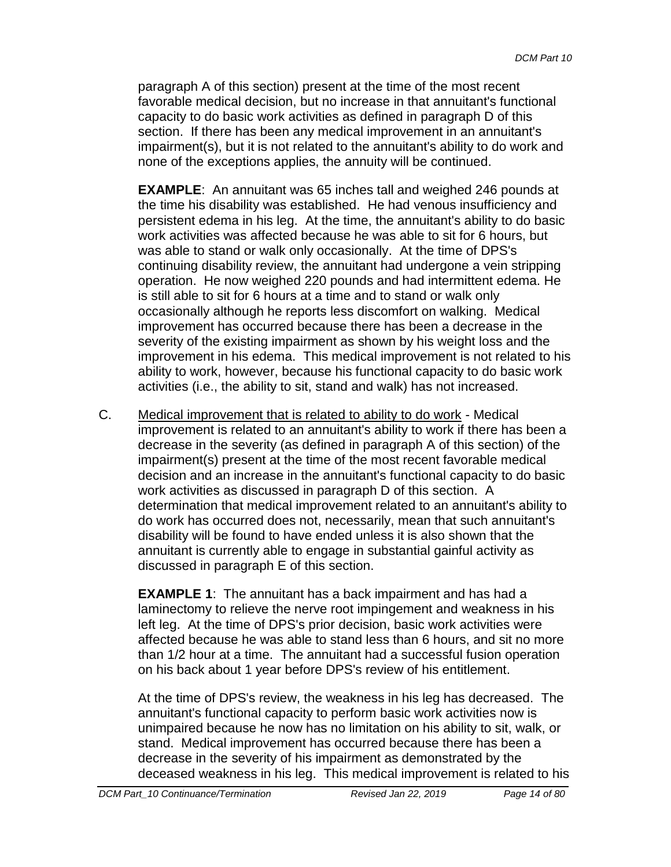paragraph A of this section) present at the time of the most recent favorable medical decision, but no increase in that annuitant's functional capacity to do basic work activities as defined in paragraph D of this section. If there has been any medical improvement in an annuitant's impairment(s), but it is not related to the annuitant's ability to do work and none of the exceptions applies, the annuity will be continued.

**EXAMPLE**: An annuitant was 65 inches tall and weighed 246 pounds at the time his disability was established. He had venous insufficiency and persistent edema in his leg. At the time, the annuitant's ability to do basic work activities was affected because he was able to sit for 6 hours, but was able to stand or walk only occasionally. At the time of DPS's continuing disability review, the annuitant had undergone a vein stripping operation. He now weighed 220 pounds and had intermittent edema. He is still able to sit for 6 hours at a time and to stand or walk only occasionally although he reports less discomfort on walking. Medical improvement has occurred because there has been a decrease in the severity of the existing impairment as shown by his weight loss and the improvement in his edema. This medical improvement is not related to his ability to work, however, because his functional capacity to do basic work activities (i.e., the ability to sit, stand and walk) has not increased.

C. Medical improvement that is related to ability to do work - Medical improvement is related to an annuitant's ability to work if there has been a decrease in the severity (as defined in paragraph A of this section) of the impairment(s) present at the time of the most recent favorable medical decision and an increase in the annuitant's functional capacity to do basic work activities as discussed in paragraph D of this section. A determination that medical improvement related to an annuitant's ability to do work has occurred does not, necessarily, mean that such annuitant's disability will be found to have ended unless it is also shown that the annuitant is currently able to engage in substantial gainful activity as discussed in paragraph E of this section.

**EXAMPLE 1**: The annuitant has a back impairment and has had a laminectomy to relieve the nerve root impingement and weakness in his left leg. At the time of DPS's prior decision, basic work activities were affected because he was able to stand less than 6 hours, and sit no more than 1/2 hour at a time. The annuitant had a successful fusion operation on his back about 1 year before DPS's review of his entitlement.

At the time of DPS's review, the weakness in his leg has decreased. The annuitant's functional capacity to perform basic work activities now is unimpaired because he now has no limitation on his ability to sit, walk, or stand. Medical improvement has occurred because there has been a decrease in the severity of his impairment as demonstrated by the deceased weakness in his leg. This medical improvement is related to his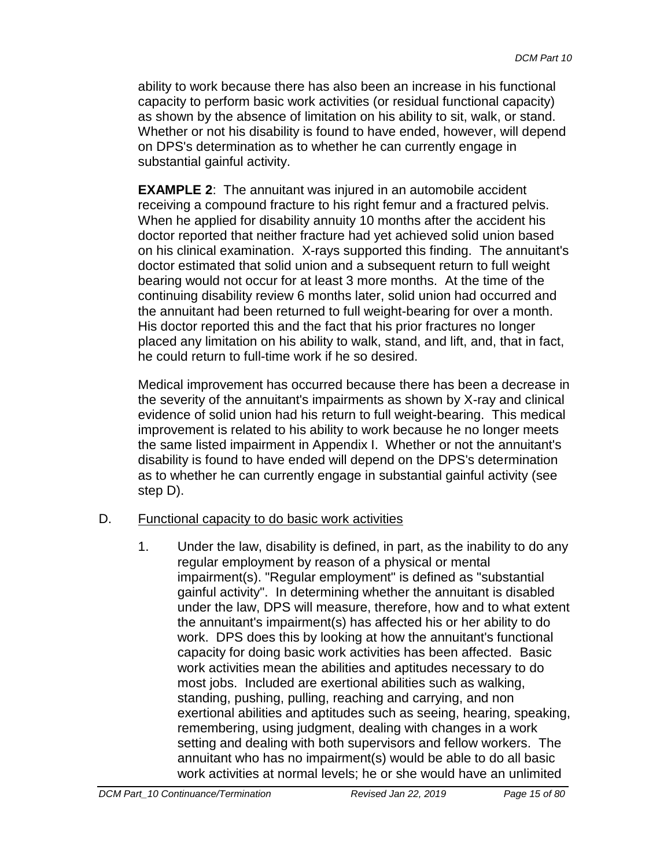ability to work because there has also been an increase in his functional capacity to perform basic work activities (or residual functional capacity) as shown by the absence of limitation on his ability to sit, walk, or stand. Whether or not his disability is found to have ended, however, will depend on DPS's determination as to whether he can currently engage in substantial gainful activity.

**EXAMPLE 2**: The annuitant was injured in an automobile accident receiving a compound fracture to his right femur and a fractured pelvis. When he applied for disability annuity 10 months after the accident his doctor reported that neither fracture had yet achieved solid union based on his clinical examination. X-rays supported this finding. The annuitant's doctor estimated that solid union and a subsequent return to full weight bearing would not occur for at least 3 more months. At the time of the continuing disability review 6 months later, solid union had occurred and the annuitant had been returned to full weight-bearing for over a month. His doctor reported this and the fact that his prior fractures no longer placed any limitation on his ability to walk, stand, and lift, and, that in fact, he could return to full-time work if he so desired.

Medical improvement has occurred because there has been a decrease in the severity of the annuitant's impairments as shown by X-ray and clinical evidence of solid union had his return to full weight-bearing. This medical improvement is related to his ability to work because he no longer meets the same listed impairment in Appendix I. Whether or not the annuitant's disability is found to have ended will depend on the DPS's determination as to whether he can currently engage in substantial gainful activity (see step D).

#### D. Functional capacity to do basic work activities

1. Under the law, disability is defined, in part, as the inability to do any regular employment by reason of a physical or mental impairment(s). "Regular employment" is defined as "substantial gainful activity". In determining whether the annuitant is disabled under the law, DPS will measure, therefore, how and to what extent the annuitant's impairment(s) has affected his or her ability to do work. DPS does this by looking at how the annuitant's functional capacity for doing basic work activities has been affected. Basic work activities mean the abilities and aptitudes necessary to do most jobs. Included are exertional abilities such as walking, standing, pushing, pulling, reaching and carrying, and non exertional abilities and aptitudes such as seeing, hearing, speaking, remembering, using judgment, dealing with changes in a work setting and dealing with both supervisors and fellow workers. The annuitant who has no impairment(s) would be able to do all basic work activities at normal levels; he or she would have an unlimited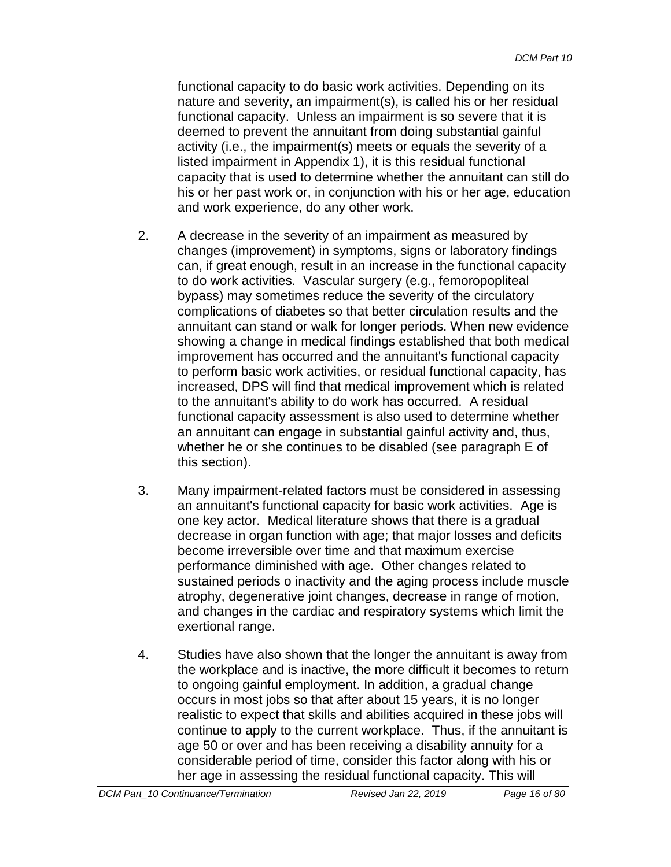functional capacity to do basic work activities. Depending on its nature and severity, an impairment(s), is called his or her residual functional capacity. Unless an impairment is so severe that it is deemed to prevent the annuitant from doing substantial gainful activity (i.e., the impairment(s) meets or equals the severity of a listed impairment in Appendix 1), it is this residual functional capacity that is used to determine whether the annuitant can still do his or her past work or, in conjunction with his or her age, education and work experience, do any other work.

- 2. A decrease in the severity of an impairment as measured by changes (improvement) in symptoms, signs or laboratory findings can, if great enough, result in an increase in the functional capacity to do work activities. Vascular surgery (e.g., femoropopliteal bypass) may sometimes reduce the severity of the circulatory complications of diabetes so that better circulation results and the annuitant can stand or walk for longer periods. When new evidence showing a change in medical findings established that both medical improvement has occurred and the annuitant's functional capacity to perform basic work activities, or residual functional capacity, has increased, DPS will find that medical improvement which is related to the annuitant's ability to do work has occurred. A residual functional capacity assessment is also used to determine whether an annuitant can engage in substantial gainful activity and, thus, whether he or she continues to be disabled (see paragraph E of this section).
- 3. Many impairment-related factors must be considered in assessing an annuitant's functional capacity for basic work activities. Age is one key actor. Medical literature shows that there is a gradual decrease in organ function with age; that major losses and deficits become irreversible over time and that maximum exercise performance diminished with age. Other changes related to sustained periods o inactivity and the aging process include muscle atrophy, degenerative joint changes, decrease in range of motion, and changes in the cardiac and respiratory systems which limit the exertional range.
- 4. Studies have also shown that the longer the annuitant is away from the workplace and is inactive, the more difficult it becomes to return to ongoing gainful employment. In addition, a gradual change occurs in most jobs so that after about 15 years, it is no longer realistic to expect that skills and abilities acquired in these jobs will continue to apply to the current workplace. Thus, if the annuitant is age 50 or over and has been receiving a disability annuity for a considerable period of time, consider this factor along with his or her age in assessing the residual functional capacity. This will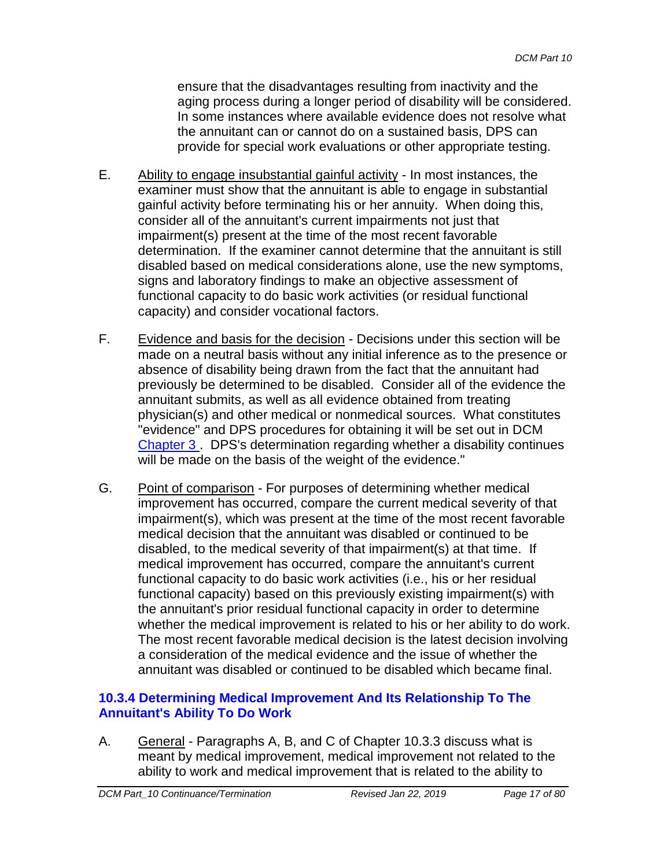ensure that the disadvantages resulting from inactivity and the aging process during a longer period of disability will be considered. In some instances where available evidence does not resolve what the annuitant can or cannot do on a sustained basis, DPS can provide for special work evaluations or other appropriate testing.

- E. Ability to engage insubstantial gainful activity In most instances, the examiner must show that the annuitant is able to engage in substantial gainful activity before terminating his or her annuity. When doing this, consider all of the annuitant's current impairments not just that impairment(s) present at the time of the most recent favorable determination. If the examiner cannot determine that the annuitant is still disabled based on medical considerations alone, use the new symptoms, signs and laboratory findings to make an objective assessment of functional capacity to do basic work activities (or residual functional capacity) and consider vocational factors.
- F. Evidence and basis for the decision Decisions under this section will be made on a neutral basis without any initial inference as to the presence or absence of disability being drawn from the fact that the annuitant had previously be determined to be disabled. Consider all of the evidence the annuitant submits, as well as all evidence obtained from treating physician(s) and other medical or nonmedical sources. What constitutes "evidence" and DPS procedures for obtaining it will be set out in DCM Chapter 3 . DPS's determination regarding whether a disability continues will be made on the basis of the weight of the evidence."
- G. Point of comparison For purposes of determining whether medical improvement has occurred, compare the current medical severity of that impairment(s), which was present at the time of the most recent favorable medical decision that the annuitant was disabled or continued to be disabled, to the medical severity of that impairment(s) at that time. If medical improvement has occurred, compare the annuitant's current functional capacity to do basic work activities (i.e., his or her residual functional capacity) based on this previously existing impairment(s) with the annuitant's prior residual functional capacity in order to determine whether the medical improvement is related to his or her ability to do work. The most recent favorable medical decision is the latest decision involving a consideration of the medical evidence and the issue of whether the annuitant was disabled or continued to be disabled which became final.

## **10.3.4 Determining Medical Improvement And Its Relationship To The Annuitant's Ability To Do Work**

A. General - Paragraphs A, B, and C of Chapter 10.3.3 discuss what is meant by medical improvement, medical improvement not related to the ability to work and medical improvement that is related to the ability to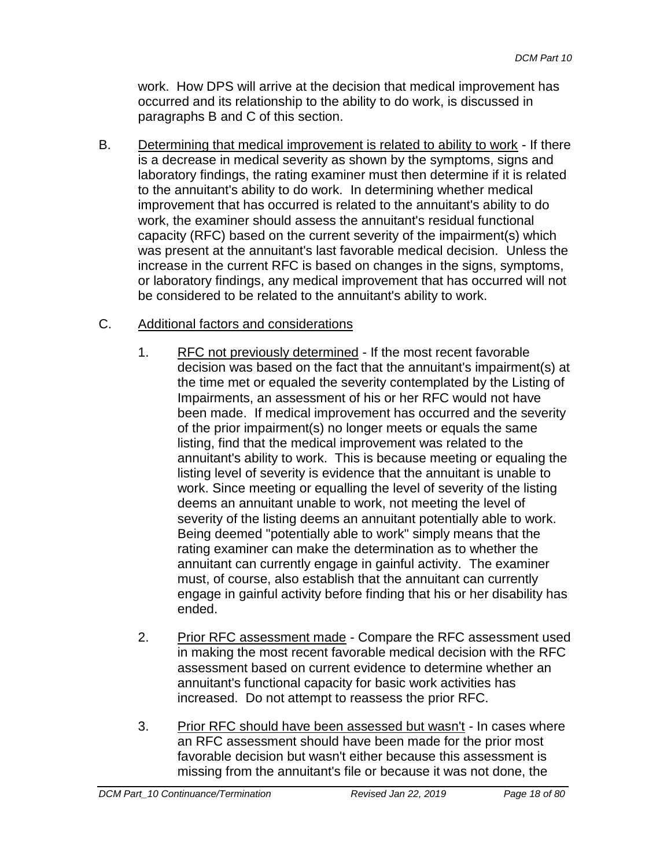work. How DPS will arrive at the decision that medical improvement has occurred and its relationship to the ability to do work, is discussed in paragraphs B and C of this section.

B. Determining that medical improvement is related to ability to work - If there is a decrease in medical severity as shown by the symptoms, signs and laboratory findings, the rating examiner must then determine if it is related to the annuitant's ability to do work. In determining whether medical improvement that has occurred is related to the annuitant's ability to do work, the examiner should assess the annuitant's residual functional capacity (RFC) based on the current severity of the impairment(s) which was present at the annuitant's last favorable medical decision. Unless the increase in the current RFC is based on changes in the signs, symptoms, or laboratory findings, any medical improvement that has occurred will not be considered to be related to the annuitant's ability to work.

# C. Additional factors and considerations

- 1. RFC not previously determined If the most recent favorable decision was based on the fact that the annuitant's impairment(s) at the time met or equaled the severity contemplated by the Listing of Impairments, an assessment of his or her RFC would not have been made. If medical improvement has occurred and the severity of the prior impairment(s) no longer meets or equals the same listing, find that the medical improvement was related to the annuitant's ability to work. This is because meeting or equaling the listing level of severity is evidence that the annuitant is unable to work. Since meeting or equalling the level of severity of the listing deems an annuitant unable to work, not meeting the level of severity of the listing deems an annuitant potentially able to work. Being deemed "potentially able to work" simply means that the rating examiner can make the determination as to whether the annuitant can currently engage in gainful activity. The examiner must, of course, also establish that the annuitant can currently engage in gainful activity before finding that his or her disability has ended.
- 2. Prior RFC assessment made Compare the RFC assessment used in making the most recent favorable medical decision with the RFC assessment based on current evidence to determine whether an annuitant's functional capacity for basic work activities has increased. Do not attempt to reassess the prior RFC.
- 3. Prior RFC should have been assessed but wasn't In cases where an RFC assessment should have been made for the prior most favorable decision but wasn't either because this assessment is missing from the annuitant's file or because it was not done, the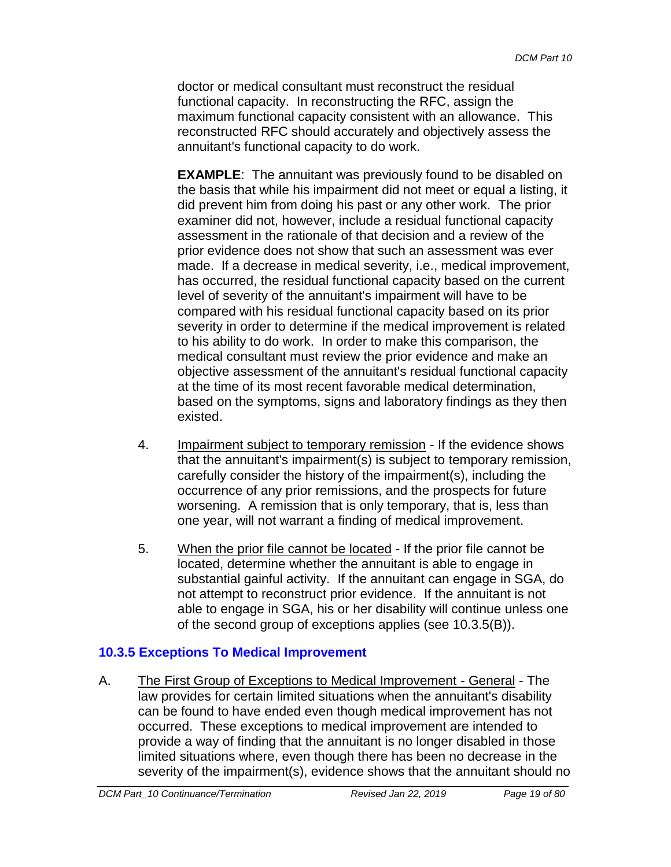doctor or medical consultant must reconstruct the residual functional capacity. In reconstructing the RFC, assign the maximum functional capacity consistent with an allowance. This reconstructed RFC should accurately and objectively assess the annuitant's functional capacity to do work.

**EXAMPLE**: The annuitant was previously found to be disabled on the basis that while his impairment did not meet or equal a listing, it did prevent him from doing his past or any other work. The prior examiner did not, however, include a residual functional capacity assessment in the rationale of that decision and a review of the prior evidence does not show that such an assessment was ever made. If a decrease in medical severity, i.e., medical improvement, has occurred, the residual functional capacity based on the current level of severity of the annuitant's impairment will have to be compared with his residual functional capacity based on its prior severity in order to determine if the medical improvement is related to his ability to do work. In order to make this comparison, the medical consultant must review the prior evidence and make an objective assessment of the annuitant's residual functional capacity at the time of its most recent favorable medical determination, based on the symptoms, signs and laboratory findings as they then existed.

- 4. Impairment subject to temporary remission If the evidence shows that the annuitant's impairment(s) is subject to temporary remission, carefully consider the history of the impairment(s), including the occurrence of any prior remissions, and the prospects for future worsening. A remission that is only temporary, that is, less than one year, will not warrant a finding of medical improvement.
- 5. When the prior file cannot be located If the prior file cannot be located, determine whether the annuitant is able to engage in substantial gainful activity. If the annuitant can engage in SGA, do not attempt to reconstruct prior evidence. If the annuitant is not able to engage in SGA, his or her disability will continue unless one of the second group of exceptions applies (see 10.3.5(B)).

## <span id="page-18-0"></span>**10.3.5 Exceptions To Medical Improvement**

A. The First Group of Exceptions to Medical Improvement - General - The law provides for certain limited situations when the annuitant's disability can be found to have ended even though medical improvement has not occurred. These exceptions to medical improvement are intended to provide a way of finding that the annuitant is no longer disabled in those limited situations where, even though there has been no decrease in the severity of the impairment(s), evidence shows that the annuitant should no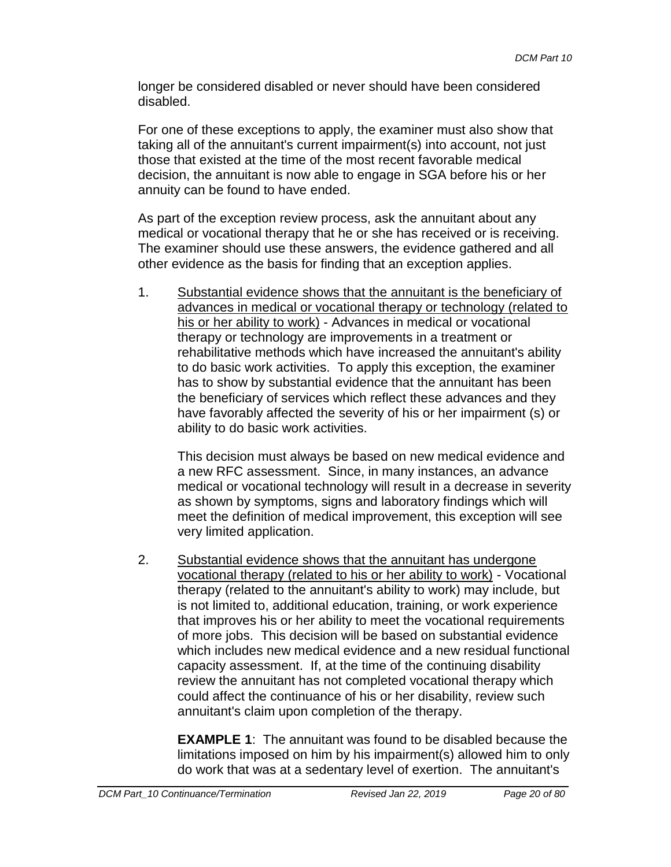longer be considered disabled or never should have been considered disabled.

For one of these exceptions to apply, the examiner must also show that taking all of the annuitant's current impairment(s) into account, not just those that existed at the time of the most recent favorable medical decision, the annuitant is now able to engage in SGA before his or her annuity can be found to have ended.

As part of the exception review process, ask the annuitant about any medical or vocational therapy that he or she has received or is receiving. The examiner should use these answers, the evidence gathered and all other evidence as the basis for finding that an exception applies.

1. Substantial evidence shows that the annuitant is the beneficiary of advances in medical or vocational therapy or technology (related to his or her ability to work) - Advances in medical or vocational therapy or technology are improvements in a treatment or rehabilitative methods which have increased the annuitant's ability to do basic work activities. To apply this exception, the examiner has to show by substantial evidence that the annuitant has been the beneficiary of services which reflect these advances and they have favorably affected the severity of his or her impairment (s) or ability to do basic work activities.

This decision must always be based on new medical evidence and a new RFC assessment. Since, in many instances, an advance medical or vocational technology will result in a decrease in severity as shown by symptoms, signs and laboratory findings which will meet the definition of medical improvement, this exception will see very limited application.

2. Substantial evidence shows that the annuitant has undergone vocational therapy (related to his or her ability to work) - Vocational therapy (related to the annuitant's ability to work) may include, but is not limited to, additional education, training, or work experience that improves his or her ability to meet the vocational requirements of more jobs. This decision will be based on substantial evidence which includes new medical evidence and a new residual functional capacity assessment. If, at the time of the continuing disability review the annuitant has not completed vocational therapy which could affect the continuance of his or her disability, review such annuitant's claim upon completion of the therapy.

**EXAMPLE 1**: The annuitant was found to be disabled because the limitations imposed on him by his impairment(s) allowed him to only do work that was at a sedentary level of exertion. The annuitant's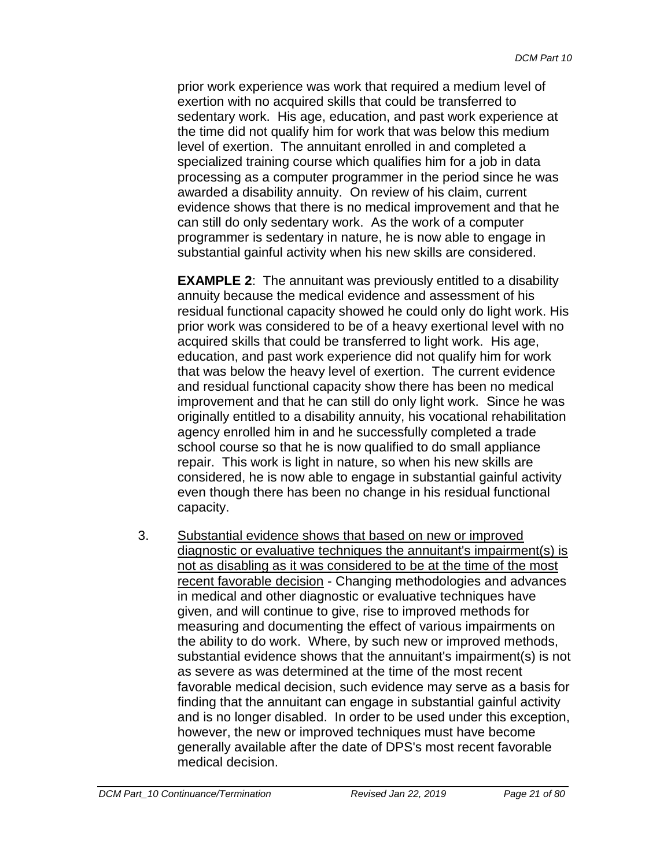prior work experience was work that required a medium level of exertion with no acquired skills that could be transferred to sedentary work. His age, education, and past work experience at the time did not qualify him for work that was below this medium level of exertion. The annuitant enrolled in and completed a specialized training course which qualifies him for a job in data processing as a computer programmer in the period since he was awarded a disability annuity. On review of his claim, current evidence shows that there is no medical improvement and that he can still do only sedentary work. As the work of a computer programmer is sedentary in nature, he is now able to engage in substantial gainful activity when his new skills are considered.

**EXAMPLE 2:** The annuitant was previously entitled to a disability annuity because the medical evidence and assessment of his residual functional capacity showed he could only do light work. His prior work was considered to be of a heavy exertional level with no acquired skills that could be transferred to light work. His age, education, and past work experience did not qualify him for work that was below the heavy level of exertion. The current evidence and residual functional capacity show there has been no medical improvement and that he can still do only light work. Since he was originally entitled to a disability annuity, his vocational rehabilitation agency enrolled him in and he successfully completed a trade school course so that he is now qualified to do small appliance repair. This work is light in nature, so when his new skills are considered, he is now able to engage in substantial gainful activity even though there has been no change in his residual functional capacity.

3. Substantial evidence shows that based on new or improved diagnostic or evaluative techniques the annuitant's impairment(s) is not as disabling as it was considered to be at the time of the most recent favorable decision - Changing methodologies and advances in medical and other diagnostic or evaluative techniques have given, and will continue to give, rise to improved methods for measuring and documenting the effect of various impairments on the ability to do work. Where, by such new or improved methods, substantial evidence shows that the annuitant's impairment(s) is not as severe as was determined at the time of the most recent favorable medical decision, such evidence may serve as a basis for finding that the annuitant can engage in substantial gainful activity and is no longer disabled. In order to be used under this exception, however, the new or improved techniques must have become generally available after the date of DPS's most recent favorable medical decision.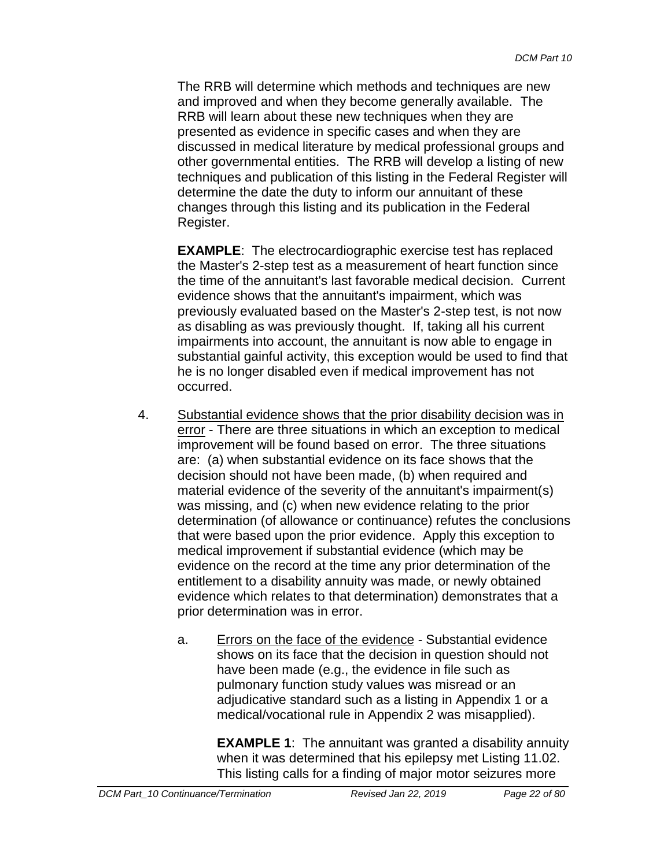The RRB will determine which methods and techniques are new and improved and when they become generally available. The RRB will learn about these new techniques when they are presented as evidence in specific cases and when they are discussed in medical literature by medical professional groups and other governmental entities. The RRB will develop a listing of new techniques and publication of this listing in the Federal Register will determine the date the duty to inform our annuitant of these changes through this listing and its publication in the Federal Register.

**EXAMPLE**: The electrocardiographic exercise test has replaced the Master's 2-step test as a measurement of heart function since the time of the annuitant's last favorable medical decision. Current evidence shows that the annuitant's impairment, which was previously evaluated based on the Master's 2-step test, is not now as disabling as was previously thought. If, taking all his current impairments into account, the annuitant is now able to engage in substantial gainful activity, this exception would be used to find that he is no longer disabled even if medical improvement has not occurred.

- 4. Substantial evidence shows that the prior disability decision was in error - There are three situations in which an exception to medical improvement will be found based on error. The three situations are: (a) when substantial evidence on its face shows that the decision should not have been made, (b) when required and material evidence of the severity of the annuitant's impairment(s) was missing, and (c) when new evidence relating to the prior determination (of allowance or continuance) refutes the conclusions that were based upon the prior evidence. Apply this exception to medical improvement if substantial evidence (which may be evidence on the record at the time any prior determination of the entitlement to a disability annuity was made, or newly obtained evidence which relates to that determination) demonstrates that a prior determination was in error.
	- a. Errors on the face of the evidence Substantial evidence shows on its face that the decision in question should not have been made (e.g., the evidence in file such as pulmonary function study values was misread or an adjudicative standard such as a listing in Appendix 1 or a medical/vocational rule in Appendix 2 was misapplied).

**EXAMPLE 1**: The annuitant was granted a disability annuity when it was determined that his epilepsy met Listing 11.02. This listing calls for a finding of major motor seizures more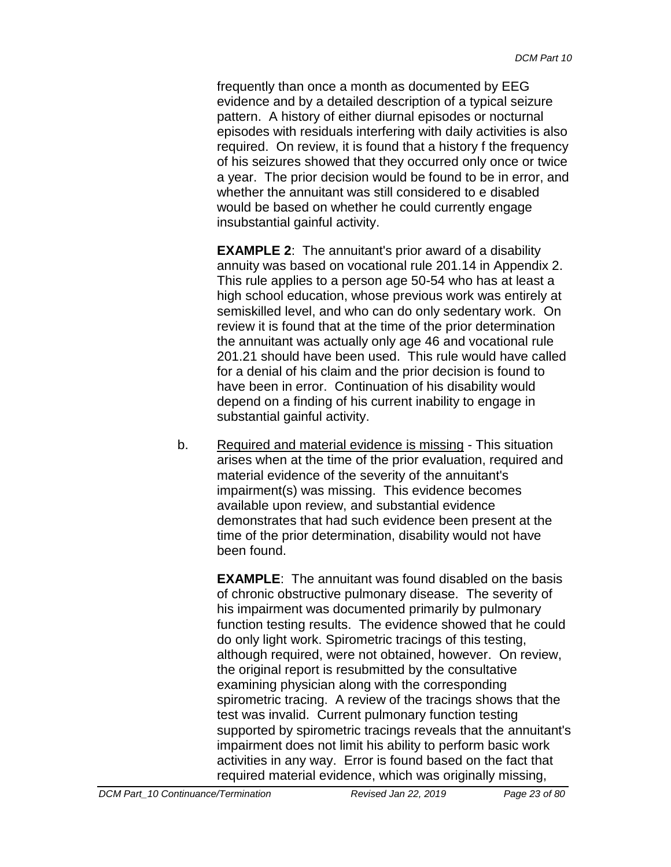frequently than once a month as documented by EEG evidence and by a detailed description of a typical seizure pattern. A history of either diurnal episodes or nocturnal episodes with residuals interfering with daily activities is also required. On review, it is found that a history f the frequency of his seizures showed that they occurred only once or twice a year. The prior decision would be found to be in error, and whether the annuitant was still considered to e disabled would be based on whether he could currently engage insubstantial gainful activity.

**EXAMPLE 2**: The annuitant's prior award of a disability annuity was based on vocational rule 201.14 in Appendix 2. This rule applies to a person age 50-54 who has at least a high school education, whose previous work was entirely at semiskilled level, and who can do only sedentary work. On review it is found that at the time of the prior determination the annuitant was actually only age 46 and vocational rule 201.21 should have been used. This rule would have called for a denial of his claim and the prior decision is found to have been in error. Continuation of his disability would depend on a finding of his current inability to engage in substantial gainful activity.

b. Required and material evidence is missing - This situation arises when at the time of the prior evaluation, required and material evidence of the severity of the annuitant's impairment(s) was missing. This evidence becomes available upon review, and substantial evidence demonstrates that had such evidence been present at the time of the prior determination, disability would not have been found.

> **EXAMPLE**: The annuitant was found disabled on the basis of chronic obstructive pulmonary disease. The severity of his impairment was documented primarily by pulmonary function testing results. The evidence showed that he could do only light work. Spirometric tracings of this testing, although required, were not obtained, however. On review, the original report is resubmitted by the consultative examining physician along with the corresponding spirometric tracing. A review of the tracings shows that the test was invalid. Current pulmonary function testing supported by spirometric tracings reveals that the annuitant's impairment does not limit his ability to perform basic work activities in any way. Error is found based on the fact that required material evidence, which was originally missing,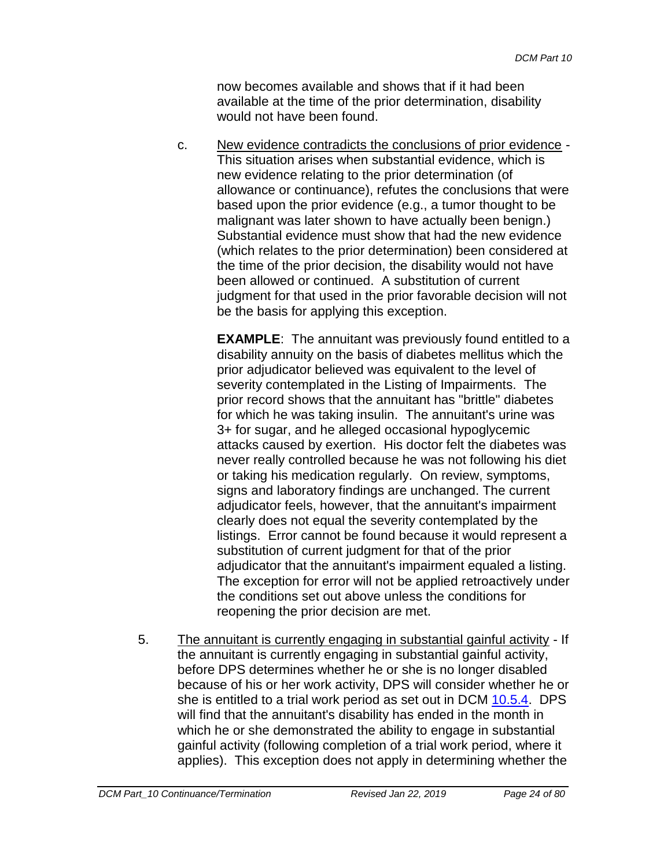now becomes available and shows that if it had been available at the time of the prior determination, disability would not have been found.

c. New evidence contradicts the conclusions of prior evidence - This situation arises when substantial evidence, which is new evidence relating to the prior determination (of allowance or continuance), refutes the conclusions that were based upon the prior evidence (e.g., a tumor thought to be malignant was later shown to have actually been benign.) Substantial evidence must show that had the new evidence (which relates to the prior determination) been considered at the time of the prior decision, the disability would not have been allowed or continued. A substitution of current judgment for that used in the prior favorable decision will not be the basis for applying this exception.

> **EXAMPLE:** The annuitant was previously found entitled to a disability annuity on the basis of diabetes mellitus which the prior adjudicator believed was equivalent to the level of severity contemplated in the Listing of Impairments. The prior record shows that the annuitant has "brittle" diabetes for which he was taking insulin. The annuitant's urine was 3+ for sugar, and he alleged occasional hypoglycemic attacks caused by exertion. His doctor felt the diabetes was never really controlled because he was not following his diet or taking his medication regularly. On review, symptoms, signs and laboratory findings are unchanged. The current adjudicator feels, however, that the annuitant's impairment clearly does not equal the severity contemplated by the listings. Error cannot be found because it would represent a substitution of current judgment for that of the prior adjudicator that the annuitant's impairment equaled a listing. The exception for error will not be applied retroactively under the conditions set out above unless the conditions for reopening the prior decision are met.

5. The annuitant is currently engaging in substantial gainful activity - If the annuitant is currently engaging in substantial gainful activity, before DPS determines whether he or she is no longer disabled because of his or her work activity, DPS will consider whether he or she is entitled to a trial work period as set out in DCM 10.5.4. DPS will find that the annuitant's disability has ended in the month in which he or she demonstrated the ability to engage in substantial gainful activity (following completion of a trial work period, where it applies). This exception does not apply in determining whether the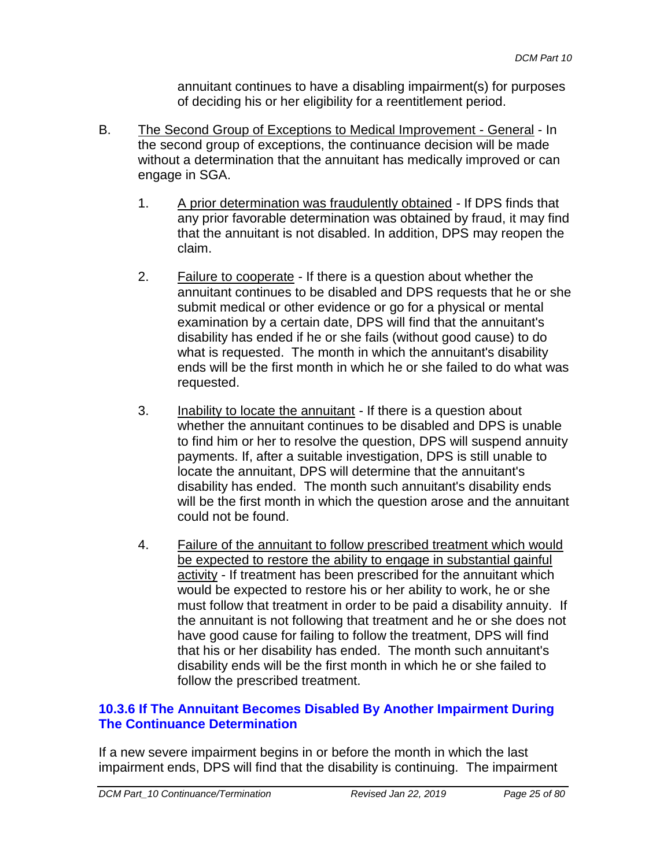annuitant continues to have a disabling impairment(s) for purposes of deciding his or her eligibility for a reentitlement period.

- B. The Second Group of Exceptions to Medical Improvement General In the second group of exceptions, the continuance decision will be made without a determination that the annuitant has medically improved or can engage in SGA.
	- 1. A prior determination was fraudulently obtained If DPS finds that any prior favorable determination was obtained by fraud, it may find that the annuitant is not disabled. In addition, DPS may reopen the claim.
	- 2. Failure to cooperate If there is a question about whether the annuitant continues to be disabled and DPS requests that he or she submit medical or other evidence or go for a physical or mental examination by a certain date, DPS will find that the annuitant's disability has ended if he or she fails (without good cause) to do what is requested. The month in which the annuitant's disability ends will be the first month in which he or she failed to do what was requested.
	- 3. Inability to locate the annuitant If there is a question about whether the annuitant continues to be disabled and DPS is unable to find him or her to resolve the question, DPS will suspend annuity payments. If, after a suitable investigation, DPS is still unable to locate the annuitant, DPS will determine that the annuitant's disability has ended. The month such annuitant's disability ends will be the first month in which the question arose and the annuitant could not be found.
	- 4. Failure of the annuitant to follow prescribed treatment which would be expected to restore the ability to engage in substantial gainful activity - If treatment has been prescribed for the annuitant which would be expected to restore his or her ability to work, he or she must follow that treatment in order to be paid a disability annuity. If the annuitant is not following that treatment and he or she does not have good cause for failing to follow the treatment, DPS will find that his or her disability has ended. The month such annuitant's disability ends will be the first month in which he or she failed to follow the prescribed treatment.

# **10.3.6 If The Annuitant Becomes Disabled By Another Impairment During The Continuance Determination**

If a new severe impairment begins in or before the month in which the last impairment ends, DPS will find that the disability is continuing. The impairment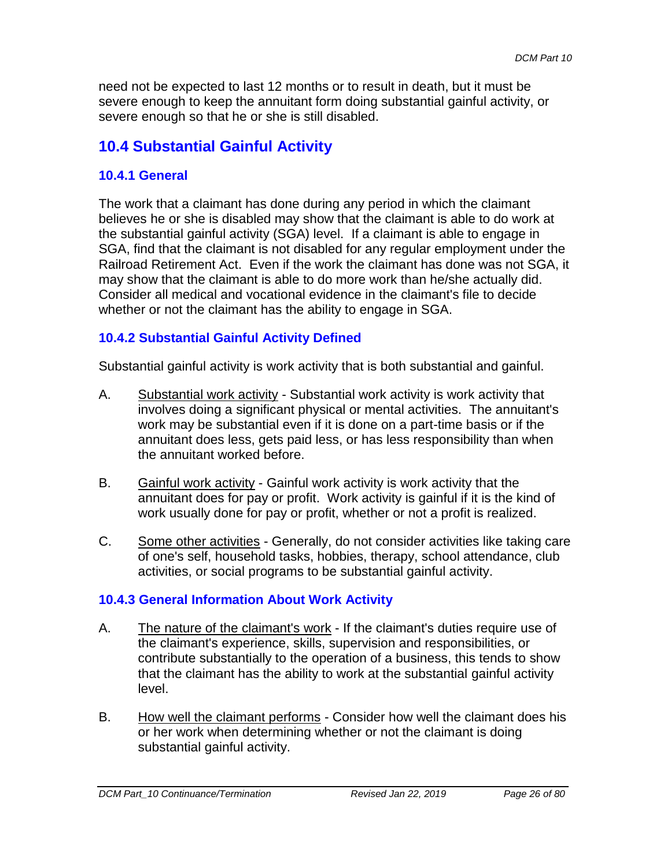need not be expected to last 12 months or to result in death, but it must be severe enough to keep the annuitant form doing substantial gainful activity, or severe enough so that he or she is still disabled.

# **10.4 Substantial Gainful Activity**

## **10.4.1 General**

The work that a claimant has done during any period in which the claimant believes he or she is disabled may show that the claimant is able to do work at the substantial gainful activity (SGA) level. If a claimant is able to engage in SGA, find that the claimant is not disabled for any regular employment under the Railroad Retirement Act. Even if the work the claimant has done was not SGA, it may show that the claimant is able to do more work than he/she actually did. Consider all medical and vocational evidence in the claimant's file to decide whether or not the claimant has the ability to engage in SGA.

# **10.4.2 Substantial Gainful Activity Defined**

Substantial gainful activity is work activity that is both substantial and gainful.

- A. Substantial work activity Substantial work activity is work activity that involves doing a significant physical or mental activities. The annuitant's work may be substantial even if it is done on a part-time basis or if the annuitant does less, gets paid less, or has less responsibility than when the annuitant worked before.
- B. Gainful work activity Gainful work activity is work activity that the annuitant does for pay or profit. Work activity is gainful if it is the kind of work usually done for pay or profit, whether or not a profit is realized.
- C. Some other activities Generally, do not consider activities like taking care of one's self, household tasks, hobbies, therapy, school attendance, club activities, or social programs to be substantial gainful activity.

# **10.4.3 General Information About Work Activity**

- A. The nature of the claimant's work If the claimant's duties require use of the claimant's experience, skills, supervision and responsibilities, or contribute substantially to the operation of a business, this tends to show that the claimant has the ability to work at the substantial gainful activity level.
- B. How well the claimant performs Consider how well the claimant does his or her work when determining whether or not the claimant is doing substantial gainful activity.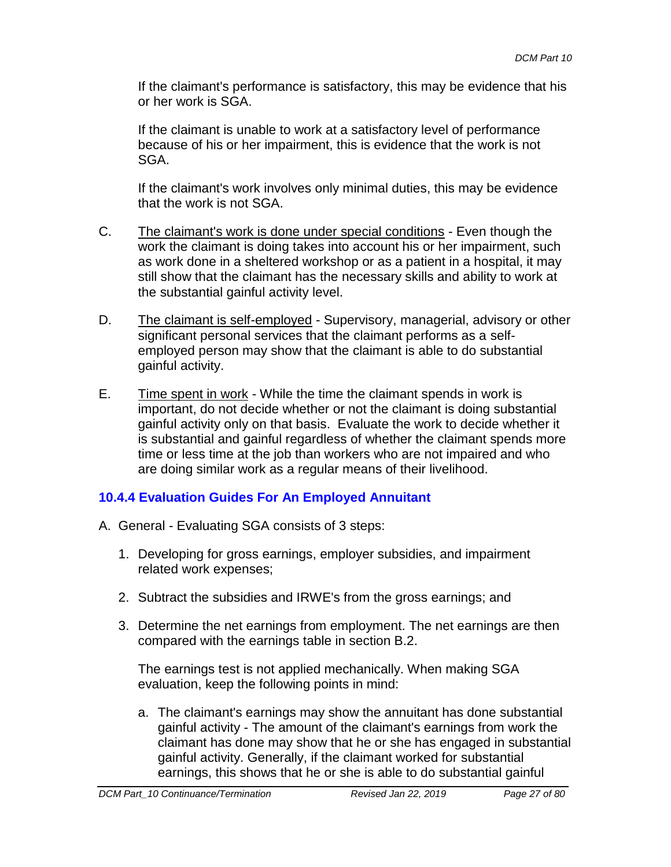If the claimant's performance is satisfactory, this may be evidence that his or her work is SGA.

If the claimant is unable to work at a satisfactory level of performance because of his or her impairment, this is evidence that the work is not SGA.

If the claimant's work involves only minimal duties, this may be evidence that the work is not SGA.

- C. The claimant's work is done under special conditions Even though the work the claimant is doing takes into account his or her impairment, such as work done in a sheltered workshop or as a patient in a hospital, it may still show that the claimant has the necessary skills and ability to work at the substantial gainful activity level.
- D. The claimant is self-employed Supervisory, managerial, advisory or other significant personal services that the claimant performs as a selfemployed person may show that the claimant is able to do substantial gainful activity.
- E. Time spent in work While the time the claimant spends in work is important, do not decide whether or not the claimant is doing substantial gainful activity only on that basis. Evaluate the work to decide whether it is substantial and gainful regardless of whether the claimant spends more time or less time at the job than workers who are not impaired and who are doing similar work as a regular means of their livelihood.

# **10.4.4 Evaluation Guides For An Employed Annuitant**

- A. General Evaluating SGA consists of 3 steps:
	- 1. Developing for gross earnings, employer subsidies, and impairment related work expenses;
	- 2. Subtract the subsidies and IRWE's from the gross earnings; and
	- 3. Determine the net earnings from employment. The net earnings are then compared with the earnings table in section B.2.

The earnings test is not applied mechanically. When making SGA evaluation, keep the following points in mind:

a. The claimant's earnings may show the annuitant has done substantial gainful activity - The amount of the claimant's earnings from work the claimant has done may show that he or she has engaged in substantial gainful activity. Generally, if the claimant worked for substantial earnings, this shows that he or she is able to do substantial gainful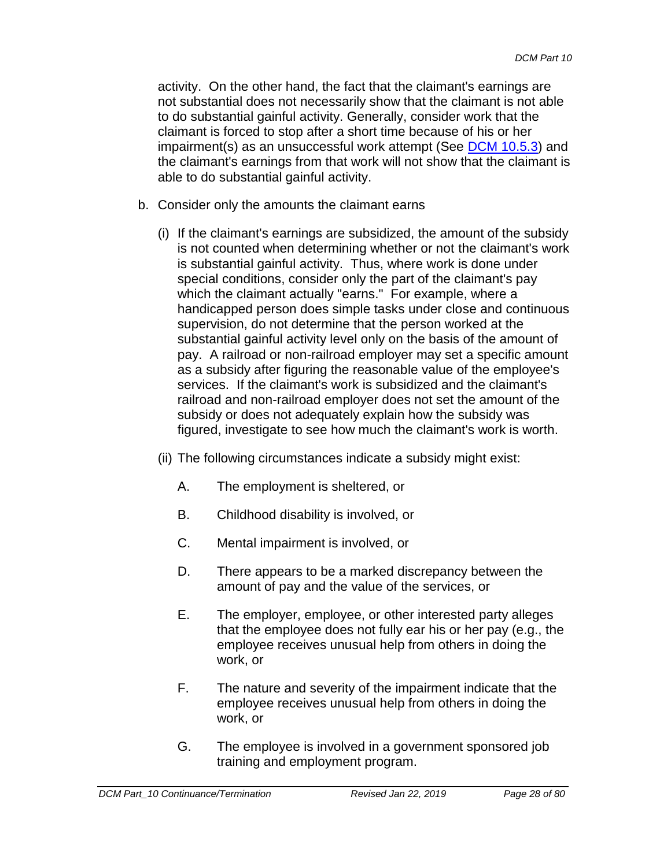activity. On the other hand, the fact that the claimant's earnings are not substantial does not necessarily show that the claimant is not able to do substantial gainful activity. Generally, consider work that the claimant is forced to stop after a short time because of his or her impairment(s) as an unsuccessful work attempt (See [DCM 10.5.3\)](#page-52-0) and the claimant's earnings from that work will not show that the claimant is able to do substantial gainful activity.

- b. Consider only the amounts the claimant earns
	- (i) If the claimant's earnings are subsidized, the amount of the subsidy is not counted when determining whether or not the claimant's work is substantial gainful activity. Thus, where work is done under special conditions, consider only the part of the claimant's pay which the claimant actually "earns." For example, where a handicapped person does simple tasks under close and continuous supervision, do not determine that the person worked at the substantial gainful activity level only on the basis of the amount of pay. A railroad or non-railroad employer may set a specific amount as a subsidy after figuring the reasonable value of the employee's services. If the claimant's work is subsidized and the claimant's railroad and non-railroad employer does not set the amount of the subsidy or does not adequately explain how the subsidy was figured, investigate to see how much the claimant's work is worth.
	- (ii) The following circumstances indicate a subsidy might exist:
		- A. The employment is sheltered, or
		- B. Childhood disability is involved, or
		- C. Mental impairment is involved, or
		- D. There appears to be a marked discrepancy between the amount of pay and the value of the services, or
		- E. The employer, employee, or other interested party alleges that the employee does not fully ear his or her pay (e.g., the employee receives unusual help from others in doing the work, or
		- F. The nature and severity of the impairment indicate that the employee receives unusual help from others in doing the work, or
		- G. The employee is involved in a government sponsored job training and employment program.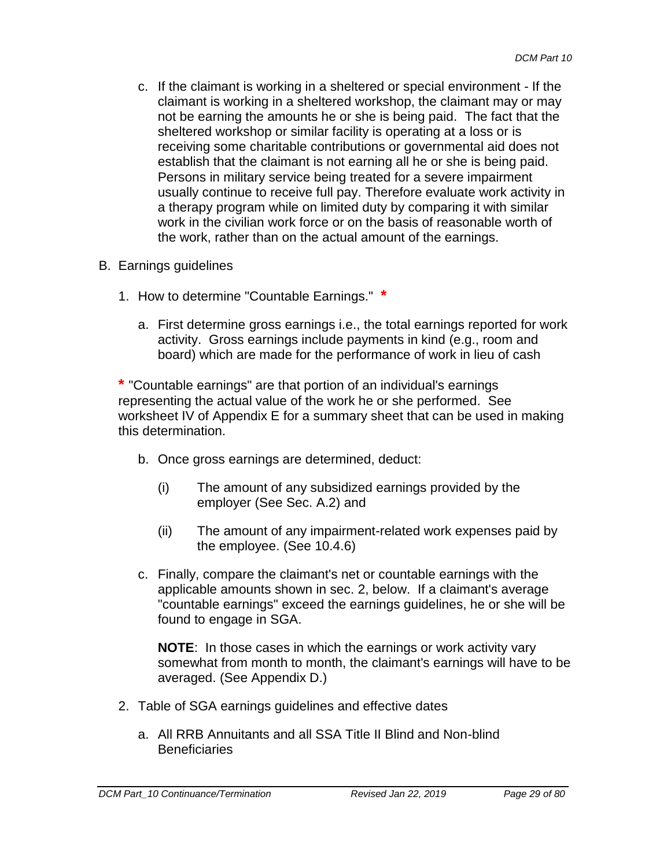- c. If the claimant is working in a sheltered or special environment If the claimant is working in a sheltered workshop, the claimant may or may not be earning the amounts he or she is being paid. The fact that the sheltered workshop or similar facility is operating at a loss or is receiving some charitable contributions or governmental aid does not establish that the claimant is not earning all he or she is being paid. Persons in military service being treated for a severe impairment usually continue to receive full pay. Therefore evaluate work activity in a therapy program while on limited duty by comparing it with similar work in the civilian work force or on the basis of reasonable worth of the work, rather than on the actual amount of the earnings.
- B. Earnings guidelines
	- 1. How to determine "Countable Earnings." **\***
		- a. First determine gross earnings i.e., the total earnings reported for work activity. Gross earnings include payments in kind (e.g., room and board) which are made for the performance of work in lieu of cash

**\*** "Countable earnings" are that portion of an individual's earnings representing the actual value of the work he or she performed. See worksheet IV of Appendix E for a summary sheet that can be used in making this determination.

- b. Once gross earnings are determined, deduct:
	- (i) The amount of any subsidized earnings provided by the employer (See Sec. A.2) and
	- (ii) The amount of any impairment-related work expenses paid by the employee. (See 10.4.6)
- c. Finally, compare the claimant's net or countable earnings with the applicable amounts shown in sec. 2, below. If a claimant's average "countable earnings" exceed the earnings guidelines, he or she will be found to engage in SGA.

**NOTE**: In those cases in which the earnings or work activity vary somewhat from month to month, the claimant's earnings will have to be averaged. (See Appendix D.)

- 2. Table of SGA earnings guidelines and effective dates
	- a. All RRB Annuitants and all SSA Title II Blind and Non-blind **Beneficiaries**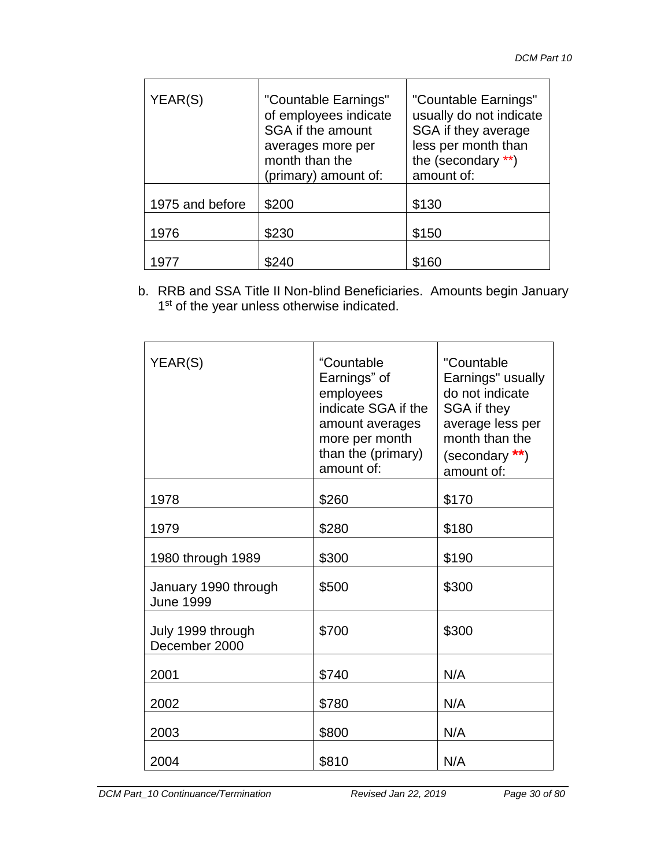| YEAR(S)         | "Countable Earnings"<br>of employees indicate<br>SGA if the amount<br>averages more per<br>month than the<br>(primary) amount of: | "Countable Earnings"<br>usually do not indicate<br>SGA if they average<br>less per month than<br>the (secondary **)<br>amount of: |
|-----------------|-----------------------------------------------------------------------------------------------------------------------------------|-----------------------------------------------------------------------------------------------------------------------------------|
| 1975 and before | \$200                                                                                                                             | \$130                                                                                                                             |
| 1976            | \$230                                                                                                                             | \$150                                                                                                                             |
| 197             |                                                                                                                                   |                                                                                                                                   |

b. RRB and SSA Title II Non-blind Beneficiaries. Amounts begin January 1<sup>st</sup> of the year unless otherwise indicated.

| YEAR(S)                                  | "Countable<br>Earnings" of<br>employees<br>indicate SGA if the<br>amount averages<br>more per month<br>than the (primary)<br>amount of: | "Countable<br>Earnings" usually<br>do not indicate<br>SGA if they<br>average less per<br>month than the<br>(secondary **)<br>amount of: |
|------------------------------------------|-----------------------------------------------------------------------------------------------------------------------------------------|-----------------------------------------------------------------------------------------------------------------------------------------|
| 1978                                     | \$260                                                                                                                                   | \$170                                                                                                                                   |
| 1979                                     | \$280                                                                                                                                   | \$180                                                                                                                                   |
| 1980 through 1989                        | \$300                                                                                                                                   | \$190                                                                                                                                   |
| January 1990 through<br><b>June 1999</b> | \$500                                                                                                                                   | \$300                                                                                                                                   |
| July 1999 through<br>December 2000       | \$700                                                                                                                                   | \$300                                                                                                                                   |
| 2001                                     | \$740                                                                                                                                   | N/A                                                                                                                                     |
| 2002                                     | \$780                                                                                                                                   | N/A                                                                                                                                     |
| 2003                                     | \$800                                                                                                                                   | N/A                                                                                                                                     |
| 2004                                     | \$810                                                                                                                                   | N/A                                                                                                                                     |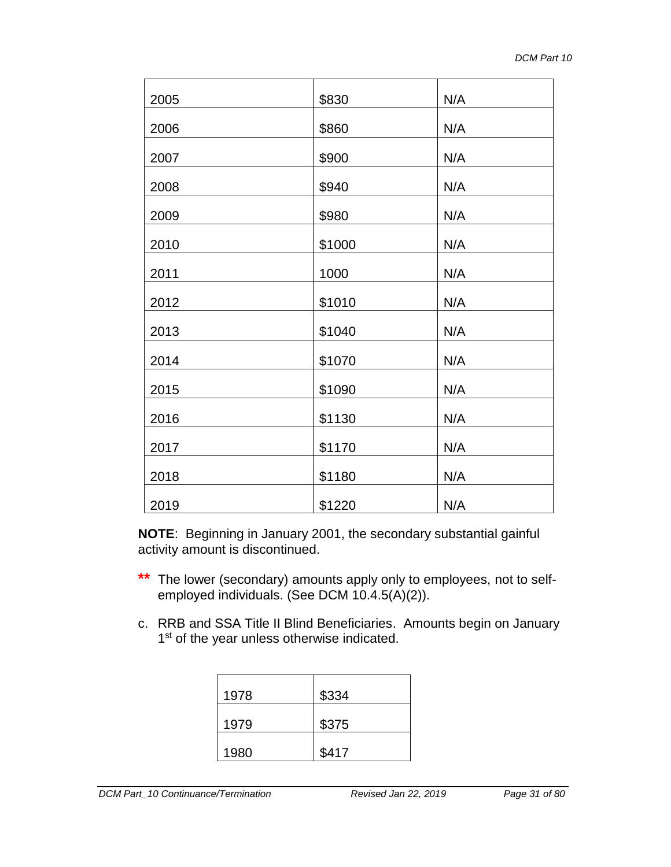| 2005 | \$830  | N/A |
|------|--------|-----|
| 2006 | \$860  | N/A |
| 2007 | \$900  | N/A |
| 2008 | \$940  | N/A |
| 2009 | \$980  | N/A |
| 2010 | \$1000 | N/A |
| 2011 | 1000   | N/A |
| 2012 | \$1010 | N/A |
| 2013 | \$1040 | N/A |
| 2014 | \$1070 | N/A |
| 2015 | \$1090 | N/A |
| 2016 | \$1130 | N/A |
| 2017 | \$1170 | N/A |
| 2018 | \$1180 | N/A |
| 2019 | \$1220 | N/A |

**NOTE**: Beginning in January 2001, the secondary substantial gainful activity amount is discontinued.

- **\*\*** The lower (secondary) amounts apply only to employees, not to selfemployed individuals. (See DCM 10.4.5(A)(2)).
- c. RRB and SSA Title II Blind Beneficiaries. Amounts begin on January 1<sup>st</sup> of the year unless otherwise indicated.

| 1978 | \$334 |
|------|-------|
| 1979 | \$375 |
| 1980 | \$417 |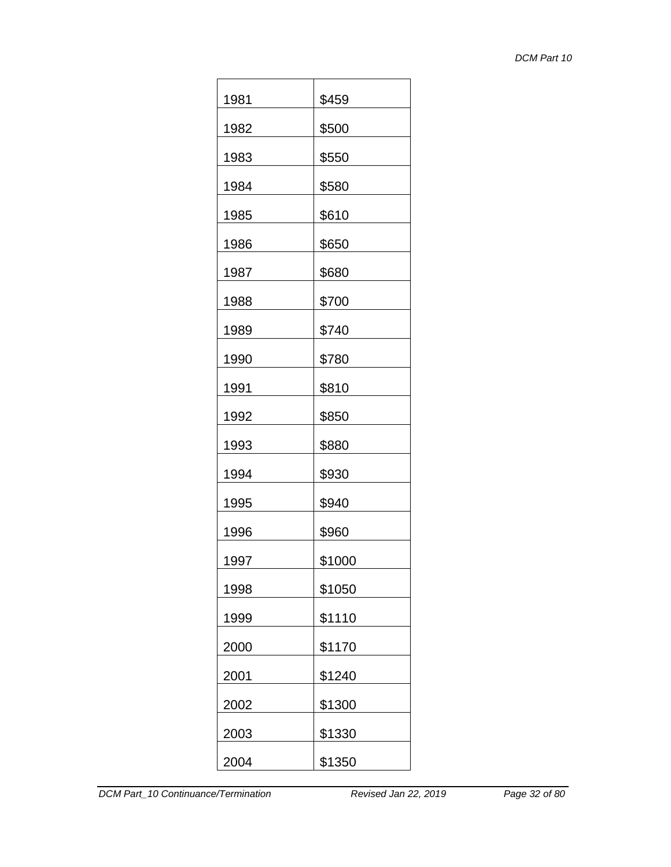| 1981 | \$459  |
|------|--------|
| 1982 | \$500  |
| 1983 | \$550  |
| 1984 | \$580  |
| 1985 | \$610  |
| 1986 | \$650  |
| 1987 | \$680  |
| 1988 | \$700  |
| 1989 | \$740  |
| 1990 | \$780  |
| 1991 | \$810  |
| 1992 | \$850  |
| 1993 | \$880  |
| 1994 | \$930  |
| 1995 | \$940  |
| 1996 | \$960  |
| 1997 | \$1000 |
| 1998 | \$1050 |
| 1999 | \$1110 |
| 2000 | \$1170 |
| 2001 | \$1240 |
| 2002 | \$1300 |
| 2003 | \$1330 |
| 2004 | \$1350 |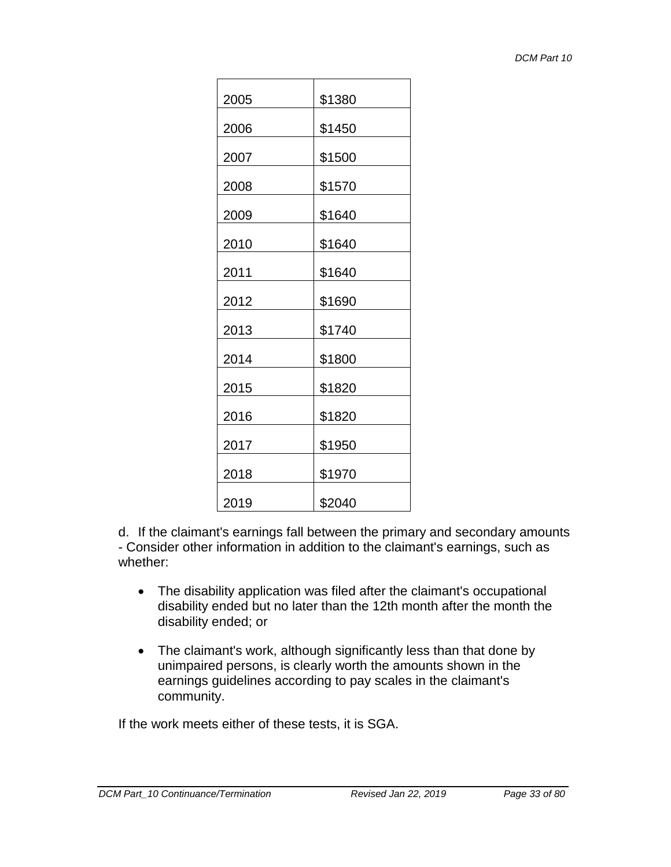| 2005 | \$1380 |
|------|--------|
| 2006 | \$1450 |
| 2007 | \$1500 |
| 2008 | \$1570 |
| 2009 | \$1640 |
| 2010 | \$1640 |
| 2011 | \$1640 |
| 2012 | \$1690 |
| 2013 | \$1740 |
| 2014 | \$1800 |
| 2015 | \$1820 |
| 2016 | \$1820 |
| 2017 | \$1950 |
| 2018 | \$1970 |
| 2019 | \$2040 |

d. If the claimant's earnings fall between the primary and secondary amounts - Consider other information in addition to the claimant's earnings, such as whether:

- The disability application was filed after the claimant's occupational disability ended but no later than the 12th month after the month the disability ended; or
- The claimant's work, although significantly less than that done by unimpaired persons, is clearly worth the amounts shown in the earnings guidelines according to pay scales in the claimant's community.

If the work meets either of these tests, it is SGA.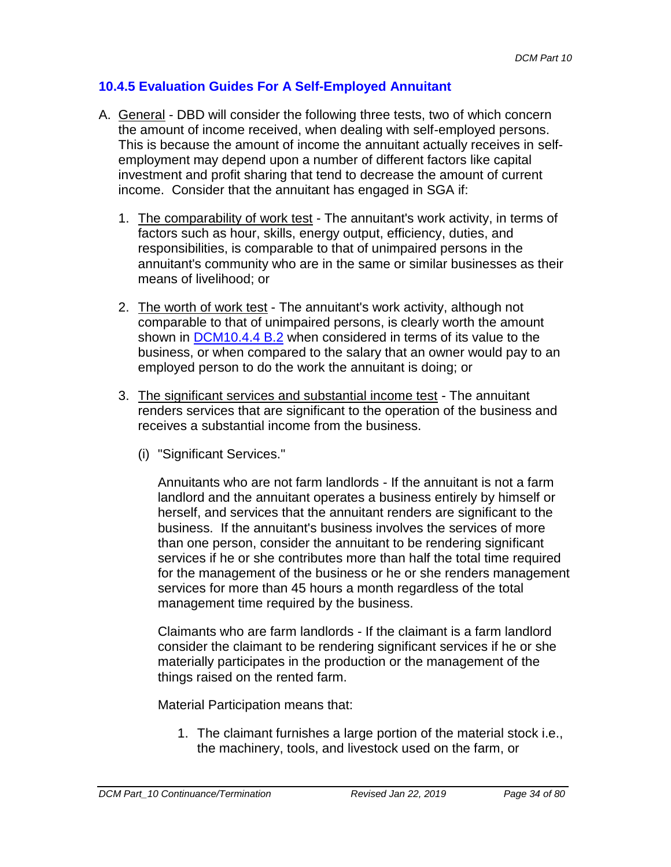# **10.4.5 Evaluation Guides For A Self-Employed Annuitant**

- A. General DBD will consider the following three tests, two of which concern the amount of income received, when dealing with self-employed persons. This is because the amount of income the annuitant actually receives in selfemployment may depend upon a number of different factors like capital investment and profit sharing that tend to decrease the amount of current income. Consider that the annuitant has engaged in SGA if:
	- 1. The comparability of work test The annuitant's work activity, in terms of factors such as hour, skills, energy output, efficiency, duties, and responsibilities, is comparable to that of unimpaired persons in the annuitant's community who are in the same or similar businesses as their means of livelihood; or
	- 2. The worth of work test The annuitant's work activity, although not comparable to that of unimpaired persons, is clearly worth the amount shown in DCM10.4.4 B.2 when considered in terms of its value to the business, or when compared to the salary that an owner would pay to an employed person to do the work the annuitant is doing; or
	- 3. The significant services and substantial income test The annuitant renders services that are significant to the operation of the business and receives a substantial income from the business.
		- (i) "Significant Services."

Annuitants who are not farm landlords - If the annuitant is not a farm landlord and the annuitant operates a business entirely by himself or herself, and services that the annuitant renders are significant to the business. If the annuitant's business involves the services of more than one person, consider the annuitant to be rendering significant services if he or she contributes more than half the total time required for the management of the business or he or she renders management services for more than 45 hours a month regardless of the total management time required by the business.

Claimants who are farm landlords - If the claimant is a farm landlord consider the claimant to be rendering significant services if he or she materially participates in the production or the management of the things raised on the rented farm.

Material Participation means that:

1. The claimant furnishes a large portion of the material stock i.e., the machinery, tools, and livestock used on the farm, or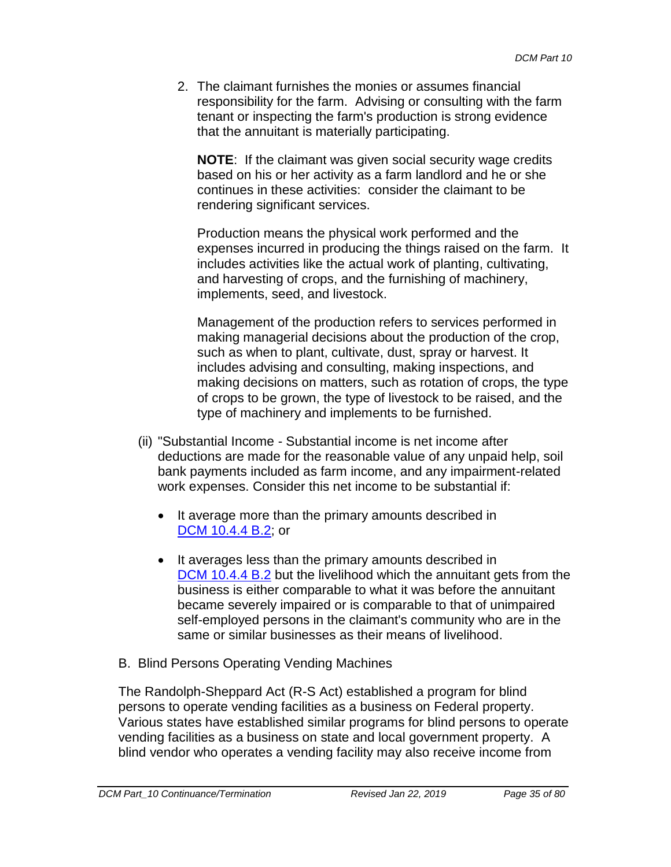2. The claimant furnishes the monies or assumes financial responsibility for the farm. Advising or consulting with the farm tenant or inspecting the farm's production is strong evidence that the annuitant is materially participating.

**NOTE**: If the claimant was given social security wage credits based on his or her activity as a farm landlord and he or she continues in these activities: consider the claimant to be rendering significant services.

Production means the physical work performed and the expenses incurred in producing the things raised on the farm. It includes activities like the actual work of planting, cultivating, and harvesting of crops, and the furnishing of machinery, implements, seed, and livestock.

Management of the production refers to services performed in making managerial decisions about the production of the crop, such as when to plant, cultivate, dust, spray or harvest. It includes advising and consulting, making inspections, and making decisions on matters, such as rotation of crops, the type of crops to be grown, the type of livestock to be raised, and the type of machinery and implements to be furnished.

- (ii) "Substantial Income Substantial income is net income after deductions are made for the reasonable value of any unpaid help, soil bank payments included as farm income, and any impairment-related work expenses. Consider this net income to be substantial if:
	- It average more than the primary amounts described in DCM 10.4.4 B.2; or
	- It averages less than the primary amounts described in DCM 10.4.4 B.2 but the livelihood which the annuitant gets from the business is either comparable to what it was before the annuitant became severely impaired or is comparable to that of unimpaired self-employed persons in the claimant's community who are in the same or similar businesses as their means of livelihood.
- B. Blind Persons Operating Vending Machines

The Randolph-Sheppard Act (R-S Act) established a program for blind persons to operate vending facilities as a business on Federal property. Various states have established similar programs for blind persons to operate vending facilities as a business on state and local government property. A blind vendor who operates a vending facility may also receive income from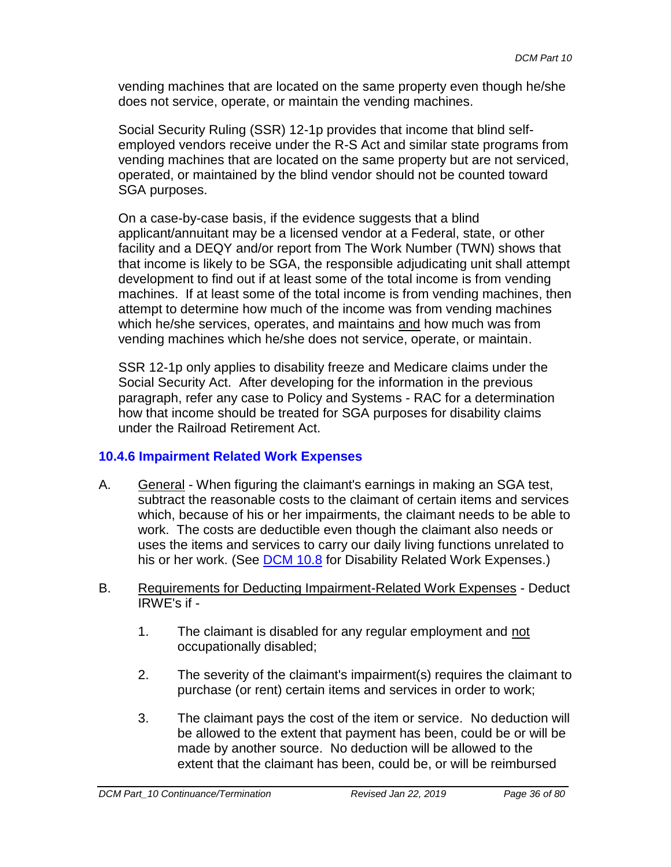vending machines that are located on the same property even though he/she does not service, operate, or maintain the vending machines.

Social Security Ruling (SSR) 12-1p provides that income that blind selfemployed vendors receive under the R-S Act and similar state programs from vending machines that are located on the same property but are not serviced, operated, or maintained by the blind vendor should not be counted toward SGA purposes.

On a case-by-case basis, if the evidence suggests that a blind applicant/annuitant may be a licensed vendor at a Federal, state, or other facility and a DEQY and/or report from The Work Number (TWN) shows that that income is likely to be SGA, the responsible adjudicating unit shall attempt development to find out if at least some of the total income is from vending machines. If at least some of the total income is from vending machines, then attempt to determine how much of the income was from vending machines which he/she services, operates, and maintains and how much was from vending machines which he/she does not service, operate, or maintain.

SSR 12-1p only applies to disability freeze and Medicare claims under the Social Security Act. After developing for the information in the previous paragraph, refer any case to Policy and Systems - RAC for a determination how that income should be treated for SGA purposes for disability claims under the Railroad Retirement Act.

## **10.4.6 Impairment Related Work Expenses**

- A. General When figuring the claimant's earnings in making an SGA test, subtract the reasonable costs to the claimant of certain items and services which, because of his or her impairments, the claimant needs to be able to work. The costs are deductible even though the claimant also needs or uses the items and services to carry our daily living functions unrelated to his or her work. (See DCM 10.8 for Disability Related Work Expenses.)
- B. Requirements for Deducting Impairment-Related Work Expenses Deduct IRWE's if -
	- 1. The claimant is disabled for any regular employment and not occupationally disabled;
	- 2. The severity of the claimant's impairment(s) requires the claimant to purchase (or rent) certain items and services in order to work;
	- 3. The claimant pays the cost of the item or service. No deduction will be allowed to the extent that payment has been, could be or will be made by another source. No deduction will be allowed to the extent that the claimant has been, could be, or will be reimbursed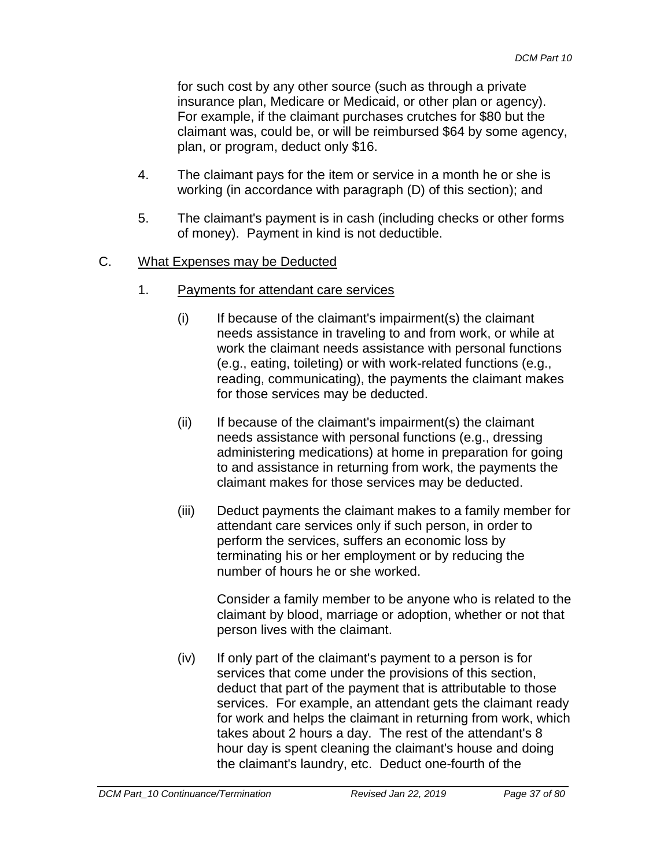for such cost by any other source (such as through a private insurance plan, Medicare or Medicaid, or other plan or agency). For example, if the claimant purchases crutches for \$80 but the claimant was, could be, or will be reimbursed \$64 by some agency, plan, or program, deduct only \$16.

- 4. The claimant pays for the item or service in a month he or she is working (in accordance with paragraph (D) of this section); and
- 5. The claimant's payment is in cash (including checks or other forms of money). Payment in kind is not deductible.

# C. What Expenses may be Deducted

- 1. Payments for attendant care services
	- (i) If because of the claimant's impairment(s) the claimant needs assistance in traveling to and from work, or while at work the claimant needs assistance with personal functions (e.g., eating, toileting) or with work-related functions (e.g., reading, communicating), the payments the claimant makes for those services may be deducted.
	- $(ii)$  If because of the claimant's impairment(s) the claimant needs assistance with personal functions (e.g., dressing administering medications) at home in preparation for going to and assistance in returning from work, the payments the claimant makes for those services may be deducted.
	- (iii) Deduct payments the claimant makes to a family member for attendant care services only if such person, in order to perform the services, suffers an economic loss by terminating his or her employment or by reducing the number of hours he or she worked.

Consider a family member to be anyone who is related to the claimant by blood, marriage or adoption, whether or not that person lives with the claimant.

(iv) If only part of the claimant's payment to a person is for services that come under the provisions of this section, deduct that part of the payment that is attributable to those services. For example, an attendant gets the claimant ready for work and helps the claimant in returning from work, which takes about 2 hours a day. The rest of the attendant's 8 hour day is spent cleaning the claimant's house and doing the claimant's laundry, etc. Deduct one-fourth of the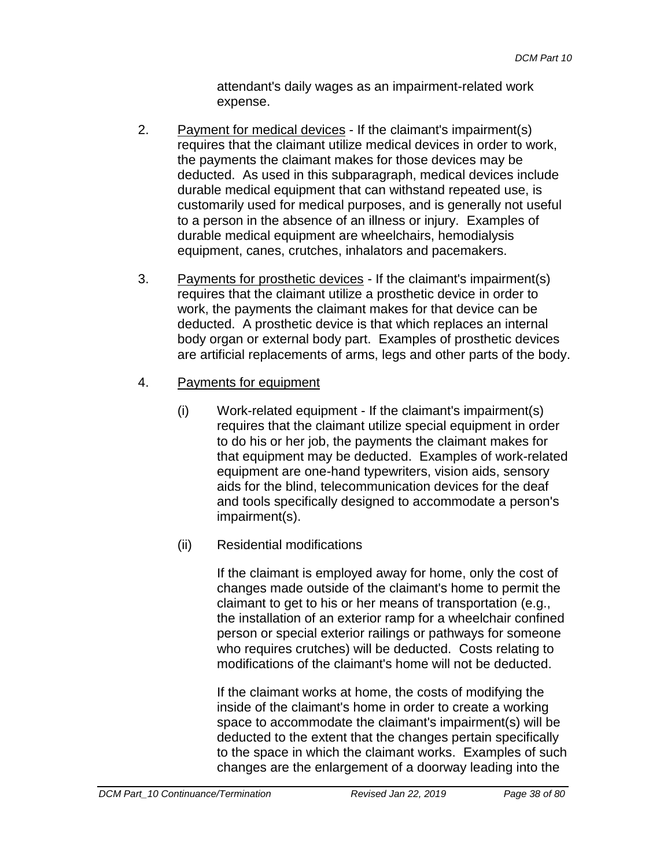attendant's daily wages as an impairment-related work expense.

- 2. Payment for medical devices If the claimant's impairment(s) requires that the claimant utilize medical devices in order to work, the payments the claimant makes for those devices may be deducted. As used in this subparagraph, medical devices include durable medical equipment that can withstand repeated use, is customarily used for medical purposes, and is generally not useful to a person in the absence of an illness or injury. Examples of durable medical equipment are wheelchairs, hemodialysis equipment, canes, crutches, inhalators and pacemakers.
- 3. Payments for prosthetic devices If the claimant's impairment(s) requires that the claimant utilize a prosthetic device in order to work, the payments the claimant makes for that device can be deducted. A prosthetic device is that which replaces an internal body organ or external body part. Examples of prosthetic devices are artificial replacements of arms, legs and other parts of the body.
- 4. Payments for equipment
	- (i) Work-related equipment If the claimant's impairment(s) requires that the claimant utilize special equipment in order to do his or her job, the payments the claimant makes for that equipment may be deducted. Examples of work-related equipment are one-hand typewriters, vision aids, sensory aids for the blind, telecommunication devices for the deaf and tools specifically designed to accommodate a person's impairment(s).
	- (ii) Residential modifications

If the claimant is employed away for home, only the cost of changes made outside of the claimant's home to permit the claimant to get to his or her means of transportation (e.g., the installation of an exterior ramp for a wheelchair confined person or special exterior railings or pathways for someone who requires crutches) will be deducted. Costs relating to modifications of the claimant's home will not be deducted.

If the claimant works at home, the costs of modifying the inside of the claimant's home in order to create a working space to accommodate the claimant's impairment(s) will be deducted to the extent that the changes pertain specifically to the space in which the claimant works. Examples of such changes are the enlargement of a doorway leading into the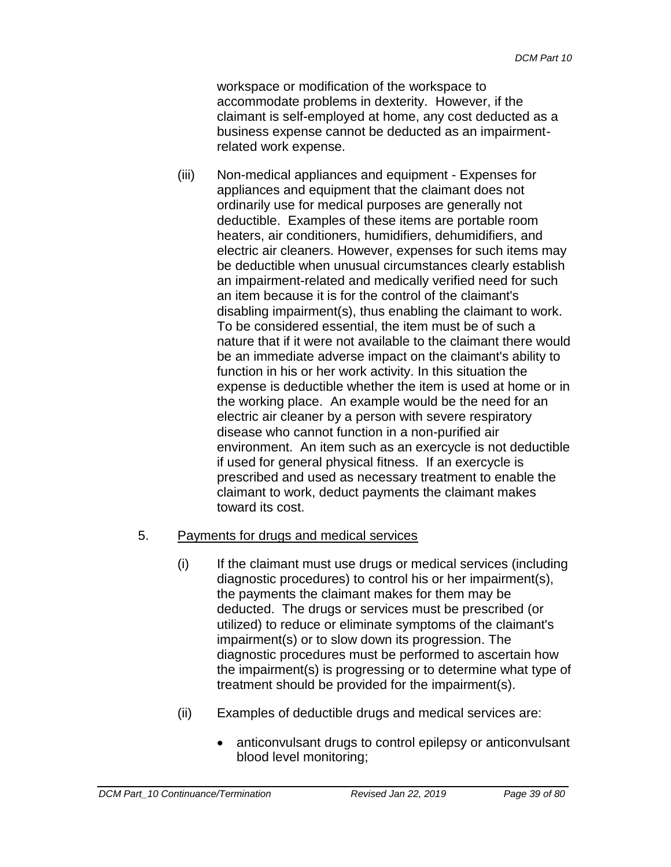workspace or modification of the workspace to accommodate problems in dexterity. However, if the claimant is self-employed at home, any cost deducted as a business expense cannot be deducted as an impairmentrelated work expense.

(iii) Non-medical appliances and equipment - Expenses for appliances and equipment that the claimant does not ordinarily use for medical purposes are generally not deductible. Examples of these items are portable room heaters, air conditioners, humidifiers, dehumidifiers, and electric air cleaners. However, expenses for such items may be deductible when unusual circumstances clearly establish an impairment-related and medically verified need for such an item because it is for the control of the claimant's disabling impairment(s), thus enabling the claimant to work. To be considered essential, the item must be of such a nature that if it were not available to the claimant there would be an immediate adverse impact on the claimant's ability to function in his or her work activity. In this situation the expense is deductible whether the item is used at home or in the working place. An example would be the need for an electric air cleaner by a person with severe respiratory disease who cannot function in a non-purified air environment. An item such as an exercycle is not deductible if used for general physical fitness. If an exercycle is prescribed and used as necessary treatment to enable the claimant to work, deduct payments the claimant makes toward its cost.

# 5. Payments for drugs and medical services

- (i) If the claimant must use drugs or medical services (including diagnostic procedures) to control his or her impairment(s), the payments the claimant makes for them may be deducted. The drugs or services must be prescribed (or utilized) to reduce or eliminate symptoms of the claimant's impairment(s) or to slow down its progression. The diagnostic procedures must be performed to ascertain how the impairment(s) is progressing or to determine what type of treatment should be provided for the impairment(s).
- (ii) Examples of deductible drugs and medical services are:
	- anticonvulsant drugs to control epilepsy or anticonvulsant blood level monitoring;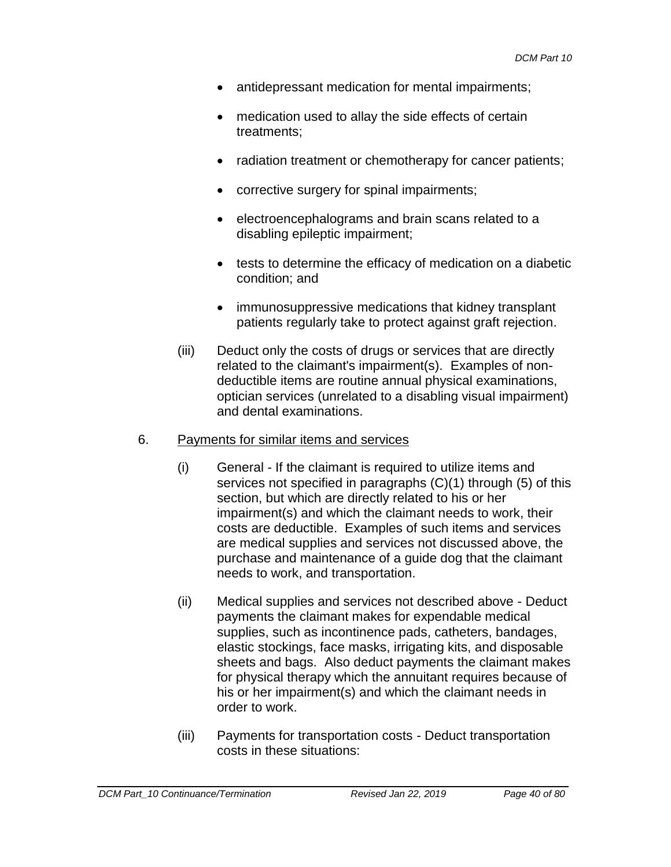- antidepressant medication for mental impairments;
- medication used to allay the side effects of certain treatments;
- radiation treatment or chemotherapy for cancer patients;
- corrective surgery for spinal impairments;
- electroencephalograms and brain scans related to a disabling epileptic impairment;
- tests to determine the efficacy of medication on a diabetic condition; and
- immunosuppressive medications that kidney transplant patients regularly take to protect against graft rejection.
- (iii) Deduct only the costs of drugs or services that are directly related to the claimant's impairment(s). Examples of nondeductible items are routine annual physical examinations, optician services (unrelated to a disabling visual impairment) and dental examinations.

#### 6. Payments for similar items and services

- (i) General If the claimant is required to utilize items and services not specified in paragraphs (C)(1) through (5) of this section, but which are directly related to his or her impairment(s) and which the claimant needs to work, their costs are deductible. Examples of such items and services are medical supplies and services not discussed above, the purchase and maintenance of a guide dog that the claimant needs to work, and transportation.
- (ii) Medical supplies and services not described above Deduct payments the claimant makes for expendable medical supplies, such as incontinence pads, catheters, bandages, elastic stockings, face masks, irrigating kits, and disposable sheets and bags. Also deduct payments the claimant makes for physical therapy which the annuitant requires because of his or her impairment(s) and which the claimant needs in order to work.
- (iii) Payments for transportation costs Deduct transportation costs in these situations: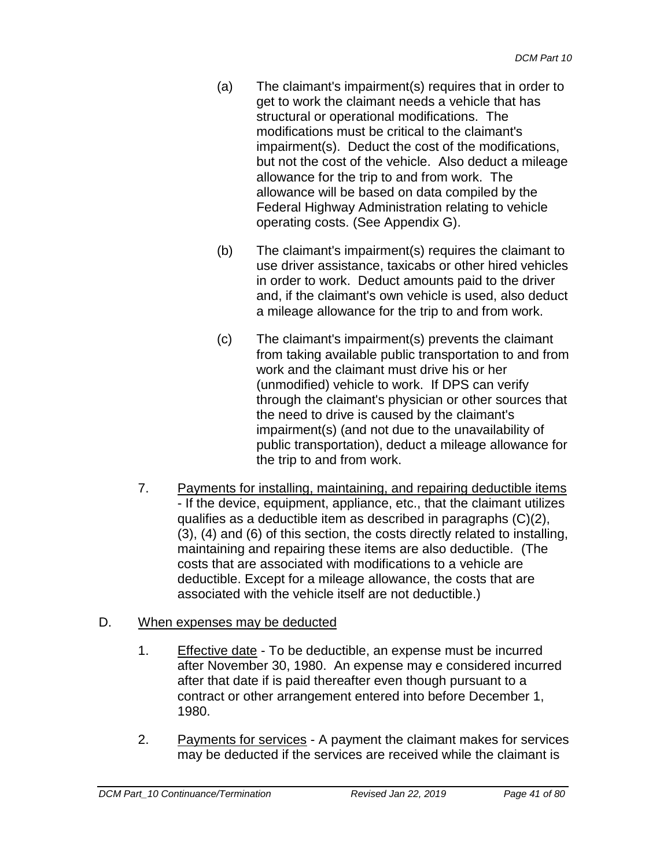- (a) The claimant's impairment(s) requires that in order to get to work the claimant needs a vehicle that has structural or operational modifications. The modifications must be critical to the claimant's impairment(s). Deduct the cost of the modifications, but not the cost of the vehicle. Also deduct a mileage allowance for the trip to and from work. The allowance will be based on data compiled by the Federal Highway Administration relating to vehicle operating costs. (See Appendix G).
- (b) The claimant's impairment(s) requires the claimant to use driver assistance, taxicabs or other hired vehicles in order to work. Deduct amounts paid to the driver and, if the claimant's own vehicle is used, also deduct a mileage allowance for the trip to and from work.
- (c) The claimant's impairment(s) prevents the claimant from taking available public transportation to and from work and the claimant must drive his or her (unmodified) vehicle to work. If DPS can verify through the claimant's physician or other sources that the need to drive is caused by the claimant's impairment(s) (and not due to the unavailability of public transportation), deduct a mileage allowance for the trip to and from work.
- 7. Payments for installing, maintaining, and repairing deductible items - If the device, equipment, appliance, etc., that the claimant utilizes qualifies as a deductible item as described in paragraphs (C)(2), (3), (4) and (6) of this section, the costs directly related to installing, maintaining and repairing these items are also deductible. (The costs that are associated with modifications to a vehicle are deductible. Except for a mileage allowance, the costs that are associated with the vehicle itself are not deductible.)

# D. When expenses may be deducted

- 1. Effective date To be deductible, an expense must be incurred after November 30, 1980. An expense may e considered incurred after that date if is paid thereafter even though pursuant to a contract or other arrangement entered into before December 1, 1980.
- 2. Payments for services A payment the claimant makes for services may be deducted if the services are received while the claimant is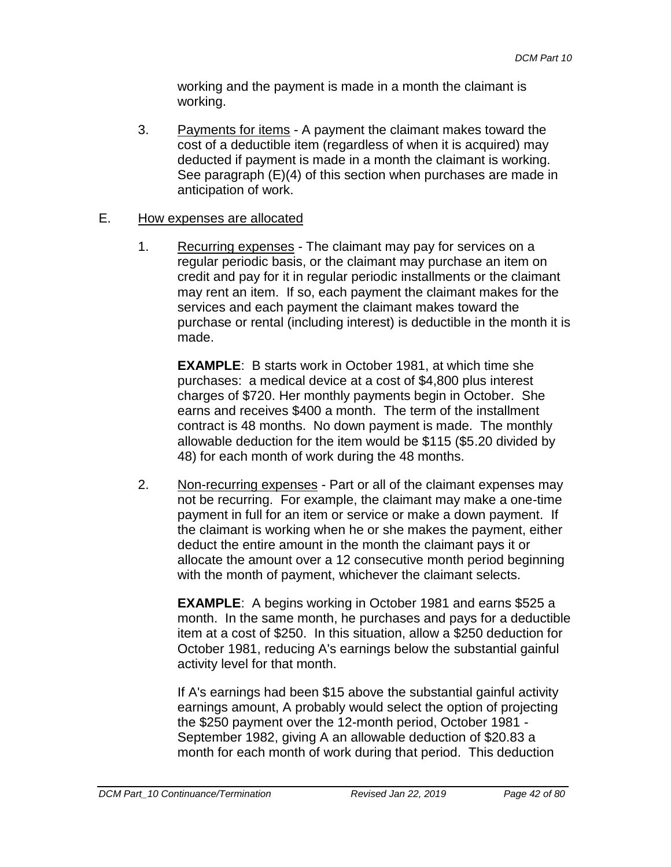working and the payment is made in a month the claimant is working.

3. Payments for items - A payment the claimant makes toward the cost of a deductible item (regardless of when it is acquired) may deducted if payment is made in a month the claimant is working. See paragraph (E)(4) of this section when purchases are made in anticipation of work.

#### E. How expenses are allocated

1. Recurring expenses - The claimant may pay for services on a regular periodic basis, or the claimant may purchase an item on credit and pay for it in regular periodic installments or the claimant may rent an item. If so, each payment the claimant makes for the services and each payment the claimant makes toward the purchase or rental (including interest) is deductible in the month it is made.

**EXAMPLE**: B starts work in October 1981, at which time she purchases: a medical device at a cost of \$4,800 plus interest charges of \$720. Her monthly payments begin in October. She earns and receives \$400 a month. The term of the installment contract is 48 months. No down payment is made. The monthly allowable deduction for the item would be \$115 (\$5.20 divided by 48) for each month of work during the 48 months.

2. Non-recurring expenses - Part or all of the claimant expenses may not be recurring. For example, the claimant may make a one-time payment in full for an item or service or make a down payment. If the claimant is working when he or she makes the payment, either deduct the entire amount in the month the claimant pays it or allocate the amount over a 12 consecutive month period beginning with the month of payment, whichever the claimant selects.

**EXAMPLE**: A begins working in October 1981 and earns \$525 a month. In the same month, he purchases and pays for a deductible item at a cost of \$250. In this situation, allow a \$250 deduction for October 1981, reducing A's earnings below the substantial gainful activity level for that month.

If A's earnings had been \$15 above the substantial gainful activity earnings amount, A probably would select the option of projecting the \$250 payment over the 12-month period, October 1981 - September 1982, giving A an allowable deduction of \$20.83 a month for each month of work during that period. This deduction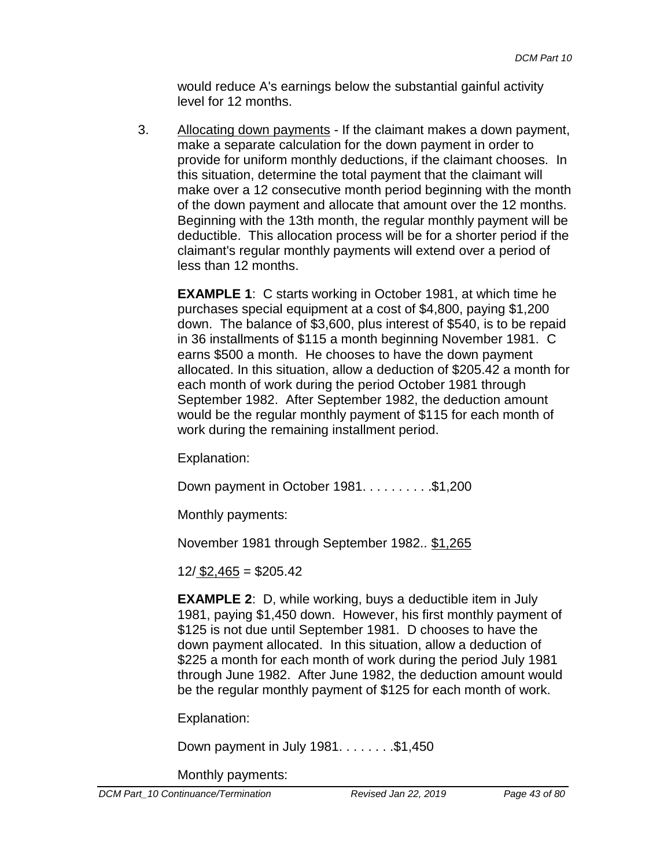would reduce A's earnings below the substantial gainful activity level for 12 months.

3. Allocating down payments - If the claimant makes a down payment, make a separate calculation for the down payment in order to provide for uniform monthly deductions, if the claimant chooses. In this situation, determine the total payment that the claimant will make over a 12 consecutive month period beginning with the month of the down payment and allocate that amount over the 12 months. Beginning with the 13th month, the regular monthly payment will be deductible. This allocation process will be for a shorter period if the claimant's regular monthly payments will extend over a period of less than 12 months.

**EXAMPLE 1**: C starts working in October 1981, at which time he purchases special equipment at a cost of \$4,800, paying \$1,200 down. The balance of \$3,600, plus interest of \$540, is to be repaid in 36 installments of \$115 a month beginning November 1981. C earns \$500 a month. He chooses to have the down payment allocated. In this situation, allow a deduction of \$205.42 a month for each month of work during the period October 1981 through September 1982. After September 1982, the deduction amount would be the regular monthly payment of \$115 for each month of work during the remaining installment period.

Explanation:

Down payment in October 1981. . . . . . . . . . \$1,200

Monthly payments:

November 1981 through September 1982.. \$1,265

12/ \$2,465 = \$205.42

**EXAMPLE 2**: D, while working, buys a deductible item in July 1981, paying \$1,450 down. However, his first monthly payment of \$125 is not due until September 1981. D chooses to have the down payment allocated. In this situation, allow a deduction of \$225 a month for each month of work during the period July 1981 through June 1982. After June 1982, the deduction amount would be the regular monthly payment of \$125 for each month of work.

Explanation:

Down payment in July  $1981. \ldots \ldots .$ \$1,450

Monthly payments: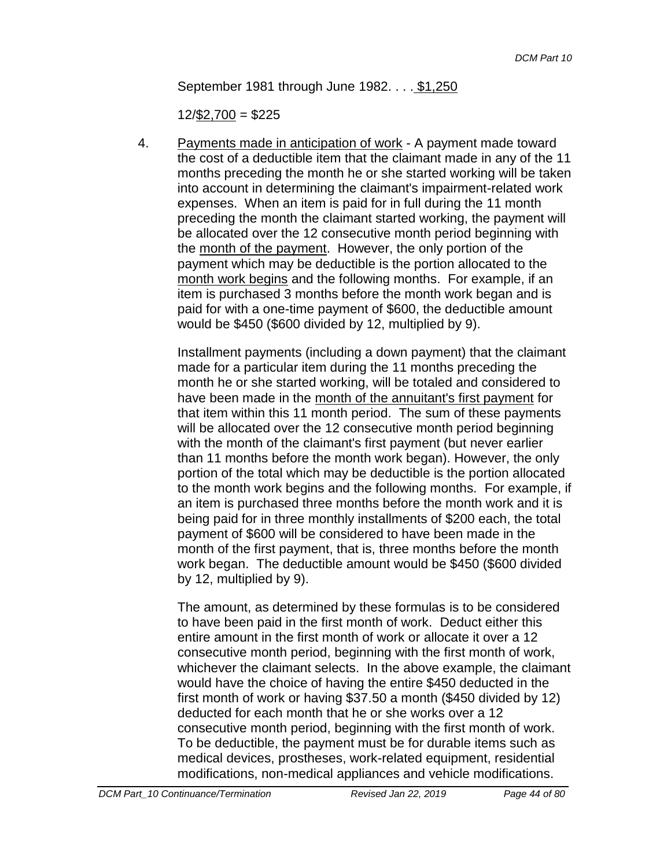September 1981 through June 1982. . . . \$1,250

 $12/\$2,700 = $225$ 

4. Payments made in anticipation of work - A payment made toward the cost of a deductible item that the claimant made in any of the 11 months preceding the month he or she started working will be taken into account in determining the claimant's impairment-related work expenses. When an item is paid for in full during the 11 month preceding the month the claimant started working, the payment will be allocated over the 12 consecutive month period beginning with the month of the payment. However, the only portion of the payment which may be deductible is the portion allocated to the month work begins and the following months. For example, if an item is purchased 3 months before the month work began and is paid for with a one-time payment of \$600, the deductible amount would be \$450 (\$600 divided by 12, multiplied by 9).

Installment payments (including a down payment) that the claimant made for a particular item during the 11 months preceding the month he or she started working, will be totaled and considered to have been made in the month of the annuitant's first payment for that item within this 11 month period. The sum of these payments will be allocated over the 12 consecutive month period beginning with the month of the claimant's first payment (but never earlier than 11 months before the month work began). However, the only portion of the total which may be deductible is the portion allocated to the month work begins and the following months. For example, if an item is purchased three months before the month work and it is being paid for in three monthly installments of \$200 each, the total payment of \$600 will be considered to have been made in the month of the first payment, that is, three months before the month work began. The deductible amount would be \$450 (\$600 divided by 12, multiplied by 9).

The amount, as determined by these formulas is to be considered to have been paid in the first month of work. Deduct either this entire amount in the first month of work or allocate it over a 12 consecutive month period, beginning with the first month of work, whichever the claimant selects. In the above example, the claimant would have the choice of having the entire \$450 deducted in the first month of work or having \$37.50 a month (\$450 divided by 12) deducted for each month that he or she works over a 12 consecutive month period, beginning with the first month of work. To be deductible, the payment must be for durable items such as medical devices, prostheses, work-related equipment, residential modifications, non-medical appliances and vehicle modifications.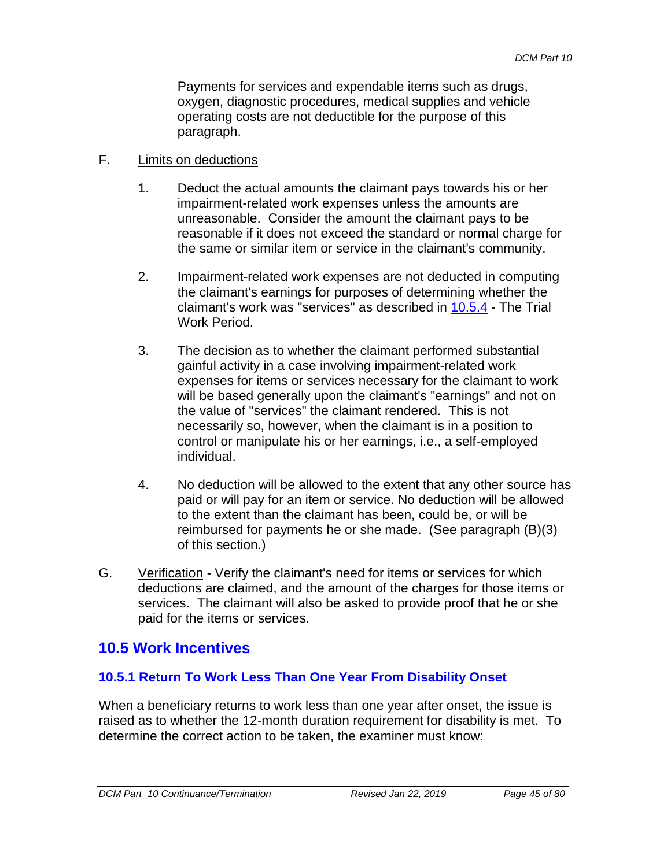Payments for services and expendable items such as drugs, oxygen, diagnostic procedures, medical supplies and vehicle operating costs are not deductible for the purpose of this paragraph.

- F. Limits on deductions
	- 1. Deduct the actual amounts the claimant pays towards his or her impairment-related work expenses unless the amounts are unreasonable. Consider the amount the claimant pays to be reasonable if it does not exceed the standard or normal charge for the same or similar item or service in the claimant's community.
	- 2. Impairment-related work expenses are not deducted in computing the claimant's earnings for purposes of determining whether the claimant's work was "services" as described in 10.5.4 - The Trial Work Period.
	- 3. The decision as to whether the claimant performed substantial gainful activity in a case involving impairment-related work expenses for items or services necessary for the claimant to work will be based generally upon the claimant's "earnings" and not on the value of "services" the claimant rendered. This is not necessarily so, however, when the claimant is in a position to control or manipulate his or her earnings, i.e., a self-employed individual.
	- 4. No deduction will be allowed to the extent that any other source has paid or will pay for an item or service. No deduction will be allowed to the extent than the claimant has been, could be, or will be reimbursed for payments he or she made. (See paragraph (B)(3) of this section.)
- G. Verification Verify the claimant's need for items or services for which deductions are claimed, and the amount of the charges for those items or services. The claimant will also be asked to provide proof that he or she paid for the items or services.

# **10.5 Work Incentives**

# **10.5.1 Return To Work Less Than One Year From Disability Onset**

When a beneficiary returns to work less than one year after onset, the issue is raised as to whether the 12-month duration requirement for disability is met. To determine the correct action to be taken, the examiner must know: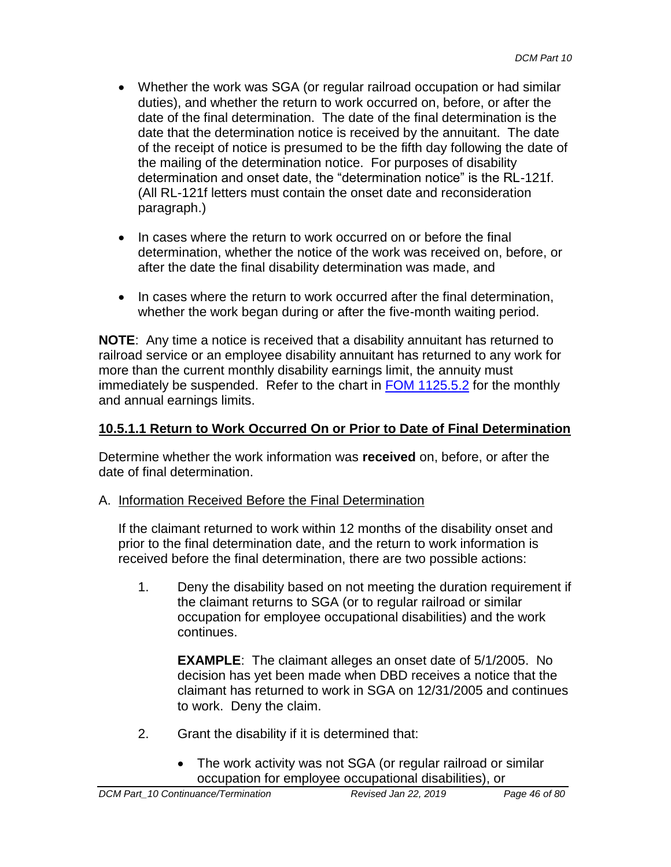- Whether the work was SGA (or regular railroad occupation or had similar duties), and whether the return to work occurred on, before, or after the date of the final determination. The date of the final determination is the date that the determination notice is received by the annuitant. The date of the receipt of notice is presumed to be the fifth day following the date of the mailing of the determination notice. For purposes of disability determination and onset date, the "determination notice" is the RL-121f. (All RL-121f letters must contain the onset date and reconsideration paragraph.)
- In cases where the return to work occurred on or before the final determination, whether the notice of the work was received on, before, or after the date the final disability determination was made, and
- In cases where the return to work occurred after the final determination, whether the work began during or after the five-month waiting period.

**NOTE**: Any time a notice is received that a disability annuitant has returned to railroad service or an employee disability annuitant has returned to any work for more than the current monthly disability earnings limit, the annuity must immediately be suspended. Refer to the chart in FOM 1125.5.2 for the monthly and annual earnings limits.

# **10.5.1.1 Return to Work Occurred On or Prior to Date of Final Determination**

Determine whether the work information was **received** on, before, or after the date of final determination.

A. Information Received Before the Final Determination

If the claimant returned to work within 12 months of the disability onset and prior to the final determination date, and the return to work information is received before the final determination, there are two possible actions:

1. Deny the disability based on not meeting the duration requirement if the claimant returns to SGA (or to regular railroad or similar occupation for employee occupational disabilities) and the work continues.

**EXAMPLE**: The claimant alleges an onset date of 5/1/2005. No decision has yet been made when DBD receives a notice that the claimant has returned to work in SGA on 12/31/2005 and continues to work. Deny the claim.

- 2. Grant the disability if it is determined that:
	- The work activity was not SGA (or regular railroad or similar occupation for employee occupational disabilities), or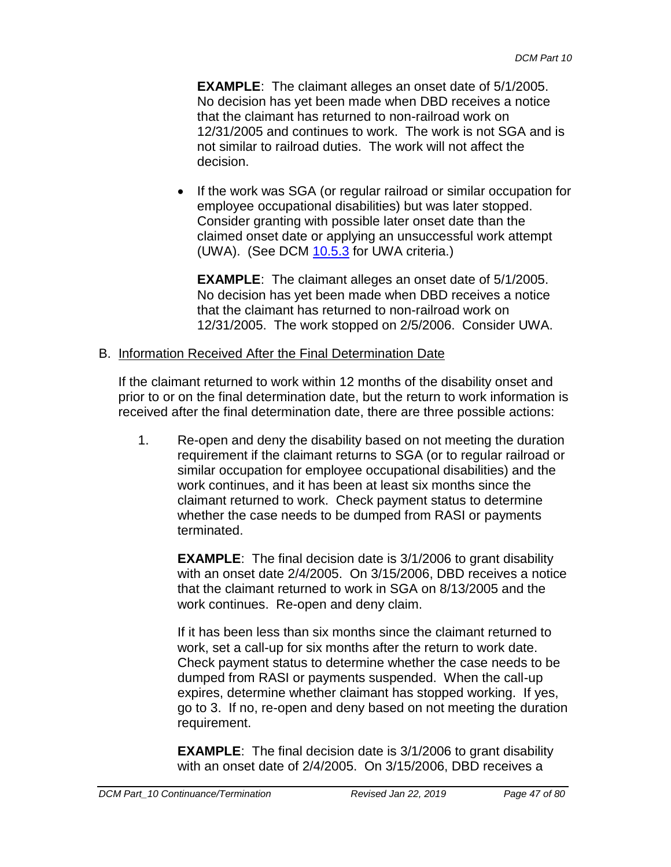**EXAMPLE**: The claimant alleges an onset date of 5/1/2005. No decision has yet been made when DBD receives a notice that the claimant has returned to non-railroad work on 12/31/2005 and continues to work. The work is not SGA and is not similar to railroad duties. The work will not affect the decision.

• If the work was SGA (or regular railroad or similar occupation for employee occupational disabilities) but was later stopped. Consider granting with possible later onset date than the claimed onset date or applying an unsuccessful work attempt (UWA). (See DCM 10.5.3 for UWA criteria.)

**EXAMPLE**: The claimant alleges an onset date of 5/1/2005. No decision has yet been made when DBD receives a notice that the claimant has returned to non-railroad work on 12/31/2005. The work stopped on 2/5/2006. Consider UWA.

### B. Information Received After the Final Determination Date

If the claimant returned to work within 12 months of the disability onset and prior to or on the final determination date, but the return to work information is received after the final determination date, there are three possible actions:

1. Re-open and deny the disability based on not meeting the duration requirement if the claimant returns to SGA (or to regular railroad or similar occupation for employee occupational disabilities) and the work continues, and it has been at least six months since the claimant returned to work. Check payment status to determine whether the case needs to be dumped from RASI or payments terminated.

**EXAMPLE:** The final decision date is 3/1/2006 to grant disability with an onset date 2/4/2005. On 3/15/2006, DBD receives a notice that the claimant returned to work in SGA on 8/13/2005 and the work continues. Re-open and deny claim.

If it has been less than six months since the claimant returned to work, set a call-up for six months after the return to work date. Check payment status to determine whether the case needs to be dumped from RASI or payments suspended. When the call-up expires, determine whether claimant has stopped working. If yes, go to 3. If no, re-open and deny based on not meeting the duration requirement.

**EXAMPLE:** The final decision date is 3/1/2006 to grant disability with an onset date of 2/4/2005. On 3/15/2006, DBD receives a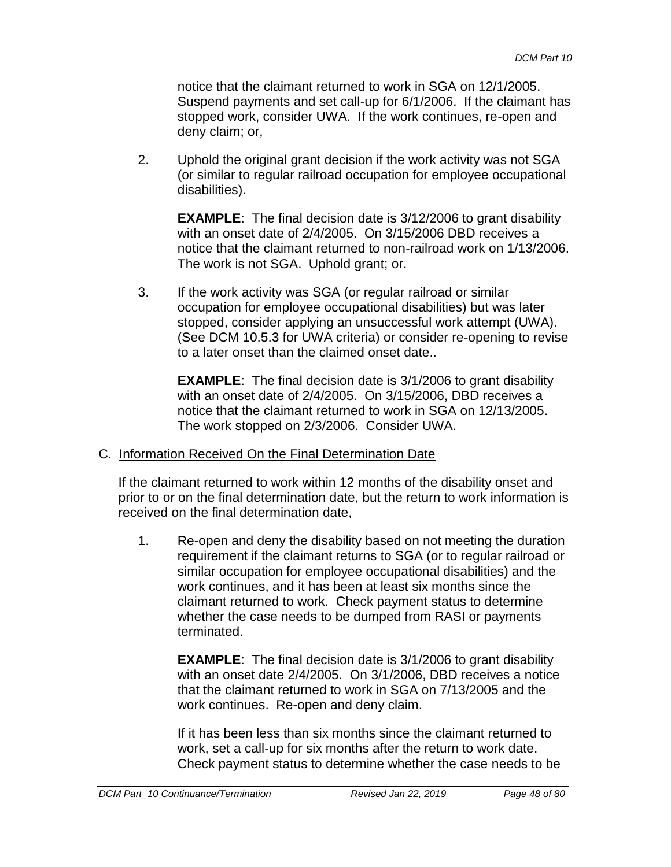notice that the claimant returned to work in SGA on 12/1/2005. Suspend payments and set call-up for 6/1/2006. If the claimant has stopped work, consider UWA. If the work continues, re-open and deny claim; or,

2. Uphold the original grant decision if the work activity was not SGA (or similar to regular railroad occupation for employee occupational disabilities).

**EXAMPLE:** The final decision date is 3/12/2006 to grant disability with an onset date of 2/4/2005. On 3/15/2006 DBD receives a notice that the claimant returned to non-railroad work on 1/13/2006. The work is not SGA. Uphold grant; or.

3. If the work activity was SGA (or regular railroad or similar occupation for employee occupational disabilities) but was later stopped, consider applying an unsuccessful work attempt (UWA). (See DCM 10.5.3 for UWA criteria) or consider re-opening to revise to a later onset than the claimed onset date..

**EXAMPLE:** The final decision date is  $3/1/2006$  to grant disability with an onset date of 2/4/2005. On 3/15/2006, DBD receives a notice that the claimant returned to work in SGA on 12/13/2005. The work stopped on 2/3/2006. Consider UWA.

#### C. Information Received On the Final Determination Date

If the claimant returned to work within 12 months of the disability onset and prior to or on the final determination date, but the return to work information is received on the final determination date,

1. Re-open and deny the disability based on not meeting the duration requirement if the claimant returns to SGA (or to regular railroad or similar occupation for employee occupational disabilities) and the work continues, and it has been at least six months since the claimant returned to work. Check payment status to determine whether the case needs to be dumped from RASI or payments terminated.

**EXAMPLE:** The final decision date is 3/1/2006 to grant disability with an onset date 2/4/2005. On 3/1/2006, DBD receives a notice that the claimant returned to work in SGA on 7/13/2005 and the work continues. Re-open and deny claim.

If it has been less than six months since the claimant returned to work, set a call-up for six months after the return to work date. Check payment status to determine whether the case needs to be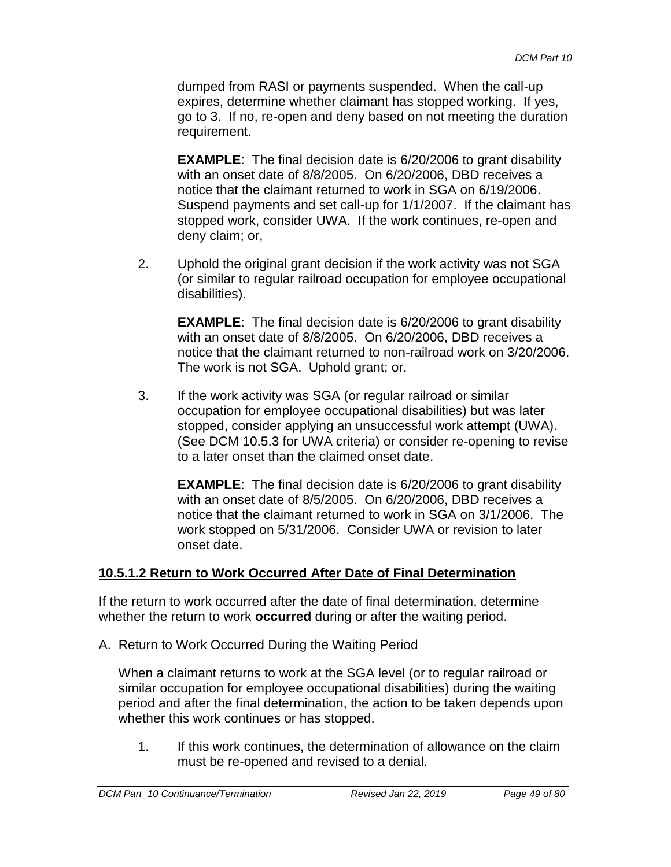dumped from RASI or payments suspended. When the call-up expires, determine whether claimant has stopped working. If yes, go to 3. If no, re-open and deny based on not meeting the duration requirement.

**EXAMPLE**: The final decision date is 6/20/2006 to grant disability with an onset date of 8/8/2005. On 6/20/2006, DBD receives a notice that the claimant returned to work in SGA on 6/19/2006. Suspend payments and set call-up for 1/1/2007. If the claimant has stopped work, consider UWA. If the work continues, re-open and deny claim; or,

2. Uphold the original grant decision if the work activity was not SGA (or similar to regular railroad occupation for employee occupational disabilities).

**EXAMPLE:** The final decision date is 6/20/2006 to grant disability with an onset date of 8/8/2005. On 6/20/2006, DBD receives a notice that the claimant returned to non-railroad work on 3/20/2006. The work is not SGA. Uphold grant; or.

3. If the work activity was SGA (or regular railroad or similar occupation for employee occupational disabilities) but was later stopped, consider applying an unsuccessful work attempt (UWA). (See DCM 10.5.3 for UWA criteria) or consider re-opening to revise to a later onset than the claimed onset date.

**EXAMPLE:** The final decision date is 6/20/2006 to grant disability with an onset date of 8/5/2005. On 6/20/2006, DBD receives a notice that the claimant returned to work in SGA on 3/1/2006. The work stopped on 5/31/2006. Consider UWA or revision to later onset date.

# **10.5.1.2 Return to Work Occurred After Date of Final Determination**

If the return to work occurred after the date of final determination, determine whether the return to work **occurred** during or after the waiting period.

A. Return to Work Occurred During the Waiting Period

When a claimant returns to work at the SGA level (or to regular railroad or similar occupation for employee occupational disabilities) during the waiting period and after the final determination, the action to be taken depends upon whether this work continues or has stopped.

1. If this work continues, the determination of allowance on the claim must be re-opened and revised to a denial.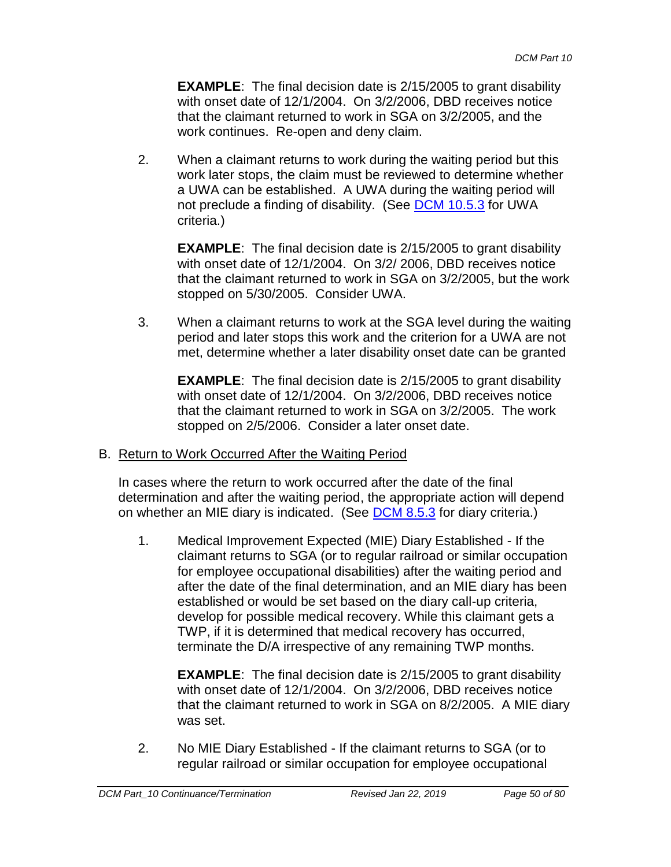**EXAMPLE**: The final decision date is 2/15/2005 to grant disability with onset date of 12/1/2004. On 3/2/2006, DBD receives notice that the claimant returned to work in SGA on 3/2/2005, and the work continues. Re-open and deny claim.

2. When a claimant returns to work during the waiting period but this work later stops, the claim must be reviewed to determine whether a UWA can be established. A UWA during the waiting period will not preclude a finding of disability. (See DCM 10.5.3 for UWA criteria.)

**EXAMPLE:** The final decision date is 2/15/2005 to grant disability with onset date of 12/1/2004. On 3/2/ 2006, DBD receives notice that the claimant returned to work in SGA on 3/2/2005, but the work stopped on 5/30/2005. Consider UWA.

3. When a claimant returns to work at the SGA level during the waiting period and later stops this work and the criterion for a UWA are not met, determine whether a later disability onset date can be granted

**EXAMPLE:** The final decision date is 2/15/2005 to grant disability with onset date of 12/1/2004. On 3/2/2006, DBD receives notice that the claimant returned to work in SGA on 3/2/2005. The work stopped on 2/5/2006. Consider a later onset date.

# B. Return to Work Occurred After the Waiting Period

In cases where the return to work occurred after the date of the final determination and after the waiting period, the appropriate action will depend on whether an MIE diary is indicated. (See DCM 8.5.3 for diary criteria.)

1. Medical Improvement Expected (MIE) Diary Established - If the claimant returns to SGA (or to regular railroad or similar occupation for employee occupational disabilities) after the waiting period and after the date of the final determination, and an MIE diary has been established or would be set based on the diary call-up criteria, develop for possible medical recovery. While this claimant gets a TWP, if it is determined that medical recovery has occurred, terminate the D/A irrespective of any remaining TWP months.

**EXAMPLE:** The final decision date is 2/15/2005 to grant disability with onset date of 12/1/2004. On 3/2/2006, DBD receives notice that the claimant returned to work in SGA on 8/2/2005. A MIE diary was set.

2. No MIE Diary Established - If the claimant returns to SGA (or to regular railroad or similar occupation for employee occupational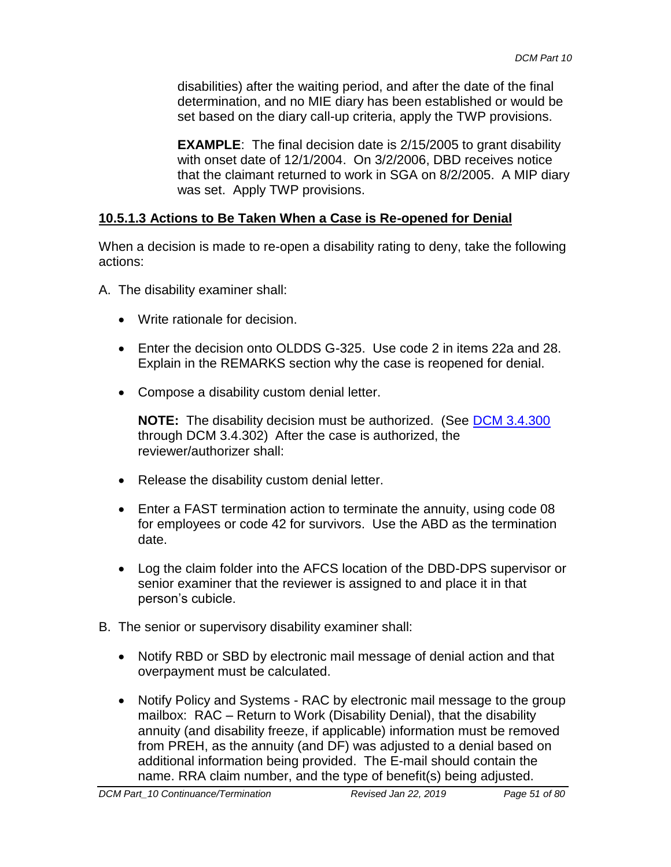disabilities) after the waiting period, and after the date of the final determination, and no MIE diary has been established or would be set based on the diary call-up criteria, apply the TWP provisions.

**EXAMPLE:** The final decision date is 2/15/2005 to grant disability with onset date of 12/1/2004. On 3/2/2006, DBD receives notice that the claimant returned to work in SGA on 8/2/2005. A MIP diary was set. Apply TWP provisions.

# **10.5.1.3 Actions to Be Taken When a Case is Re-opened for Denial**

When a decision is made to re-open a disability rating to deny, take the following actions:

- A. The disability examiner shall:
	- Write rationale for decision.
	- Enter the decision onto OLDDS G-325. Use code 2 in items 22a and 28. Explain in the REMARKS section why the case is reopened for denial.
	- Compose a disability custom denial letter.

**NOTE:** The disability decision must be authorized. (See **DCM 3.4.300** through DCM 3.4.302) After the case is authorized, the reviewer/authorizer shall:

- Release the disability custom denial letter.
- Enter a FAST termination action to terminate the annuity, using code 08 for employees or code 42 for survivors. Use the ABD as the termination date.
- Log the claim folder into the AFCS location of the DBD-DPS supervisor or senior examiner that the reviewer is assigned to and place it in that person's cubicle.
- B. The senior or supervisory disability examiner shall:
	- Notify RBD or SBD by electronic mail message of denial action and that overpayment must be calculated.
	- Notify Policy and Systems RAC by electronic mail message to the group mailbox: RAC – Return to Work (Disability Denial), that the disability annuity (and disability freeze, if applicable) information must be removed from PREH, as the annuity (and DF) was adjusted to a denial based on additional information being provided. The E-mail should contain the name. RRA claim number, and the type of benefit(s) being adjusted.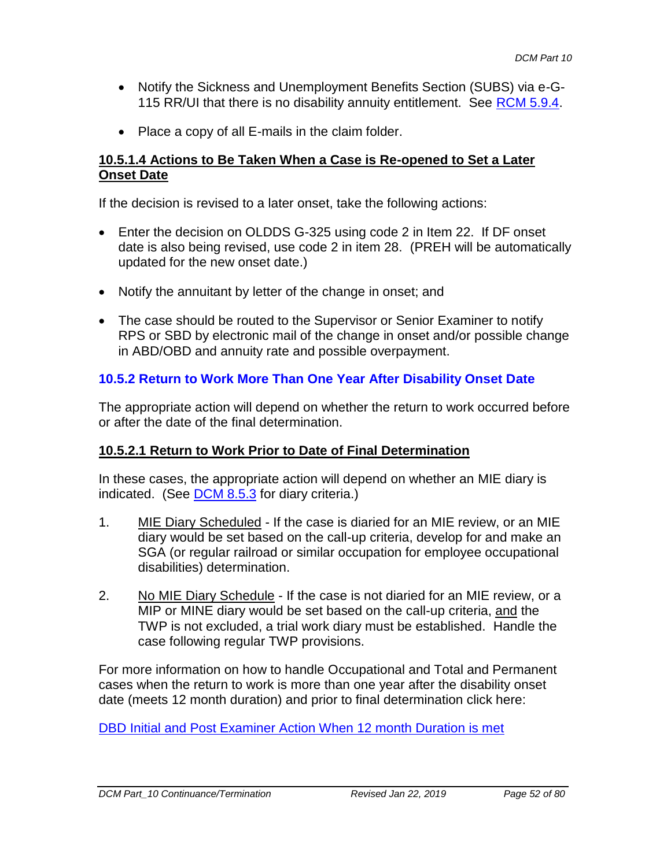- Notify the Sickness and Unemployment Benefits Section (SUBS) via e-G-115 RR/UI that there is no disability annuity entitlement. See RCM 5.9.4.
- Place a copy of all E-mails in the claim folder.

### **10.5.1.4 Actions to Be Taken When a Case is Re-opened to Set a Later Onset Date**

If the decision is revised to a later onset, take the following actions:

- Enter the decision on OLDDS G-325 using code 2 in Item 22. If DF onset date is also being revised, use code 2 in item 28. (PREH will be automatically updated for the new onset date.)
- Notify the annuitant by letter of the change in onset; and
- The case should be routed to the Supervisor or Senior Examiner to notify RPS or SBD by electronic mail of the change in onset and/or possible change in ABD/OBD and annuity rate and possible overpayment.

# **10.5.2 Return to Work More Than One Year After Disability Onset Date**

The appropriate action will depend on whether the return to work occurred before or after the date of the final determination.

# **10.5.2.1 Return to Work Prior to Date of Final Determination**

In these cases, the appropriate action will depend on whether an MIE diary is indicated. (See DCM 8.5.3 for diary criteria.)

- 1. MIE Diary Scheduled If the case is diaried for an MIE review, or an MIE diary would be set based on the call-up criteria, develop for and make an SGA (or regular railroad or similar occupation for employee occupational disabilities) determination.
- 2. No MIE Diary Schedule If the case is not diaried for an MIE review, or a MIP or MINE diary would be set based on the call-up criteria, and the TWP is not excluded, a trial work diary must be established. Handle the case following regular TWP provisions.

For more information on how to handle Occupational and Total and Permanent cases when the return to work is more than one year after the disability onset date (meets 12 month duration) and prior to final determination click here:

[DBD Initial and Post Examiner Action When 12 month Duration is met](file://///share/prism/Graphics/DCM%2010/DBD%20Initial%20and%20Post%20Examiner%20Action%20When%2012%20Month%20Duration%20is%20Met%20(DCM%2010.5.2).doc)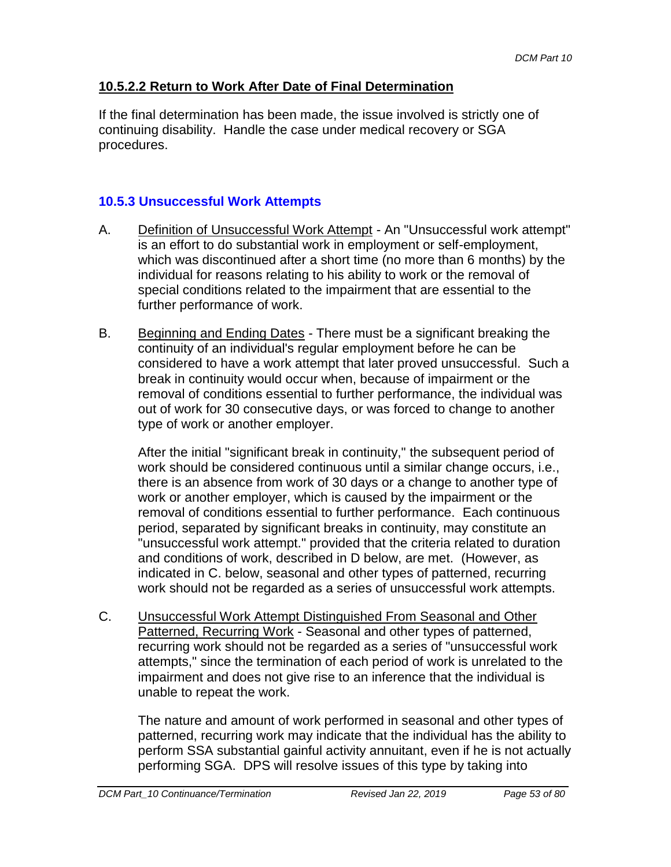# **10.5.2.2 Return to Work After Date of Final Determination**

If the final determination has been made, the issue involved is strictly one of continuing disability. Handle the case under medical recovery or SGA procedures.

# **10.5.3 Unsuccessful Work Attempts**

- A. Definition of Unsuccessful Work Attempt An "Unsuccessful work attempt" is an effort to do substantial work in employment or self-employment, which was discontinued after a short time (no more than 6 months) by the individual for reasons relating to his ability to work or the removal of special conditions related to the impairment that are essential to the further performance of work.
- B. Beginning and Ending Dates There must be a significant breaking the continuity of an individual's regular employment before he can be considered to have a work attempt that later proved unsuccessful. Such a break in continuity would occur when, because of impairment or the removal of conditions essential to further performance, the individual was out of work for 30 consecutive days, or was forced to change to another type of work or another employer.

After the initial "significant break in continuity," the subsequent period of work should be considered continuous until a similar change occurs, i.e., there is an absence from work of 30 days or a change to another type of work or another employer, which is caused by the impairment or the removal of conditions essential to further performance. Each continuous period, separated by significant breaks in continuity, may constitute an "unsuccessful work attempt." provided that the criteria related to duration and conditions of work, described in D below, are met. (However, as indicated in C. below, seasonal and other types of patterned, recurring work should not be regarded as a series of unsuccessful work attempts.

C. Unsuccessful Work Attempt Distinguished From Seasonal and Other Patterned, Recurring Work - Seasonal and other types of patterned, recurring work should not be regarded as a series of "unsuccessful work attempts," since the termination of each period of work is unrelated to the impairment and does not give rise to an inference that the individual is unable to repeat the work.

The nature and amount of work performed in seasonal and other types of patterned, recurring work may indicate that the individual has the ability to perform SSA substantial gainful activity annuitant, even if he is not actually performing SGA. DPS will resolve issues of this type by taking into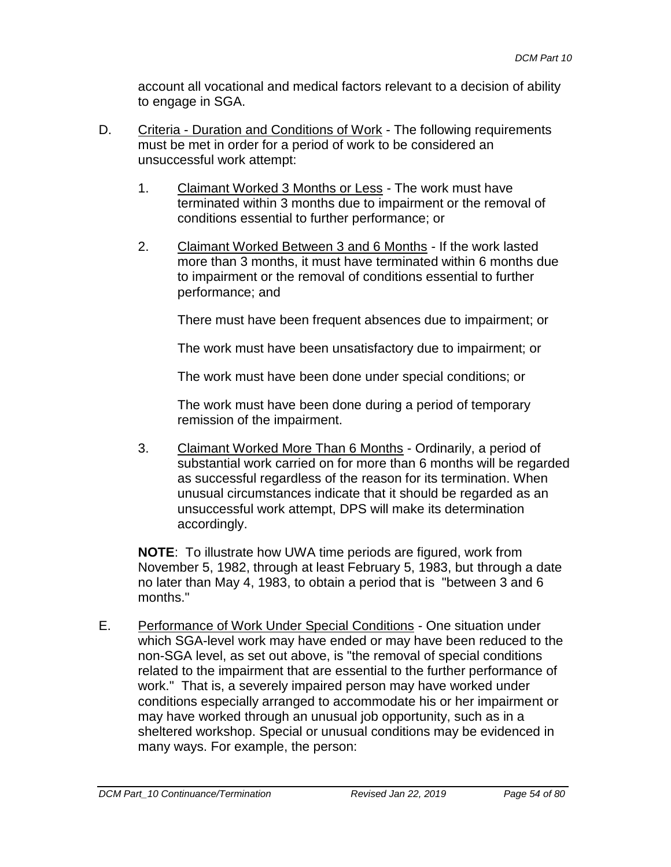account all vocational and medical factors relevant to a decision of ability to engage in SGA.

- D. Criteria Duration and Conditions of Work The following requirements must be met in order for a period of work to be considered an unsuccessful work attempt:
	- 1. Claimant Worked 3 Months or Less The work must have terminated within 3 months due to impairment or the removal of conditions essential to further performance; or
	- 2. Claimant Worked Between 3 and 6 Months If the work lasted more than 3 months, it must have terminated within 6 months due to impairment or the removal of conditions essential to further performance; and

There must have been frequent absences due to impairment; or

The work must have been unsatisfactory due to impairment; or

The work must have been done under special conditions; or

The work must have been done during a period of temporary remission of the impairment.

3. Claimant Worked More Than 6 Months - Ordinarily, a period of substantial work carried on for more than 6 months will be regarded as successful regardless of the reason for its termination. When unusual circumstances indicate that it should be regarded as an unsuccessful work attempt, DPS will make its determination accordingly.

**NOTE**: To illustrate how UWA time periods are figured, work from November 5, 1982, through at least February 5, 1983, but through a date no later than May 4, 1983, to obtain a period that is "between 3 and 6 months."

E. Performance of Work Under Special Conditions - One situation under which SGA-level work may have ended or may have been reduced to the non-SGA level, as set out above, is "the removal of special conditions related to the impairment that are essential to the further performance of work." That is, a severely impaired person may have worked under conditions especially arranged to accommodate his or her impairment or may have worked through an unusual job opportunity, such as in a sheltered workshop. Special or unusual conditions may be evidenced in many ways. For example, the person: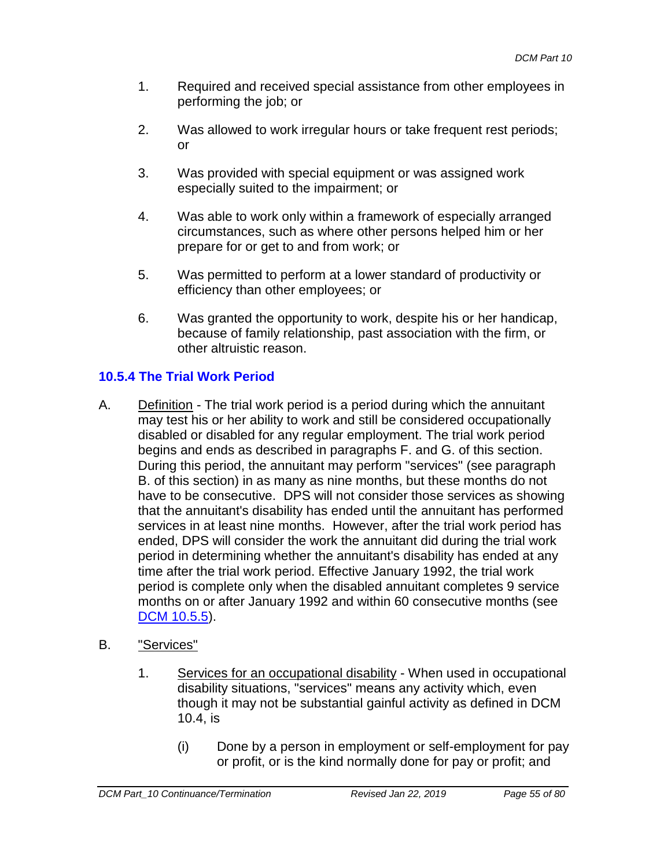- 1. Required and received special assistance from other employees in performing the job; or
- 2. Was allowed to work irregular hours or take frequent rest periods; or
- 3. Was provided with special equipment or was assigned work especially suited to the impairment; or
- 4. Was able to work only within a framework of especially arranged circumstances, such as where other persons helped him or her prepare for or get to and from work; or
- 5. Was permitted to perform at a lower standard of productivity or efficiency than other employees; or
- 6. Was granted the opportunity to work, despite his or her handicap, because of family relationship, past association with the firm, or other altruistic reason.

# **10.5.4 The Trial Work Period**

- A. Definition The trial work period is a period during which the annuitant may test his or her ability to work and still be considered occupationally disabled or disabled for any regular employment. The trial work period begins and ends as described in paragraphs F. and G. of this section. During this period, the annuitant may perform "services" (see paragraph B. of this section) in as many as nine months, but these months do not have to be consecutive. DPS will not consider those services as showing that the annuitant's disability has ended until the annuitant has performed services in at least nine months. However, after the trial work period has ended, DPS will consider the work the annuitant did during the trial work period in determining whether the annuitant's disability has ended at any time after the trial work period. Effective January 1992, the trial work period is complete only when the disabled annuitant completes 9 service months on or after January 1992 and within 60 consecutive months (see [DCM 10.5.5\)](#page-64-0).
- B. "Services"
	- 1. Services for an occupational disability When used in occupational disability situations, "services" means any activity which, even though it may not be substantial gainful activity as defined in DCM 10.4, is
		- (i) Done by a person in employment or self-employment for pay or profit, or is the kind normally done for pay or profit; and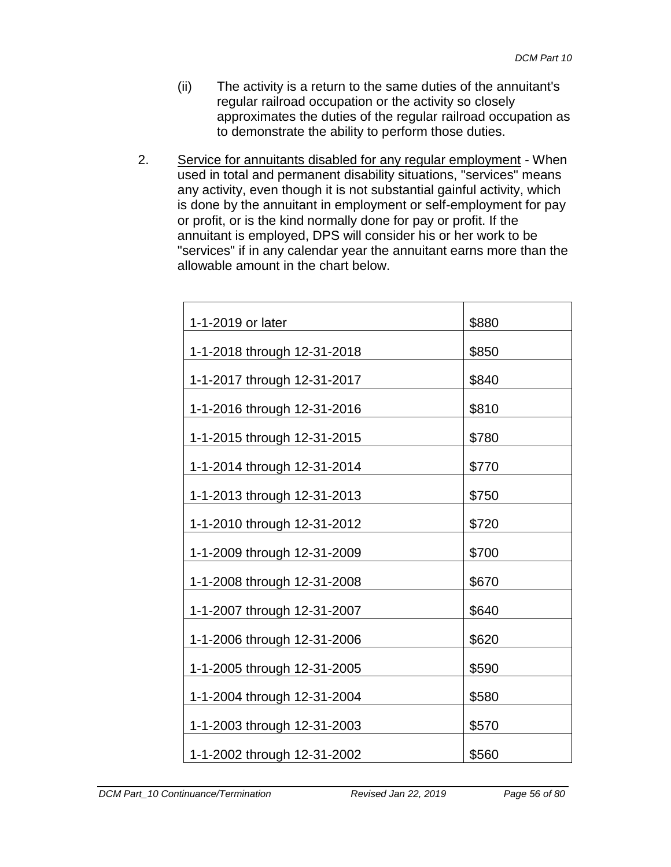- (ii) The activity is a return to the same duties of the annuitant's regular railroad occupation or the activity so closely approximates the duties of the regular railroad occupation as to demonstrate the ability to perform those duties.
- 2. Service for annuitants disabled for any regular employment When used in total and permanent disability situations, "services" means any activity, even though it is not substantial gainful activity, which is done by the annuitant in employment or self-employment for pay or profit, or is the kind normally done for pay or profit. If the annuitant is employed, DPS will consider his or her work to be "services" if in any calendar year the annuitant earns more than the allowable amount in the chart below.

| 1-1-2019 or later           | \$880 |
|-----------------------------|-------|
| 1-1-2018 through 12-31-2018 | \$850 |
| 1-1-2017 through 12-31-2017 | \$840 |
| 1-1-2016 through 12-31-2016 | \$810 |
| 1-1-2015 through 12-31-2015 | \$780 |
| 1-1-2014 through 12-31-2014 | \$770 |
| 1-1-2013 through 12-31-2013 | \$750 |
| 1-1-2010 through 12-31-2012 | \$720 |
| 1-1-2009 through 12-31-2009 | \$700 |
| 1-1-2008 through 12-31-2008 | \$670 |
| 1-1-2007 through 12-31-2007 | \$640 |
| 1-1-2006 through 12-31-2006 | \$620 |
| 1-1-2005 through 12-31-2005 | \$590 |
| 1-1-2004 through 12-31-2004 | \$580 |
| 1-1-2003 through 12-31-2003 | \$570 |
| 1-1-2002 through 12-31-2002 | \$560 |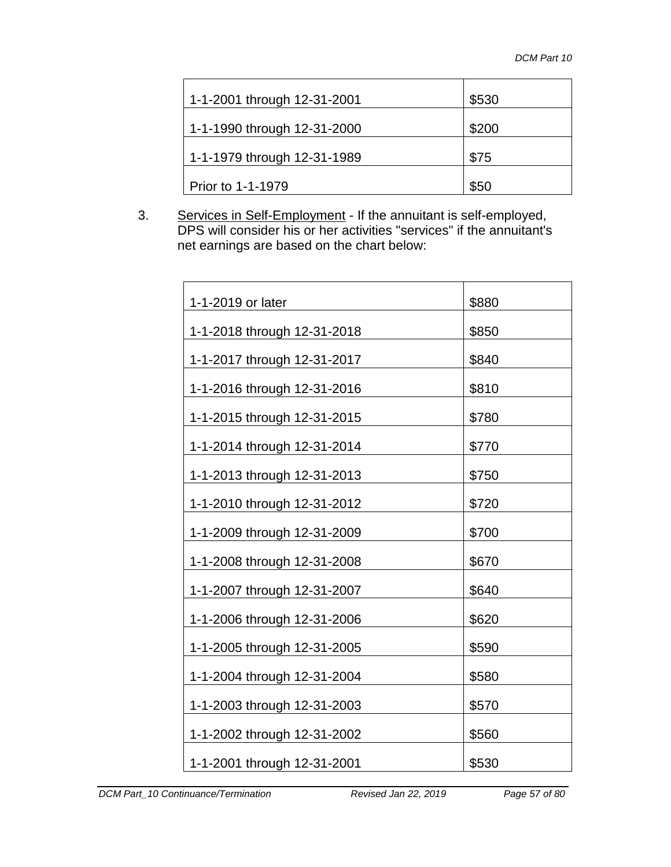| 1-1-2001 through 12-31-2001 | \$530 |
|-----------------------------|-------|
| 1-1-1990 through 12-31-2000 | \$200 |
| 1-1-1979 through 12-31-1989 | \$75  |
| Prior to 1-1-1979           | \$50  |

3. Services in Self-Employment - If the annuitant is self-employed, DPS will consider his or her activities "services" if the annuitant's net earnings are based on the chart below:

| 1-1-2019 or later           | \$880 |
|-----------------------------|-------|
| 1-1-2018 through 12-31-2018 | \$850 |
| 1-1-2017 through 12-31-2017 | \$840 |
| 1-1-2016 through 12-31-2016 | \$810 |
| 1-1-2015 through 12-31-2015 | \$780 |
| 1-1-2014 through 12-31-2014 | \$770 |
| 1-1-2013 through 12-31-2013 | \$750 |
| 1-1-2010 through 12-31-2012 | \$720 |
| 1-1-2009 through 12-31-2009 | \$700 |
| 1-1-2008 through 12-31-2008 | \$670 |
| 1-1-2007 through 12-31-2007 | \$640 |
| 1-1-2006 through 12-31-2006 | \$620 |
| 1-1-2005 through 12-31-2005 | \$590 |
| 1-1-2004 through 12-31-2004 | \$580 |
| 1-1-2003 through 12-31-2003 | \$570 |
| 1-1-2002 through 12-31-2002 | \$560 |
| 1-1-2001 through 12-31-2001 | \$530 |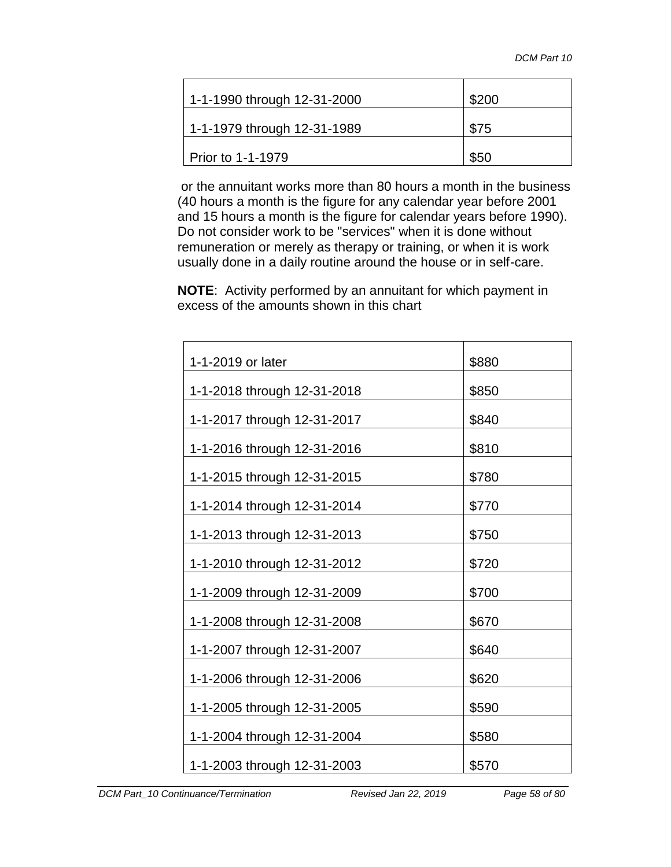| 1-1-1990 through 12-31-2000 | \$200 |
|-----------------------------|-------|
| 1-1-1979 through 12-31-1989 | \$75  |
| Prior to 1-1-1979           | \$50  |

or the annuitant works more than 80 hours a month in the business (40 hours a month is the figure for any calendar year before 2001 and 15 hours a month is the figure for calendar years before 1990). Do not consider work to be "services" when it is done without remuneration or merely as therapy or training, or when it is work usually done in a daily routine around the house or in self-care.

**NOTE**: Activity performed by an annuitant for which payment in excess of the amounts shown in this chart

| 1-1-2019 or later           | \$880 |
|-----------------------------|-------|
| 1-1-2018 through 12-31-2018 | \$850 |
| 1-1-2017 through 12-31-2017 | \$840 |
| 1-1-2016 through 12-31-2016 | \$810 |
| 1-1-2015 through 12-31-2015 | \$780 |
| 1-1-2014 through 12-31-2014 | \$770 |
| 1-1-2013 through 12-31-2013 | \$750 |
| 1-1-2010 through 12-31-2012 | \$720 |
| 1-1-2009 through 12-31-2009 | \$700 |
| 1-1-2008 through 12-31-2008 | \$670 |
| 1-1-2007 through 12-31-2007 | \$640 |
| 1-1-2006 through 12-31-2006 | \$620 |
| 1-1-2005 through 12-31-2005 | \$590 |
| 1-1-2004 through 12-31-2004 | \$580 |
|                             |       |
| 1-1-2003 through 12-31-2003 | \$570 |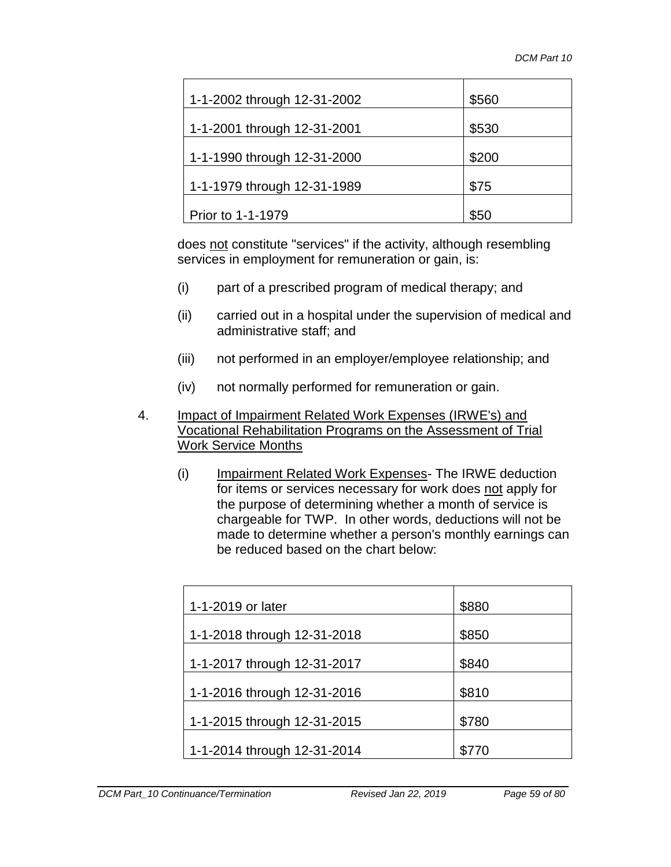| 1-1-2002 through 12-31-2002 | \$560 |
|-----------------------------|-------|
| 1-1-2001 through 12-31-2001 | \$530 |
| 1-1-1990 through 12-31-2000 | \$200 |
| 1-1-1979 through 12-31-1989 | \$75  |
| Prior to 1-1-1979           | \$50  |

does not constitute "services" if the activity, although resembling services in employment for remuneration or gain, is:

- (i) part of a prescribed program of medical therapy; and
- (ii) carried out in a hospital under the supervision of medical and administrative staff; and
- (iii) not performed in an employer/employee relationship; and
- (iv) not normally performed for remuneration or gain.
- 4. Impact of Impairment Related Work Expenses (IRWE's) and Vocational Rehabilitation Programs on the Assessment of Trial Work Service Months
	- (i) Impairment Related Work Expenses- The IRWE deduction for items or services necessary for work does not apply for the purpose of determining whether a month of service is chargeable for TWP. In other words, deductions will not be made to determine whether a person's monthly earnings can be reduced based on the chart below:

| 1-1-2019 or later           | \$880 |
|-----------------------------|-------|
| 1-1-2018 through 12-31-2018 | \$850 |
| 1-1-2017 through 12-31-2017 | \$840 |
| 1-1-2016 through 12-31-2016 | \$810 |
| 1-1-2015 through 12-31-2015 | \$780 |
| 1-1-2014 through 12-31-2014 | \$770 |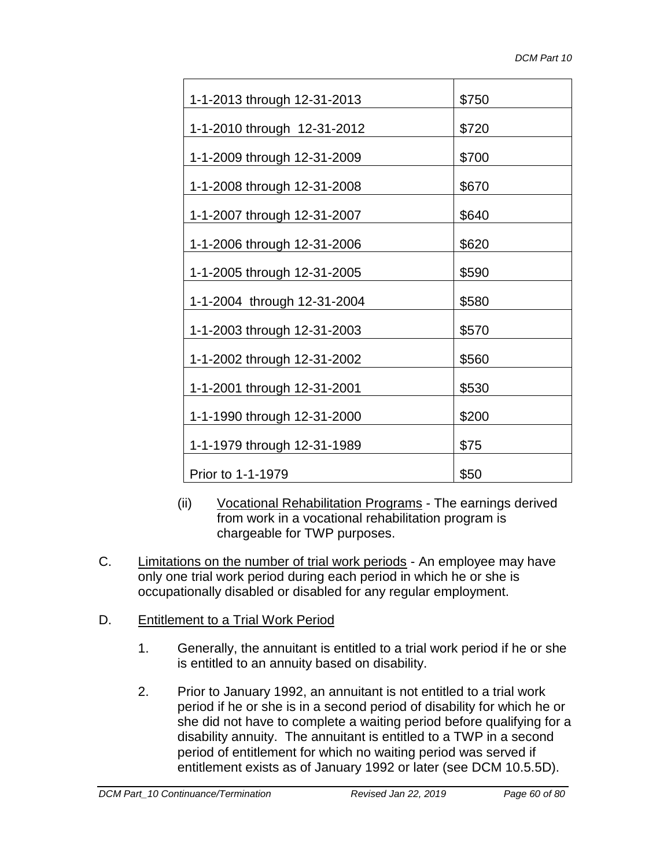| 1-1-2013 through 12-31-2013 | \$750 |
|-----------------------------|-------|
| 1-1-2010 through 12-31-2012 | \$720 |
| 1-1-2009 through 12-31-2009 | \$700 |
| 1-1-2008 through 12-31-2008 | \$670 |
| 1-1-2007 through 12-31-2007 | \$640 |
| 1-1-2006 through 12-31-2006 | \$620 |
| 1-1-2005 through 12-31-2005 | \$590 |
| 1-1-2004 through 12-31-2004 | \$580 |
| 1-1-2003 through 12-31-2003 | \$570 |
| 1-1-2002 through 12-31-2002 | \$560 |
| 1-1-2001 through 12-31-2001 | \$530 |
| 1-1-1990 through 12-31-2000 | \$200 |
| 1-1-1979 through 12-31-1989 | \$75  |
| Prior to 1-1-1979           | \$50  |

- (ii) Vocational Rehabilitation Programs The earnings derived from work in a vocational rehabilitation program is chargeable for TWP purposes.
- C. Limitations on the number of trial work periods An employee may have only one trial work period during each period in which he or she is occupationally disabled or disabled for any regular employment.
- D. Entitlement to a Trial Work Period
	- 1. Generally, the annuitant is entitled to a trial work period if he or she is entitled to an annuity based on disability.
	- 2. Prior to January 1992, an annuitant is not entitled to a trial work period if he or she is in a second period of disability for which he or she did not have to complete a waiting period before qualifying for a disability annuity. The annuitant is entitled to a TWP in a second period of entitlement for which no waiting period was served if entitlement exists as of January 1992 or later (see DCM 10.5.5D).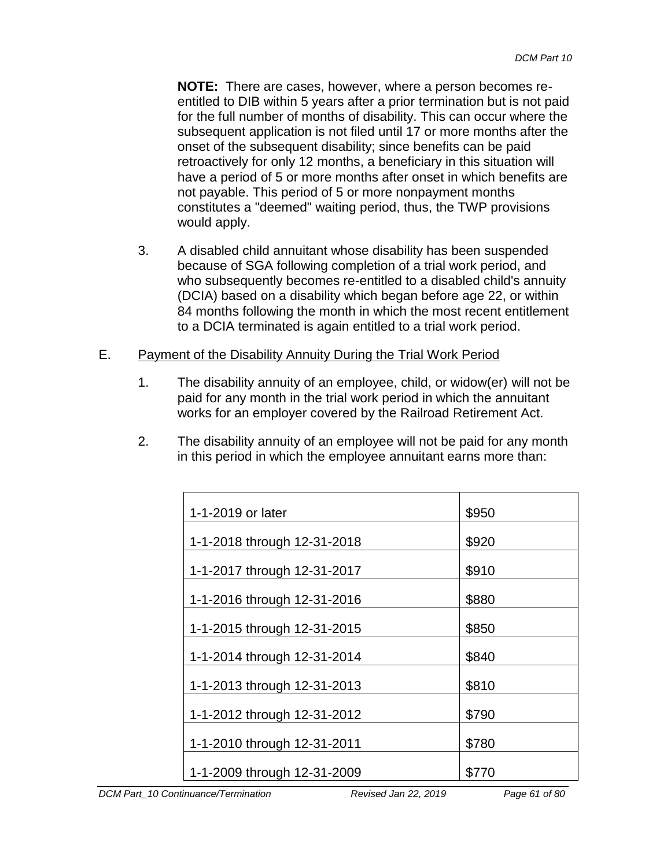**NOTE:** There are cases, however, where a person becomes reentitled to DIB within 5 years after a prior termination but is not paid for the full number of months of disability. This can occur where the subsequent application is not filed until 17 or more months after the onset of the subsequent disability; since benefits can be paid retroactively for only 12 months, a beneficiary in this situation will have a period of 5 or more months after onset in which benefits are not payable. This period of 5 or more nonpayment months constitutes a "deemed" waiting period, thus, the TWP provisions would apply.

3. A disabled child annuitant whose disability has been suspended because of SGA following completion of a trial work period, and who subsequently becomes re-entitled to a disabled child's annuity (DCIA) based on a disability which began before age 22, or within 84 months following the month in which the most recent entitlement to a DCIA terminated is again entitled to a trial work period.

### E. Payment of the Disability Annuity During the Trial Work Period

- 1. The disability annuity of an employee, child, or widow(er) will not be paid for any month in the trial work period in which the annuitant works for an employer covered by the Railroad Retirement Act.
- 2. The disability annuity of an employee will not be paid for any month in this period in which the employee annuitant earns more than:

| 1-1-2019 or later           | \$950 |
|-----------------------------|-------|
| 1-1-2018 through 12-31-2018 | \$920 |
| 1-1-2017 through 12-31-2017 | \$910 |
| 1-1-2016 through 12-31-2016 | \$880 |
| 1-1-2015 through 12-31-2015 | \$850 |
| 1-1-2014 through 12-31-2014 | \$840 |
| 1-1-2013 through 12-31-2013 | \$810 |
| 1-1-2012 through 12-31-2012 | \$790 |
| 1-1-2010 through 12-31-2011 | \$780 |
| 1-1-2009 through 12-31-2009 | \$770 |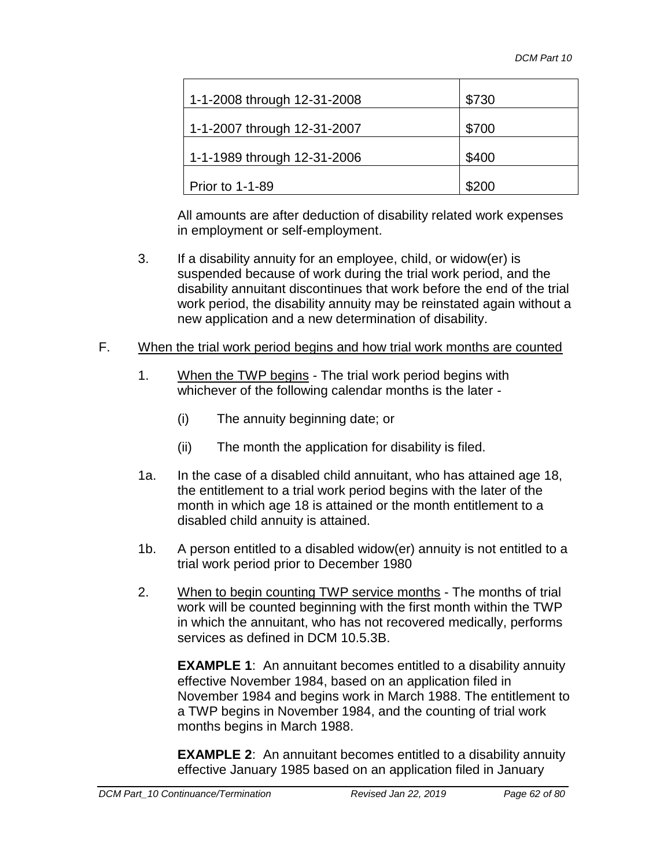| 1-1-2008 through 12-31-2008 | \$730 |
|-----------------------------|-------|
| 1-1-2007 through 12-31-2007 | \$700 |
| 1-1-1989 through 12-31-2006 | \$400 |
| <b>Prior to 1-1-89</b>      | \$200 |

All amounts are after deduction of disability related work expenses in employment or self-employment.

- 3. If a disability annuity for an employee, child, or widow(er) is suspended because of work during the trial work period, and the disability annuitant discontinues that work before the end of the trial work period, the disability annuity may be reinstated again without a new application and a new determination of disability.
- F. When the trial work period begins and how trial work months are counted
	- 1. When the TWP begins The trial work period begins with whichever of the following calendar months is the later -
		- (i) The annuity beginning date; or
		- (ii) The month the application for disability is filed.
	- 1a. In the case of a disabled child annuitant, who has attained age 18, the entitlement to a trial work period begins with the later of the month in which age 18 is attained or the month entitlement to a disabled child annuity is attained.
	- 1b. A person entitled to a disabled widow(er) annuity is not entitled to a trial work period prior to December 1980
	- 2. When to begin counting TWP service months The months of trial work will be counted beginning with the first month within the TWP in which the annuitant, who has not recovered medically, performs services as defined in DCM 10.5.3B.

**EXAMPLE 1**: An annuitant becomes entitled to a disability annuity effective November 1984, based on an application filed in November 1984 and begins work in March 1988. The entitlement to a TWP begins in November 1984, and the counting of trial work months begins in March 1988.

**EXAMPLE 2**: An annuitant becomes entitled to a disability annuity effective January 1985 based on an application filed in January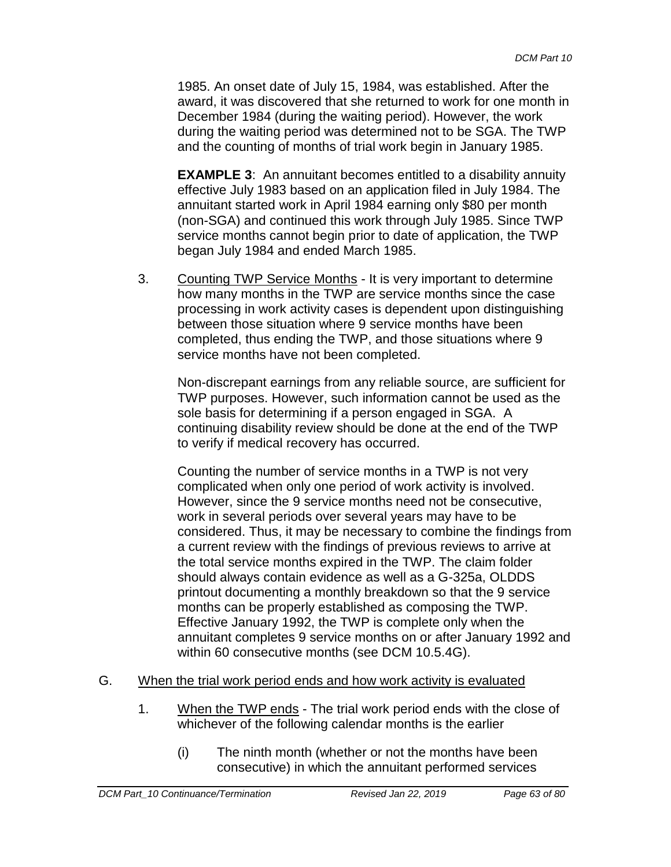1985. An onset date of July 15, 1984, was established. After the award, it was discovered that she returned to work for one month in December 1984 (during the waiting period). However, the work during the waiting period was determined not to be SGA. The TWP and the counting of months of trial work begin in January 1985.

**EXAMPLE 3:** An annuitant becomes entitled to a disability annuity effective July 1983 based on an application filed in July 1984. The annuitant started work in April 1984 earning only \$80 per month (non-SGA) and continued this work through July 1985. Since TWP service months cannot begin prior to date of application, the TWP began July 1984 and ended March 1985.

3. Counting TWP Service Months - It is very important to determine how many months in the TWP are service months since the case processing in work activity cases is dependent upon distinguishing between those situation where 9 service months have been completed, thus ending the TWP, and those situations where 9 service months have not been completed.

Non-discrepant earnings from any reliable source, are sufficient for TWP purposes. However, such information cannot be used as the sole basis for determining if a person engaged in SGA. A continuing disability review should be done at the end of the TWP to verify if medical recovery has occurred.

Counting the number of service months in a TWP is not very complicated when only one period of work activity is involved. However, since the 9 service months need not be consecutive, work in several periods over several years may have to be considered. Thus, it may be necessary to combine the findings from a current review with the findings of previous reviews to arrive at the total service months expired in the TWP. The claim folder should always contain evidence as well as a G-325a, OLDDS printout documenting a monthly breakdown so that the 9 service months can be properly established as composing the TWP. Effective January 1992, the TWP is complete only when the annuitant completes 9 service months on or after January 1992 and within 60 consecutive months (see DCM 10.5.4G).

- G. When the trial work period ends and how work activity is evaluated
	- 1. When the TWP ends The trial work period ends with the close of whichever of the following calendar months is the earlier
		- (i) The ninth month (whether or not the months have been consecutive) in which the annuitant performed services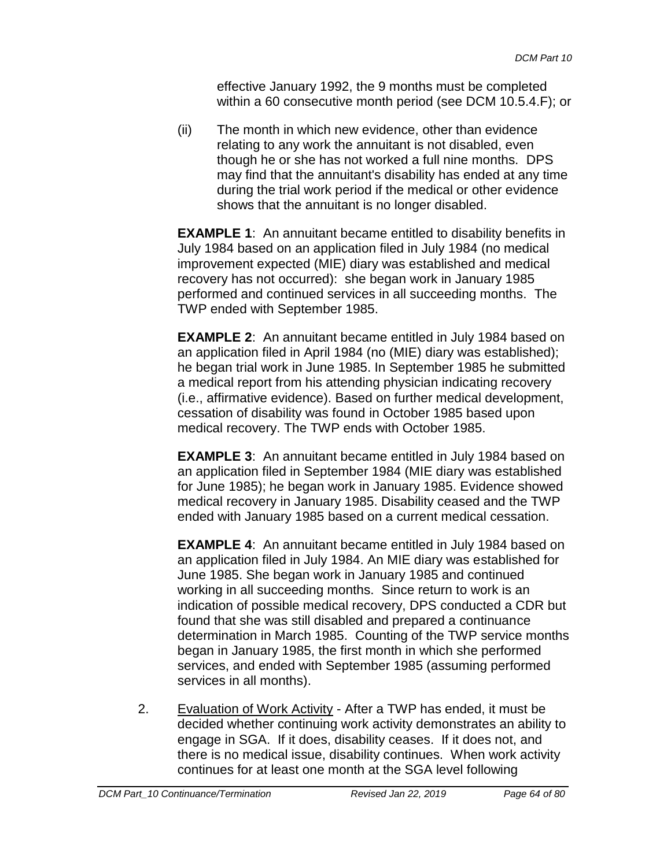effective January 1992, the 9 months must be completed within a 60 consecutive month period (see DCM 10.5.4.F); or

(ii) The month in which new evidence, other than evidence relating to any work the annuitant is not disabled, even though he or she has not worked a full nine months. DPS may find that the annuitant's disability has ended at any time during the trial work period if the medical or other evidence shows that the annuitant is no longer disabled.

**EXAMPLE 1:** An annuitant became entitled to disability benefits in July 1984 based on an application filed in July 1984 (no medical improvement expected (MIE) diary was established and medical recovery has not occurred): she began work in January 1985 performed and continued services in all succeeding months. The TWP ended with September 1985.

**EXAMPLE 2**: An annuitant became entitled in July 1984 based on an application filed in April 1984 (no (MIE) diary was established); he began trial work in June 1985. In September 1985 he submitted a medical report from his attending physician indicating recovery (i.e., affirmative evidence). Based on further medical development, cessation of disability was found in October 1985 based upon medical recovery. The TWP ends with October 1985.

**EXAMPLE 3**: An annuitant became entitled in July 1984 based on an application filed in September 1984 (MIE diary was established for June 1985); he began work in January 1985. Evidence showed medical recovery in January 1985. Disability ceased and the TWP ended with January 1985 based on a current medical cessation.

**EXAMPLE 4**: An annuitant became entitled in July 1984 based on an application filed in July 1984. An MIE diary was established for June 1985. She began work in January 1985 and continued working in all succeeding months. Since return to work is an indication of possible medical recovery, DPS conducted a CDR but found that she was still disabled and prepared a continuance determination in March 1985. Counting of the TWP service months began in January 1985, the first month in which she performed services, and ended with September 1985 (assuming performed services in all months).

2. Evaluation of Work Activity - After a TWP has ended, it must be decided whether continuing work activity demonstrates an ability to engage in SGA. If it does, disability ceases. If it does not, and there is no medical issue, disability continues. When work activity continues for at least one month at the SGA level following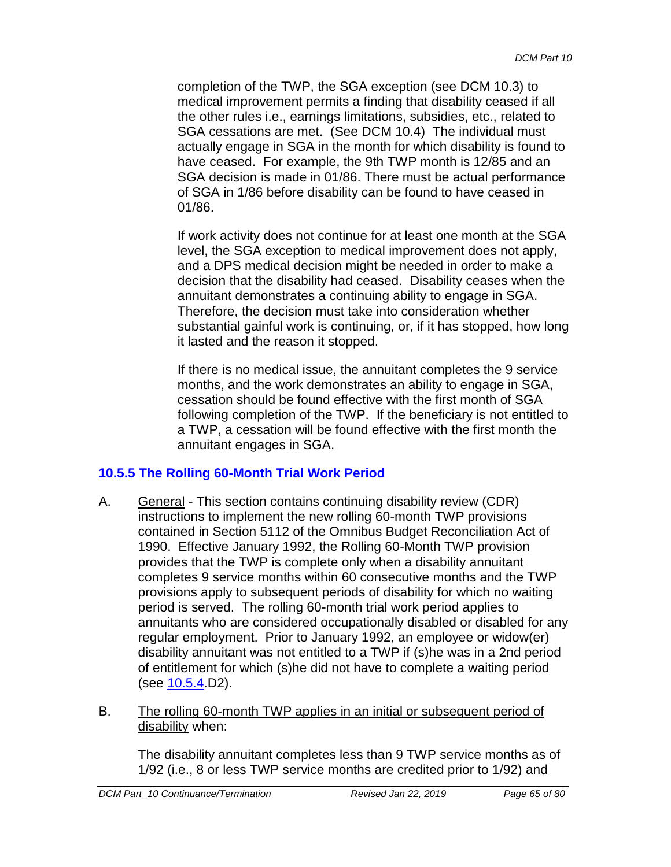completion of the TWP, the SGA exception (see DCM 10.3) to medical improvement permits a finding that disability ceased if all the other rules i.e., earnings limitations, subsidies, etc., related to SGA cessations are met. (See DCM 10.4) The individual must actually engage in SGA in the month for which disability is found to have ceased. For example, the 9th TWP month is 12/85 and an SGA decision is made in 01/86. There must be actual performance of SGA in 1/86 before disability can be found to have ceased in 01/86.

If work activity does not continue for at least one month at the SGA level, the SGA exception to medical improvement does not apply, and a DPS medical decision might be needed in order to make a decision that the disability had ceased. Disability ceases when the annuitant demonstrates a continuing ability to engage in SGA. Therefore, the decision must take into consideration whether substantial gainful work is continuing, or, if it has stopped, how long it lasted and the reason it stopped.

If there is no medical issue, the annuitant completes the 9 service months, and the work demonstrates an ability to engage in SGA, cessation should be found effective with the first month of SGA following completion of the TWP. If the beneficiary is not entitled to a TWP, a cessation will be found effective with the first month the annuitant engages in SGA.

# <span id="page-64-0"></span>**10.5.5 The Rolling 60-Month Trial Work Period**

- A. General This section contains continuing disability review (CDR) instructions to implement the new rolling 60-month TWP provisions contained in Section 5112 of the Omnibus Budget Reconciliation Act of 1990. Effective January 1992, the Rolling 60-Month TWP provision provides that the TWP is complete only when a disability annuitant completes 9 service months within 60 consecutive months and the TWP provisions apply to subsequent periods of disability for which no waiting period is served. The rolling 60-month trial work period applies to annuitants who are considered occupationally disabled or disabled for any regular employment. Prior to January 1992, an employee or widow(er) disability annuitant was not entitled to a TWP if (s)he was in a 2nd period of entitlement for which (s)he did not have to complete a waiting period (see 10.5.4.D2).
- B. The rolling 60-month TWP applies in an initial or subsequent period of disability when:

The disability annuitant completes less than 9 TWP service months as of 1/92 (i.e., 8 or less TWP service months are credited prior to 1/92) and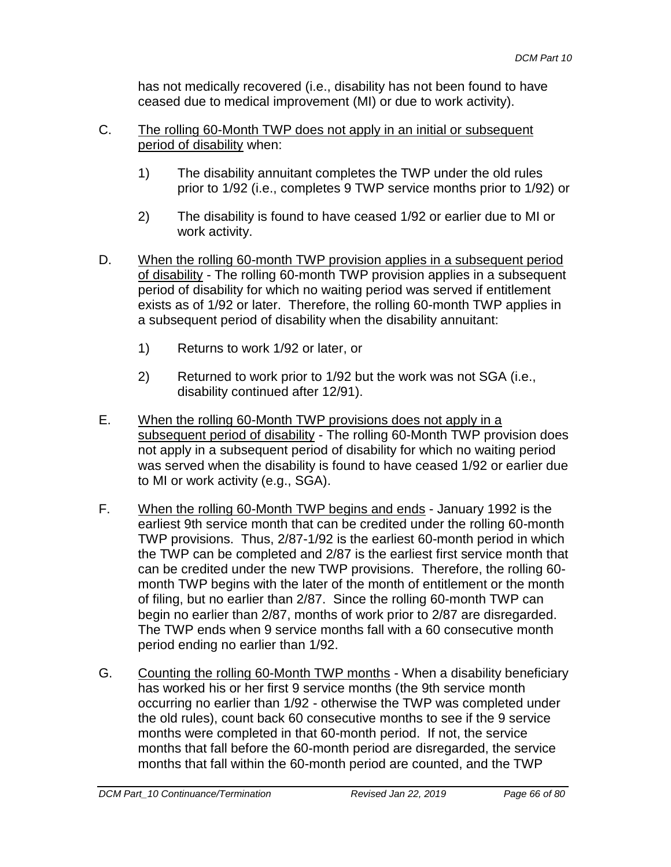has not medically recovered (i.e., disability has not been found to have ceased due to medical improvement (MI) or due to work activity).

- C. The rolling 60-Month TWP does not apply in an initial or subsequent period of disability when:
	- 1) The disability annuitant completes the TWP under the old rules prior to 1/92 (i.e., completes 9 TWP service months prior to 1/92) or
	- 2) The disability is found to have ceased 1/92 or earlier due to MI or work activity.
- D. When the rolling 60-month TWP provision applies in a subsequent period of disability - The rolling 60-month TWP provision applies in a subsequent period of disability for which no waiting period was served if entitlement exists as of 1/92 or later. Therefore, the rolling 60-month TWP applies in a subsequent period of disability when the disability annuitant:
	- 1) Returns to work 1/92 or later, or
	- 2) Returned to work prior to 1/92 but the work was not SGA (i.e., disability continued after 12/91).
- E. When the rolling 60-Month TWP provisions does not apply in a subsequent period of disability - The rolling 60-Month TWP provision does not apply in a subsequent period of disability for which no waiting period was served when the disability is found to have ceased 1/92 or earlier due to MI or work activity (e.g., SGA).
- F. When the rolling 60-Month TWP begins and ends January 1992 is the earliest 9th service month that can be credited under the rolling 60-month TWP provisions. Thus, 2/87-1/92 is the earliest 60-month period in which the TWP can be completed and 2/87 is the earliest first service month that can be credited under the new TWP provisions. Therefore, the rolling 60 month TWP begins with the later of the month of entitlement or the month of filing, but no earlier than 2/87. Since the rolling 60-month TWP can begin no earlier than 2/87, months of work prior to 2/87 are disregarded. The TWP ends when 9 service months fall with a 60 consecutive month period ending no earlier than 1/92.
- G. Counting the rolling 60-Month TWP months When a disability beneficiary has worked his or her first 9 service months (the 9th service month occurring no earlier than 1/92 - otherwise the TWP was completed under the old rules), count back 60 consecutive months to see if the 9 service months were completed in that 60-month period. If not, the service months that fall before the 60-month period are disregarded, the service months that fall within the 60-month period are counted, and the TWP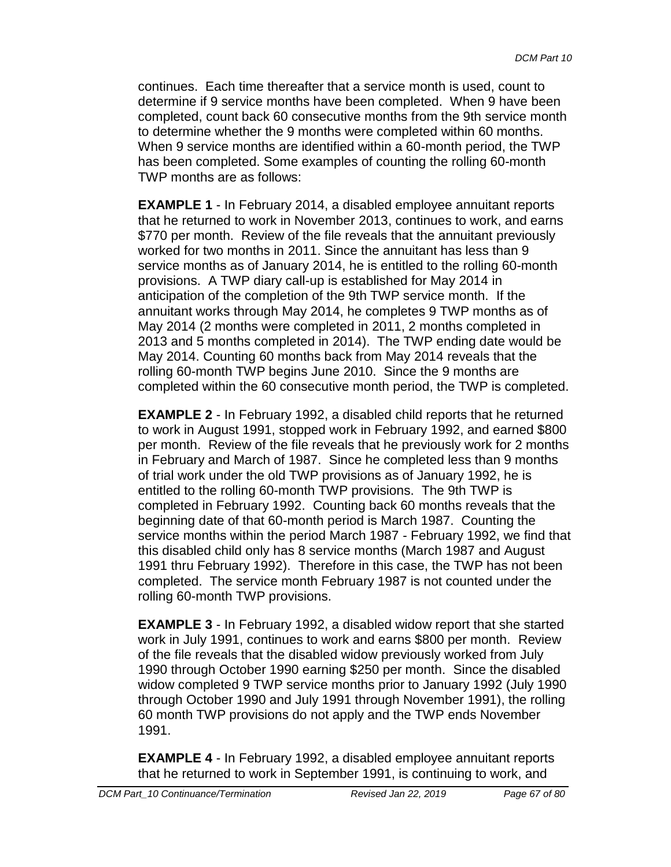continues. Each time thereafter that a service month is used, count to determine if 9 service months have been completed. When 9 have been completed, count back 60 consecutive months from the 9th service month to determine whether the 9 months were completed within 60 months. When 9 service months are identified within a 60-month period, the TWP has been completed. Some examples of counting the rolling 60-month TWP months are as follows:

**EXAMPLE 1** - In February 2014, a disabled employee annuitant reports that he returned to work in November 2013, continues to work, and earns \$770 per month. Review of the file reveals that the annuitant previously worked for two months in 2011. Since the annuitant has less than 9 service months as of January 2014, he is entitled to the rolling 60-month provisions. A TWP diary call-up is established for May 2014 in anticipation of the completion of the 9th TWP service month. If the annuitant works through May 2014, he completes 9 TWP months as of May 2014 (2 months were completed in 2011, 2 months completed in 2013 and 5 months completed in 2014). The TWP ending date would be May 2014. Counting 60 months back from May 2014 reveals that the rolling 60-month TWP begins June 2010. Since the 9 months are completed within the 60 consecutive month period, the TWP is completed.

**EXAMPLE 2** - In February 1992, a disabled child reports that he returned to work in August 1991, stopped work in February 1992, and earned \$800 per month. Review of the file reveals that he previously work for 2 months in February and March of 1987. Since he completed less than 9 months of trial work under the old TWP provisions as of January 1992, he is entitled to the rolling 60-month TWP provisions. The 9th TWP is completed in February 1992. Counting back 60 months reveals that the beginning date of that 60-month period is March 1987. Counting the service months within the period March 1987 - February 1992, we find that this disabled child only has 8 service months (March 1987 and August 1991 thru February 1992). Therefore in this case, the TWP has not been completed. The service month February 1987 is not counted under the rolling 60-month TWP provisions.

**EXAMPLE 3** - In February 1992, a disabled widow report that she started work in July 1991, continues to work and earns \$800 per month. Review of the file reveals that the disabled widow previously worked from July 1990 through October 1990 earning \$250 per month. Since the disabled widow completed 9 TWP service months prior to January 1992 (July 1990 through October 1990 and July 1991 through November 1991), the rolling 60 month TWP provisions do not apply and the TWP ends November 1991.

**EXAMPLE 4** - In February 1992, a disabled employee annuitant reports that he returned to work in September 1991, is continuing to work, and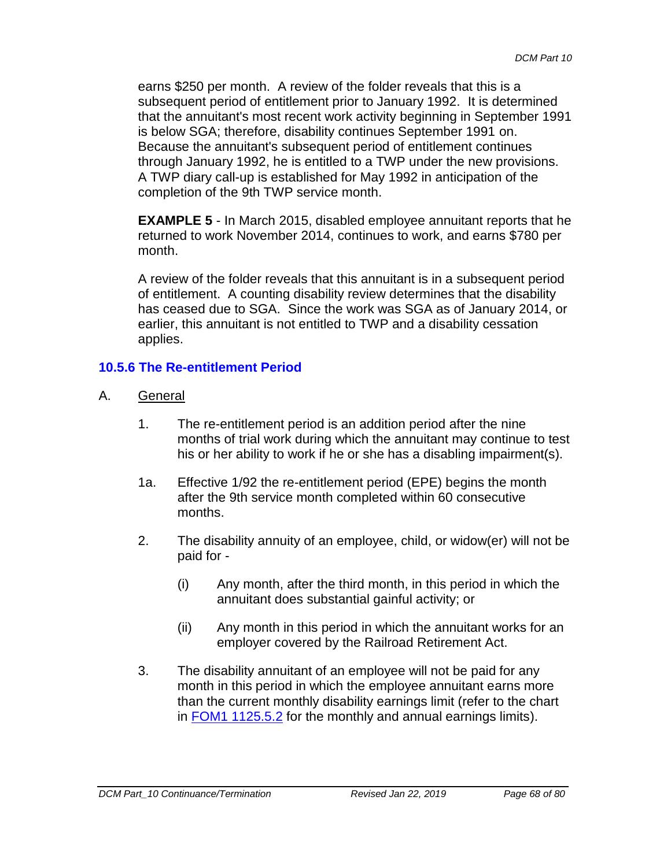earns \$250 per month. A review of the folder reveals that this is a subsequent period of entitlement prior to January 1992. It is determined that the annuitant's most recent work activity beginning in September 1991 is below SGA; therefore, disability continues September 1991 on. Because the annuitant's subsequent period of entitlement continues through January 1992, he is entitled to a TWP under the new provisions. A TWP diary call-up is established for May 1992 in anticipation of the completion of the 9th TWP service month.

**EXAMPLE 5** - In March 2015, disabled employee annuitant reports that he returned to work November 2014, continues to work, and earns \$780 per month.

A review of the folder reveals that this annuitant is in a subsequent period of entitlement. A counting disability review determines that the disability has ceased due to SGA. Since the work was SGA as of January 2014, or earlier, this annuitant is not entitled to TWP and a disability cessation applies.

# **10.5.6 The Re-entitlement Period**

- A. General
	- 1. The re-entitlement period is an addition period after the nine months of trial work during which the annuitant may continue to test his or her ability to work if he or she has a disabling impairment(s).
	- 1a. Effective 1/92 the re-entitlement period (EPE) begins the month after the 9th service month completed within 60 consecutive months.
	- 2. The disability annuity of an employee, child, or widow(er) will not be paid for -
		- (i) Any month, after the third month, in this period in which the annuitant does substantial gainful activity; or
		- (ii) Any month in this period in which the annuitant works for an employer covered by the Railroad Retirement Act.
	- 3. The disability annuitant of an employee will not be paid for any month in this period in which the employee annuitant earns more than the current monthly disability earnings limit (refer to the chart in **FOM1 1125.5.2** for the monthly and annual earnings limits).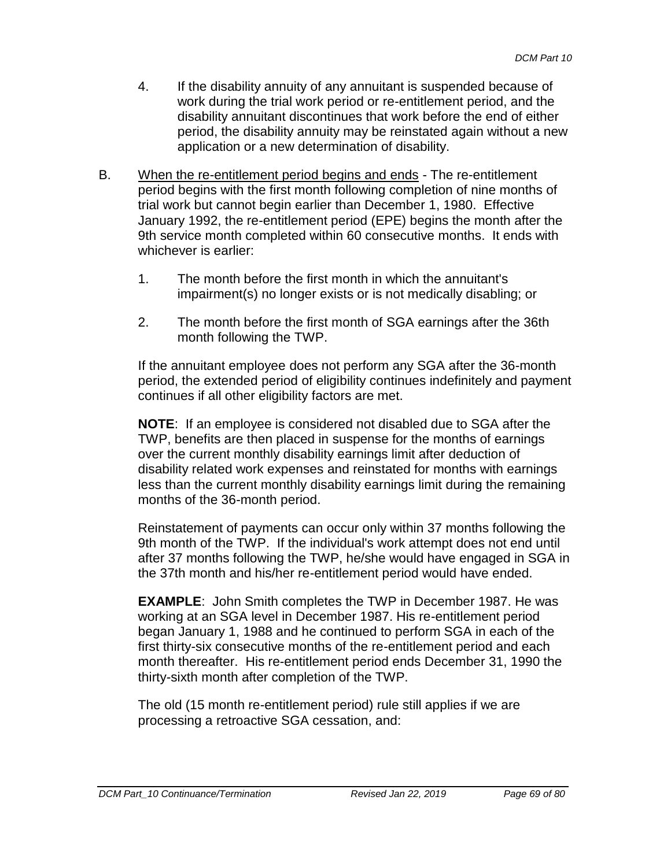- 4. If the disability annuity of any annuitant is suspended because of work during the trial work period or re-entitlement period, and the disability annuitant discontinues that work before the end of either period, the disability annuity may be reinstated again without a new application or a new determination of disability.
- B. When the re-entitlement period begins and ends The re-entitlement period begins with the first month following completion of nine months of trial work but cannot begin earlier than December 1, 1980. Effective January 1992, the re-entitlement period (EPE) begins the month after the 9th service month completed within 60 consecutive months. It ends with whichever is earlier:
	- 1. The month before the first month in which the annuitant's impairment(s) no longer exists or is not medically disabling; or
	- 2. The month before the first month of SGA earnings after the 36th month following the TWP.

If the annuitant employee does not perform any SGA after the 36-month period, the extended period of eligibility continues indefinitely and payment continues if all other eligibility factors are met.

**NOTE**: If an employee is considered not disabled due to SGA after the TWP, benefits are then placed in suspense for the months of earnings over the current monthly disability earnings limit after deduction of disability related work expenses and reinstated for months with earnings less than the current monthly disability earnings limit during the remaining months of the 36-month period.

Reinstatement of payments can occur only within 37 months following the 9th month of the TWP. If the individual's work attempt does not end until after 37 months following the TWP, he/she would have engaged in SGA in the 37th month and his/her re-entitlement period would have ended.

**EXAMPLE**: John Smith completes the TWP in December 1987. He was working at an SGA level in December 1987. His re-entitlement period began January 1, 1988 and he continued to perform SGA in each of the first thirty-six consecutive months of the re-entitlement period and each month thereafter. His re-entitlement period ends December 31, 1990 the thirty-sixth month after completion of the TWP.

The old (15 month re-entitlement period) rule still applies if we are processing a retroactive SGA cessation, and: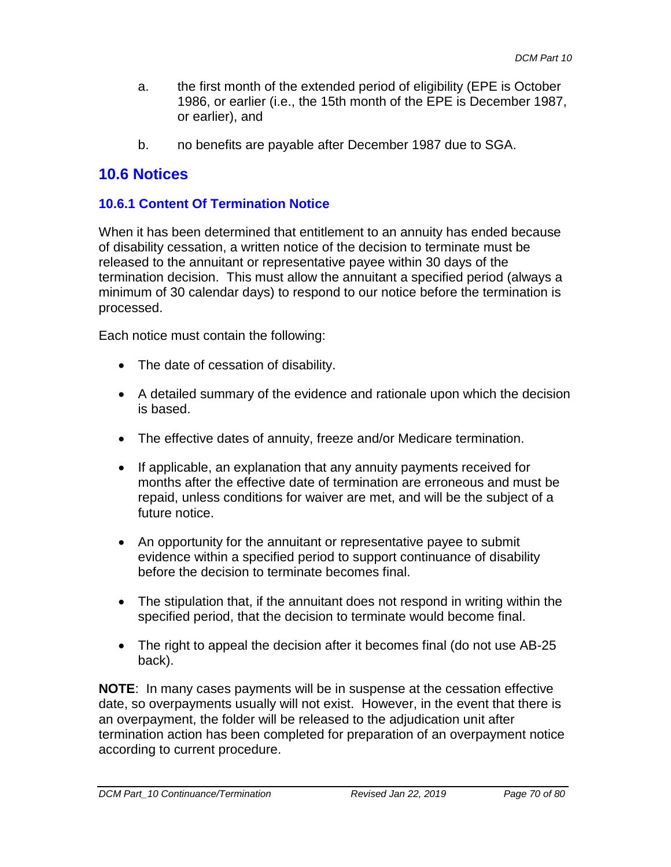- a. the first month of the extended period of eligibility (EPE is October 1986, or earlier (i.e., the 15th month of the EPE is December 1987, or earlier), and
- b. no benefits are payable after December 1987 due to SGA.

# **10.6 Notices**

### **10.6.1 Content Of Termination Notice**

When it has been determined that entitlement to an annuity has ended because of disability cessation, a written notice of the decision to terminate must be released to the annuitant or representative payee within 30 days of the termination decision. This must allow the annuitant a specified period (always a minimum of 30 calendar days) to respond to our notice before the termination is processed.

Each notice must contain the following:

- The date of cessation of disability.
- A detailed summary of the evidence and rationale upon which the decision is based.
- The effective dates of annuity, freeze and/or Medicare termination.
- If applicable, an explanation that any annuity payments received for months after the effective date of termination are erroneous and must be repaid, unless conditions for waiver are met, and will be the subject of a future notice.
- An opportunity for the annuitant or representative payee to submit evidence within a specified period to support continuance of disability before the decision to terminate becomes final.
- The stipulation that, if the annuitant does not respond in writing within the specified period, that the decision to terminate would become final.
- The right to appeal the decision after it becomes final (do not use AB-25) back).

**NOTE**: In many cases payments will be in suspense at the cessation effective date, so overpayments usually will not exist. However, in the event that there is an overpayment, the folder will be released to the adjudication unit after termination action has been completed for preparation of an overpayment notice according to current procedure.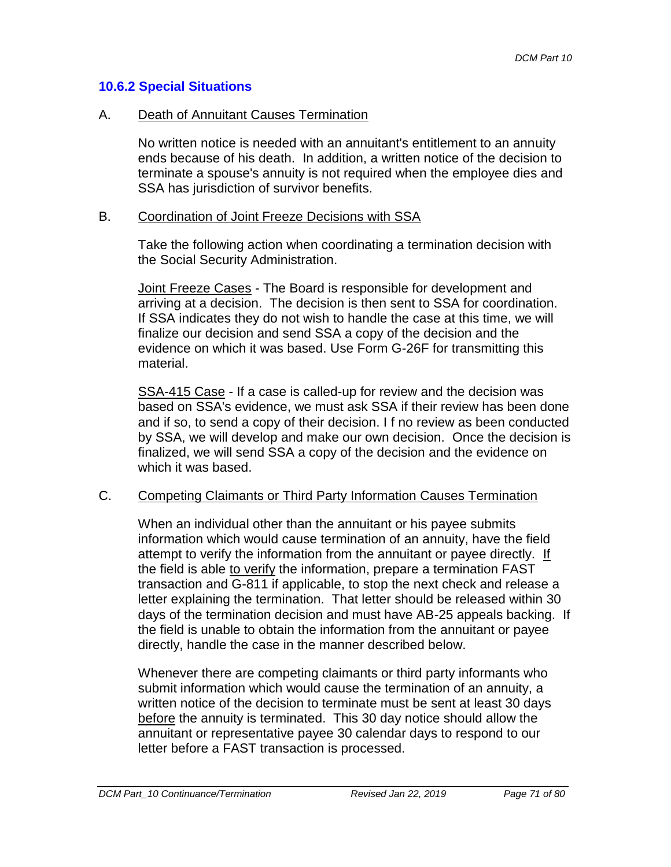### **10.6.2 Special Situations**

#### A. Death of Annuitant Causes Termination

No written notice is needed with an annuitant's entitlement to an annuity ends because of his death. In addition, a written notice of the decision to terminate a spouse's annuity is not required when the employee dies and SSA has jurisdiction of survivor benefits.

#### B. Coordination of Joint Freeze Decisions with SSA

Take the following action when coordinating a termination decision with the Social Security Administration.

Joint Freeze Cases - The Board is responsible for development and arriving at a decision. The decision is then sent to SSA for coordination. If SSA indicates they do not wish to handle the case at this time, we will finalize our decision and send SSA a copy of the decision and the evidence on which it was based. Use Form G-26F for transmitting this material.

SSA-415 Case - If a case is called-up for review and the decision was based on SSA's evidence, we must ask SSA if their review has been done and if so, to send a copy of their decision. I f no review as been conducted by SSA, we will develop and make our own decision. Once the decision is finalized, we will send SSA a copy of the decision and the evidence on which it was based.

#### C. Competing Claimants or Third Party Information Causes Termination

When an individual other than the annuitant or his payee submits information which would cause termination of an annuity, have the field attempt to verify the information from the annuitant or payee directly. If the field is able to verify the information, prepare a termination FAST transaction and G-811 if applicable, to stop the next check and release a letter explaining the termination. That letter should be released within 30 days of the termination decision and must have AB-25 appeals backing. If the field is unable to obtain the information from the annuitant or payee directly, handle the case in the manner described below.

Whenever there are competing claimants or third party informants who submit information which would cause the termination of an annuity, a written notice of the decision to terminate must be sent at least 30 days before the annuity is terminated. This 30 day notice should allow the annuitant or representative payee 30 calendar days to respond to our letter before a FAST transaction is processed.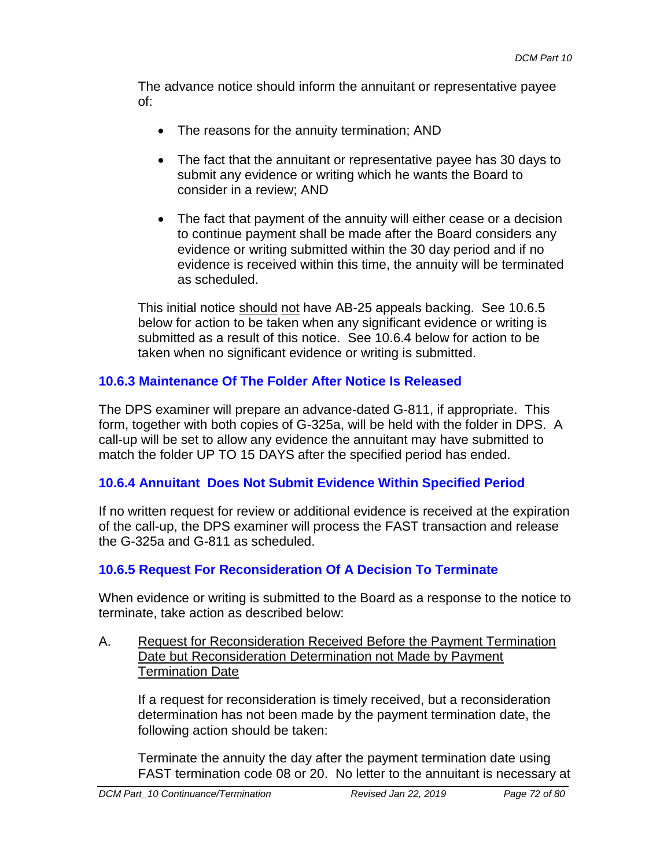The advance notice should inform the annuitant or representative payee of:

- The reasons for the annuity termination; AND
- The fact that the annuitant or representative payee has 30 days to submit any evidence or writing which he wants the Board to consider in a review; AND
- The fact that payment of the annuity will either cease or a decision to continue payment shall be made after the Board considers any evidence or writing submitted within the 30 day period and if no evidence is received within this time, the annuity will be terminated as scheduled.

This initial notice should not have AB-25 appeals backing. See 10.6.5 below for action to be taken when any significant evidence or writing is submitted as a result of this notice. See 10.6.4 below for action to be taken when no significant evidence or writing is submitted.

# **10.6.3 Maintenance Of The Folder After Notice Is Released**

The DPS examiner will prepare an advance-dated G-811, if appropriate. This form, together with both copies of G-325a, will be held with the folder in DPS. A call-up will be set to allow any evidence the annuitant may have submitted to match the folder UP TO 15 DAYS after the specified period has ended.

# **10.6.4 Annuitant Does Not Submit Evidence Within Specified Period**

If no written request for review or additional evidence is received at the expiration of the call-up, the DPS examiner will process the FAST transaction and release the G-325a and G-811 as scheduled.

# **10.6.5 Request For Reconsideration Of A Decision To Terminate**

When evidence or writing is submitted to the Board as a response to the notice to terminate, take action as described below:

#### A. Request for Reconsideration Received Before the Payment Termination Date but Reconsideration Determination not Made by Payment Termination Date

If a request for reconsideration is timely received, but a reconsideration determination has not been made by the payment termination date, the following action should be taken:

Terminate the annuity the day after the payment termination date using FAST termination code 08 or 20. No letter to the annuitant is necessary at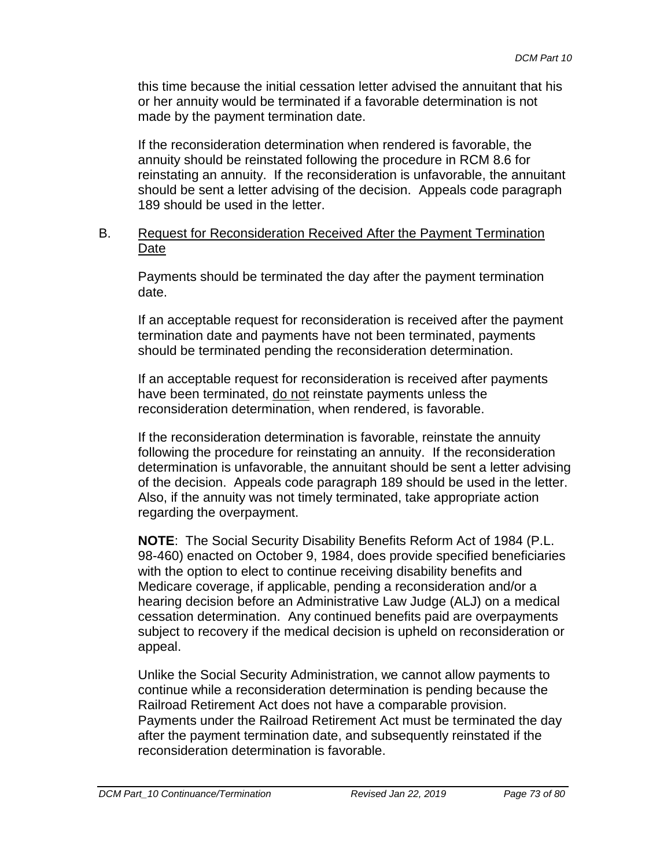this time because the initial cessation letter advised the annuitant that his or her annuity would be terminated if a favorable determination is not made by the payment termination date.

If the reconsideration determination when rendered is favorable, the annuity should be reinstated following the procedure in RCM 8.6 for reinstating an annuity. If the reconsideration is unfavorable, the annuitant should be sent a letter advising of the decision. Appeals code paragraph 189 should be used in the letter.

### B. Request for Reconsideration Received After the Payment Termination Date

Payments should be terminated the day after the payment termination date.

If an acceptable request for reconsideration is received after the payment termination date and payments have not been terminated, payments should be terminated pending the reconsideration determination.

If an acceptable request for reconsideration is received after payments have been terminated, do not reinstate payments unless the reconsideration determination, when rendered, is favorable.

If the reconsideration determination is favorable, reinstate the annuity following the procedure for reinstating an annuity. If the reconsideration determination is unfavorable, the annuitant should be sent a letter advising of the decision. Appeals code paragraph 189 should be used in the letter. Also, if the annuity was not timely terminated, take appropriate action regarding the overpayment.

**NOTE**: The Social Security Disability Benefits Reform Act of 1984 (P.L. 98-460) enacted on October 9, 1984, does provide specified beneficiaries with the option to elect to continue receiving disability benefits and Medicare coverage, if applicable, pending a reconsideration and/or a hearing decision before an Administrative Law Judge (ALJ) on a medical cessation determination. Any continued benefits paid are overpayments subject to recovery if the medical decision is upheld on reconsideration or appeal.

Unlike the Social Security Administration, we cannot allow payments to continue while a reconsideration determination is pending because the Railroad Retirement Act does not have a comparable provision. Payments under the Railroad Retirement Act must be terminated the day after the payment termination date, and subsequently reinstated if the reconsideration determination is favorable.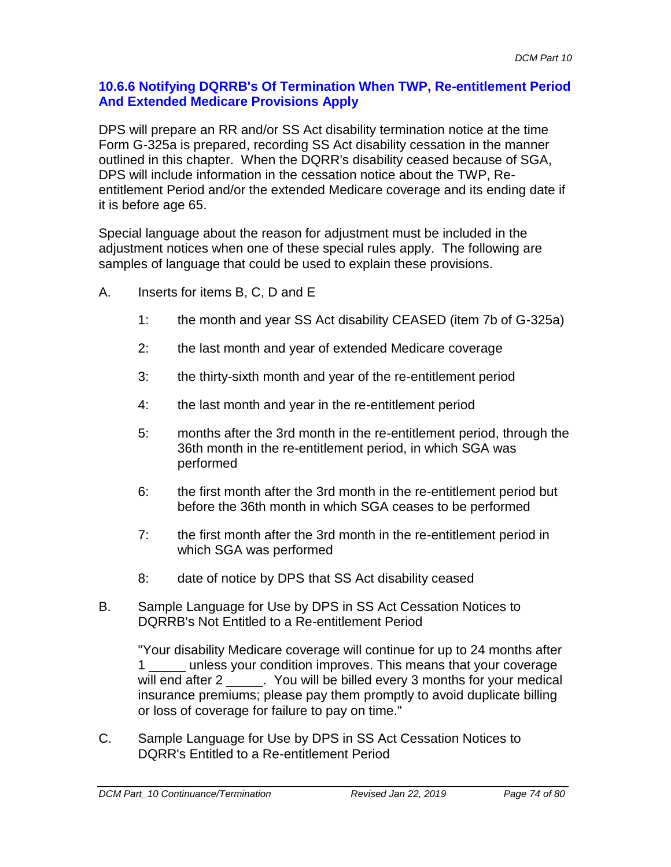### **10.6.6 Notifying DQRRB's Of Termination When TWP, Re-entitlement Period And Extended Medicare Provisions Apply**

DPS will prepare an RR and/or SS Act disability termination notice at the time Form G-325a is prepared, recording SS Act disability cessation in the manner outlined in this chapter. When the DQRR's disability ceased because of SGA, DPS will include information in the cessation notice about the TWP, Reentitlement Period and/or the extended Medicare coverage and its ending date if it is before age 65.

Special language about the reason for adjustment must be included in the adjustment notices when one of these special rules apply. The following are samples of language that could be used to explain these provisions.

- A. Inserts for items B, C, D and E
	- 1: the month and year SS Act disability CEASED (item 7b of G-325a)
	- 2: the last month and year of extended Medicare coverage
	- 3: the thirty-sixth month and year of the re-entitlement period
	- 4: the last month and year in the re-entitlement period
	- 5: months after the 3rd month in the re-entitlement period, through the 36th month in the re-entitlement period, in which SGA was performed
	- 6: the first month after the 3rd month in the re-entitlement period but before the 36th month in which SGA ceases to be performed
	- 7: the first month after the 3rd month in the re-entitlement period in which SGA was performed
	- 8: date of notice by DPS that SS Act disability ceased
- B. Sample Language for Use by DPS in SS Act Cessation Notices to DQRRB's Not Entitled to a Re-entitlement Period

"Your disability Medicare coverage will continue for up to 24 months after 1 \_\_\_\_\_ unless your condition improves. This means that your coverage will end after 2 \_\_\_\_\_. You will be billed every 3 months for your medical insurance premiums; please pay them promptly to avoid duplicate billing or loss of coverage for failure to pay on time."

C. Sample Language for Use by DPS in SS Act Cessation Notices to DQRR's Entitled to a Re-entitlement Period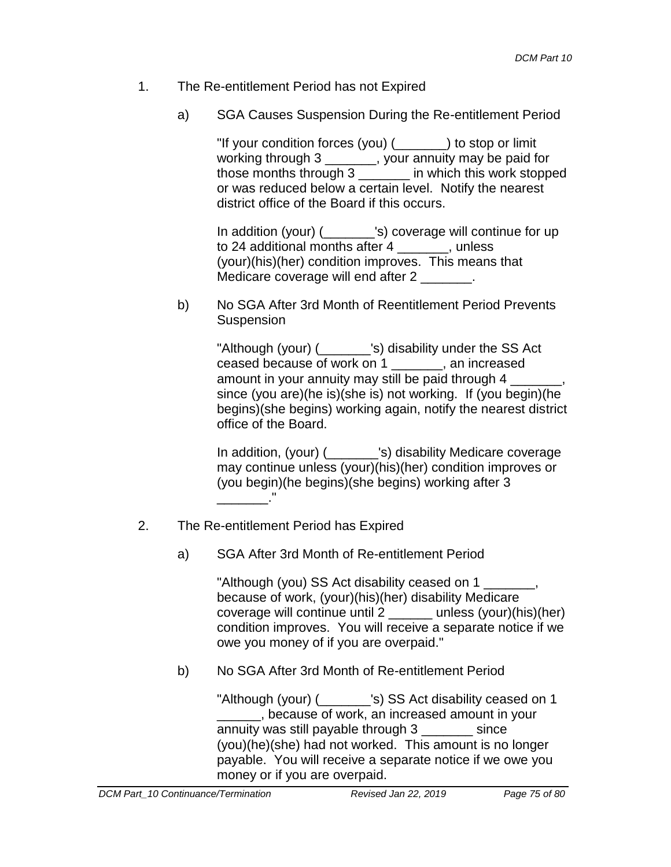- 1. The Re-entitlement Period has not Expired
	- a) SGA Causes Suspension During the Re-entitlement Period

"If your condition forces (you) (\_\_\_\_\_\_\_) to stop or limit working through 3 \_\_\_\_\_\_\_, your annuity may be paid for those months through 3 \_\_\_\_\_\_\_ in which this work stopped or was reduced below a certain level. Notify the nearest district office of the Board if this occurs.

In addition (your) (\_\_\_\_\_\_\_'s) coverage will continue for up to 24 additional months after 4 \_\_\_\_\_\_\_, unless (your)(his)(her) condition improves. This means that Medicare coverage will end after 2 \_\_\_\_\_\_\_.

b) No SGA After 3rd Month of Reentitlement Period Prevents Suspension

> "Although (your) (  $\qquad$  's) disability under the SS Act ceased because of work on 1 \_\_\_\_\_\_\_, an increased amount in your annuity may still be paid through 4 since (you are)(he is)(she is) not working. If (you begin)(he begins)(she begins) working again, notify the nearest district office of the Board.

In addition, (your) (\_\_\_\_\_\_\_'s) disability Medicare coverage may continue unless (your)(his)(her) condition improves or (you begin)(he begins)(she begins) working after 3  $\frac{1}{2}$   $\frac{1}{2}$   $\frac{1}{2}$   $\frac{1}{2}$   $\frac{1}{2}$   $\frac{1}{2}$   $\frac{1}{2}$   $\frac{1}{2}$   $\frac{1}{2}$   $\frac{1}{2}$   $\frac{1}{2}$   $\frac{1}{2}$   $\frac{1}{2}$   $\frac{1}{2}$   $\frac{1}{2}$   $\frac{1}{2}$   $\frac{1}{2}$   $\frac{1}{2}$   $\frac{1}{2}$   $\frac{1}{2}$   $\frac{1}{2}$   $\frac{1}{2}$ 

- 2. The Re-entitlement Period has Expired
	- a) SGA After 3rd Month of Re-entitlement Period

"Although (you) SS Act disability ceased on 1 \_\_\_\_\_\_\_, because of work, (your)(his)(her) disability Medicare coverage will continue until 2 \_\_\_\_\_\_ unless (your)(his)(her) condition improves. You will receive a separate notice if we owe you money of if you are overpaid."

b) No SGA After 3rd Month of Re-entitlement Period

"Although (your) (  $\qquad$  's) SS Act disability ceased on 1 \_\_\_\_\_\_, because of work, an increased amount in your annuity was still payable through 3 \_\_\_\_\_\_\_ since (you)(he)(she) had not worked. This amount is no longer payable. You will receive a separate notice if we owe you money or if you are overpaid.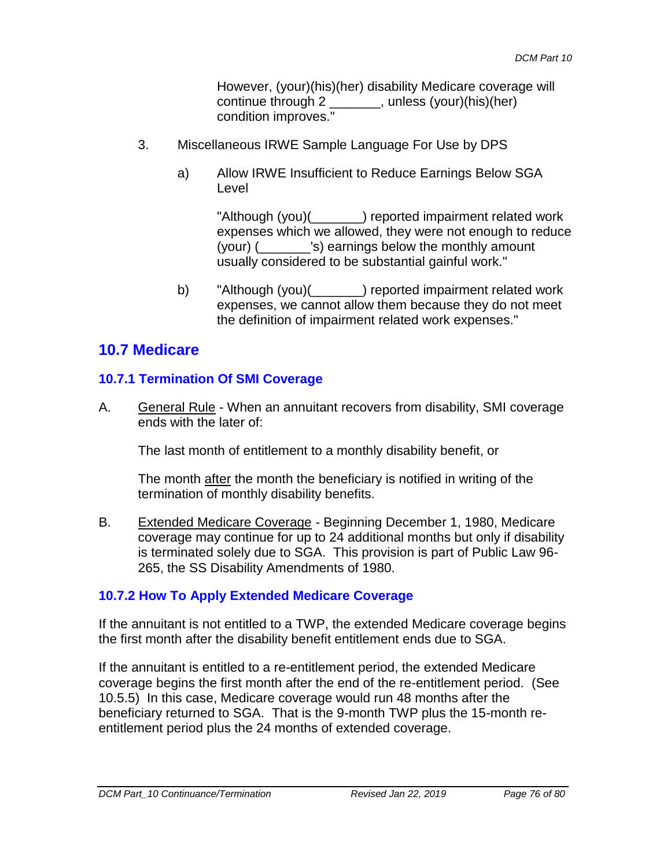However, (your)(his)(her) disability Medicare coverage will continue through 2 \_\_\_\_\_\_\_, unless (your)(his)(her) condition improves."

- 3. Miscellaneous IRWE Sample Language For Use by DPS
	- a) Allow IRWE Insufficient to Reduce Earnings Below SGA Level

"Although (you)(\_\_\_\_\_\_\_) reported impairment related work expenses which we allowed, they were not enough to reduce (your) (\_\_\_\_\_\_\_'s) earnings below the monthly amount usually considered to be substantial gainful work."

b) "Although (you)( ) reported impairment related work expenses, we cannot allow them because they do not meet the definition of impairment related work expenses."

# **10.7 Medicare**

### **10.7.1 Termination Of SMI Coverage**

A. General Rule - When an annuitant recovers from disability, SMI coverage ends with the later of:

The last month of entitlement to a monthly disability benefit, or

The month after the month the beneficiary is notified in writing of the termination of monthly disability benefits.

B. Extended Medicare Coverage - Beginning December 1, 1980, Medicare coverage may continue for up to 24 additional months but only if disability is terminated solely due to SGA. This provision is part of Public Law 96- 265, the SS Disability Amendments of 1980.

### **10.7.2 How To Apply Extended Medicare Coverage**

If the annuitant is not entitled to a TWP, the extended Medicare coverage begins the first month after the disability benefit entitlement ends due to SGA.

If the annuitant is entitled to a re-entitlement period, the extended Medicare coverage begins the first month after the end of the re-entitlement period. (See 10.5.5) In this case, Medicare coverage would run 48 months after the beneficiary returned to SGA. That is the 9-month TWP plus the 15-month reentitlement period plus the 24 months of extended coverage.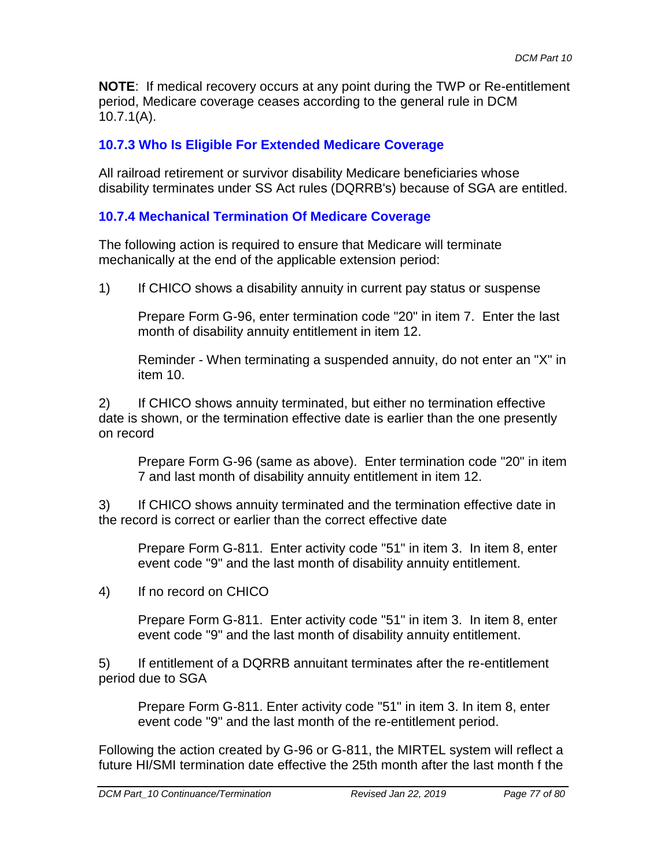**NOTE**: If medical recovery occurs at any point during the TWP or Re-entitlement period, Medicare coverage ceases according to the general rule in DCM 10.7.1(A).

## **10.7.3 Who Is Eligible For Extended Medicare Coverage**

All railroad retirement or survivor disability Medicare beneficiaries whose disability terminates under SS Act rules (DQRRB's) because of SGA are entitled.

# **10.7.4 Mechanical Termination Of Medicare Coverage**

The following action is required to ensure that Medicare will terminate mechanically at the end of the applicable extension period:

1) If CHICO shows a disability annuity in current pay status or suspense

Prepare Form G-96, enter termination code "20" in item 7. Enter the last month of disability annuity entitlement in item 12.

Reminder - When terminating a suspended annuity, do not enter an "X" in item 10.

2) If CHICO shows annuity terminated, but either no termination effective date is shown, or the termination effective date is earlier than the one presently on record

Prepare Form G-96 (same as above). Enter termination code "20" in item 7 and last month of disability annuity entitlement in item 12.

3) If CHICO shows annuity terminated and the termination effective date in the record is correct or earlier than the correct effective date

Prepare Form G-811. Enter activity code "51" in item 3. In item 8, enter event code "9" and the last month of disability annuity entitlement.

4) If no record on CHICO

Prepare Form G-811. Enter activity code "51" in item 3. In item 8, enter event code "9" and the last month of disability annuity entitlement.

5) If entitlement of a DQRRB annuitant terminates after the re-entitlement period due to SGA

Prepare Form G-811. Enter activity code "51" in item 3. In item 8, enter event code "9" and the last month of the re-entitlement period.

Following the action created by G-96 or G-811, the MIRTEL system will reflect a future HI/SMI termination date effective the 25th month after the last month f the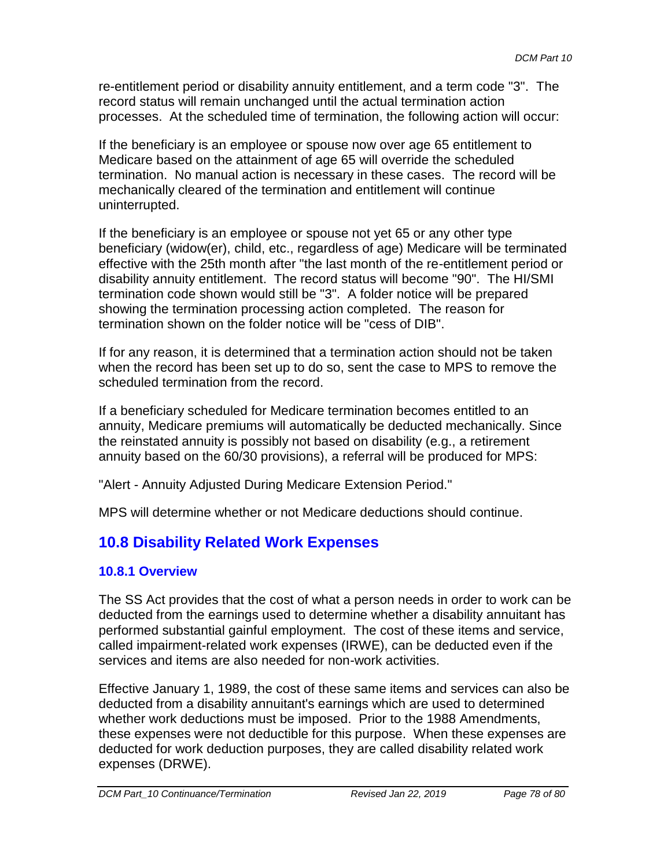re-entitlement period or disability annuity entitlement, and a term code "3". The record status will remain unchanged until the actual termination action processes. At the scheduled time of termination, the following action will occur:

If the beneficiary is an employee or spouse now over age 65 entitlement to Medicare based on the attainment of age 65 will override the scheduled termination. No manual action is necessary in these cases. The record will be mechanically cleared of the termination and entitlement will continue uninterrupted.

If the beneficiary is an employee or spouse not yet 65 or any other type beneficiary (widow(er), child, etc., regardless of age) Medicare will be terminated effective with the 25th month after "the last month of the re-entitlement period or disability annuity entitlement. The record status will become "90". The HI/SMI termination code shown would still be "3". A folder notice will be prepared showing the termination processing action completed. The reason for termination shown on the folder notice will be "cess of DIB".

If for any reason, it is determined that a termination action should not be taken when the record has been set up to do so, sent the case to MPS to remove the scheduled termination from the record.

If a beneficiary scheduled for Medicare termination becomes entitled to an annuity, Medicare premiums will automatically be deducted mechanically. Since the reinstated annuity is possibly not based on disability (e.g., a retirement annuity based on the 60/30 provisions), a referral will be produced for MPS:

"Alert - Annuity Adjusted During Medicare Extension Period."

MPS will determine whether or not Medicare deductions should continue.

# **10.8 Disability Related Work Expenses**

### **10.8.1 Overview**

The SS Act provides that the cost of what a person needs in order to work can be deducted from the earnings used to determine whether a disability annuitant has performed substantial gainful employment. The cost of these items and service, called impairment-related work expenses (IRWE), can be deducted even if the services and items are also needed for non-work activities.

Effective January 1, 1989, the cost of these same items and services can also be deducted from a disability annuitant's earnings which are used to determined whether work deductions must be imposed. Prior to the 1988 Amendments, these expenses were not deductible for this purpose. When these expenses are deducted for work deduction purposes, they are called disability related work expenses (DRWE).